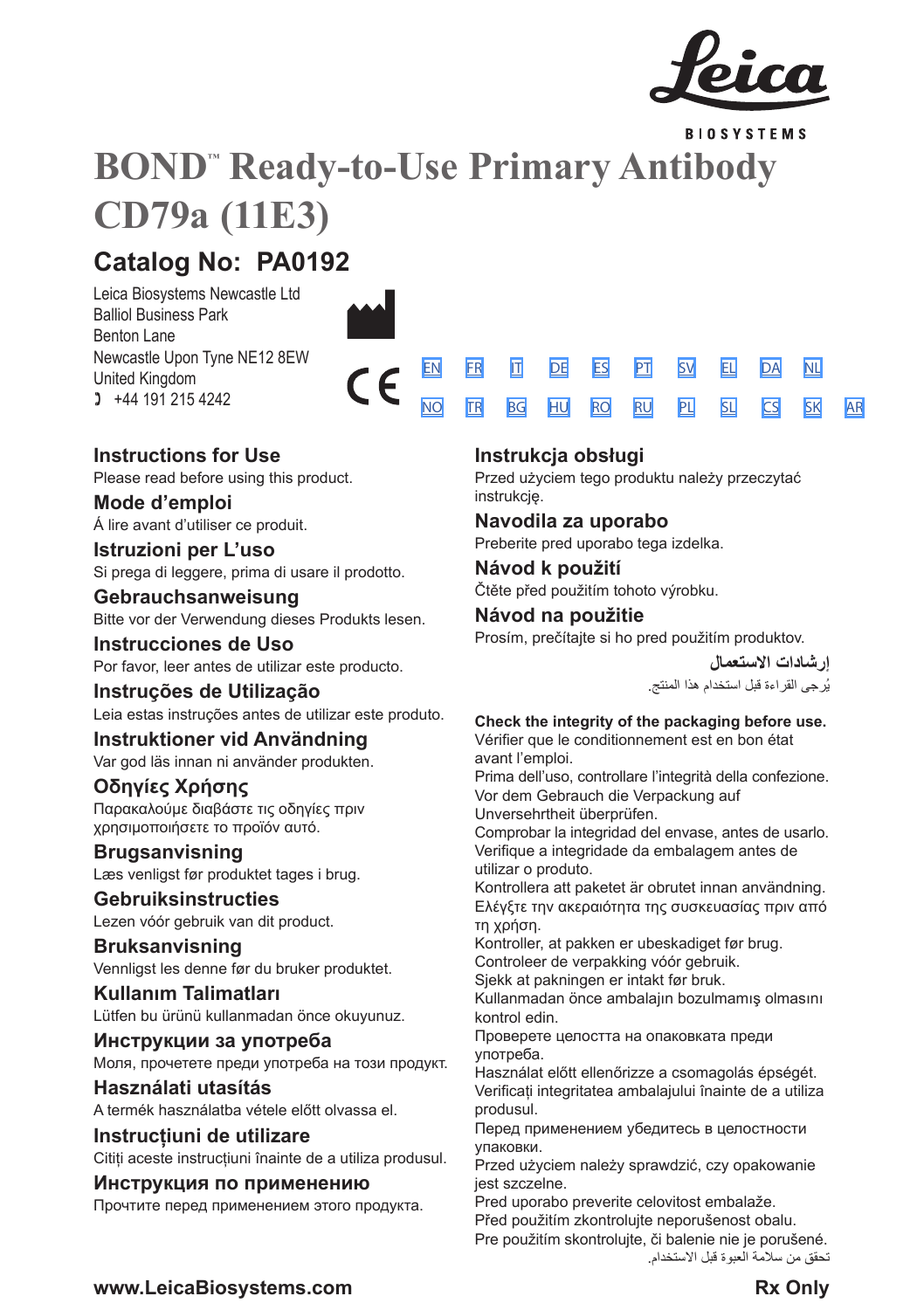

**BIOSYSTEMS** 

[SV](#page-14-0) [EL](#page-16-0) [DA](#page-18-0) [PL](#page-34-0) [SL](#page-36-0) [CS](#page-38-0)

[NL](#page-20-0)

[SK](#page-40-0) [AR](#page-42-0)

# **BOND™ Ready-to-Use Primary Antibody CD79a (11E3)**

## **Catalog No: PA0192**

Leica Biosystems Newcastle Ltd Balliol Business Park Benton Lane Newcastle Upon Tyne NE12 8EW United Kingdom  $1 +44 191 215 4242$ 



## **Instructions for Use**

Please read before using this product.

## **Mode d'emploi**

Á lire avant d'utiliser ce produit.

**Istruzioni per L'uso** Si prega di leggere, prima di usare il prodotto.

## **Gebrauchsanweisung**

Bitte vor der Verwendung dieses Produkts lesen.

## **Instrucciones de Uso**

Por favor, leer antes de utilizar este producto.

## **Instruções de Utilização**

Leia estas instruções antes de utilizar este produto.

## **Instruktioner vid Användning**

Var god läs innan ni använder produkten.

## **Οδηγίες Χρήσης**

Παρακαλούμε διαβάστε τις οδηγίες πριν χρησιμοποιήσετε το προϊόν αυτό.

## **Brugsanvisning** Læs venligst før produktet tages i brug.

**Gebruiksinstructies** Lezen vóór gebruik van dit product.

## **Bruksanvisning**

Vennligst les denne før du bruker produktet.

## **Kullanım Talimatları** Lütfen bu ürünü kullanmadan önce okuyunuz.

**Инструкции за употреба** Моля, прочетете преди употреба на този продукт.

## **Használati utasítás** A termék használatba vétele előtt olvassa el.

**Instrucțiuni de utilizare** Citiți aceste instrucțiuni înainte de a utiliza produsul.

## **Инструкция по применению**

Прочтите перед применением этого продукта.

## **Instrukcja obsługi**

[EN](#page-2-0) [FR](#page-4-0) [IT](#page-6-0) [DE](#page-8-0) [ES](#page-10-0) [PT](#page-12-0) <u>[NO](#page-22-0) [TR](#page-24-0) [BG](#page-26-0) [HU](#page-28-0) [RO](#page-30-0) [RU](#page-32-0)</u>

> Przed użyciem tego produktu należy przeczytać instrukcję.

## **Navodila za uporabo**

Preberite pred uporabo tega izdelka.

## **Návod k použití** Čtěte před použitím tohoto výrobku.

## **Návod na použitie**

Prosím, prečítajte si ho pred použitím produktov.

**إرشادات االستعمال** ُرجى القراءة قبل استخدام هذا المنتج. ي

## **Check the integrity of the packaging before use.**

Vérifier que le conditionnement est en bon état avant l'emploi.

Prima dell'uso, controllare l'integrità della confezione. Vor dem Gebrauch die Verpackung auf

Unversehrtheit überprüfen.

Comprobar la integridad del envase, antes de usarlo. Verifique a integridade da embalagem antes de utilizar o produto.

Kontrollera att paketet är obrutet innan användning. Ελέγξτε την ακεραιότητα της συσκευασίας πριν από τη χρήση.

Kontroller, at pakken er ubeskadiget før brug. Controleer de verpakking vóór gebruik.

Sjekk at pakningen er intakt før bruk.

Kullanmadan önce ambalajın bozulmamış olmasını kontrol edin.

Проверете целостта на опаковката преди употреба.

Használat előtt ellenőrizze a csomagolás épségét. Verificați integritatea ambalajului înainte de a utiliza produsul.

Перед применением убедитесь в целостности упаковки.

Przed użyciem należy sprawdzić, czy opakowanie jest szczelne.

Pred uporabo preverite celovitost embalaže. Před použitím zkontrolujte neporušenost obalu. Pre použitím skontrolujte, či balenie nie je porušené.

تحقق من سالمة العبوة قبل االستخدام.

## **www.LeicaBiosystems.com Rx Only**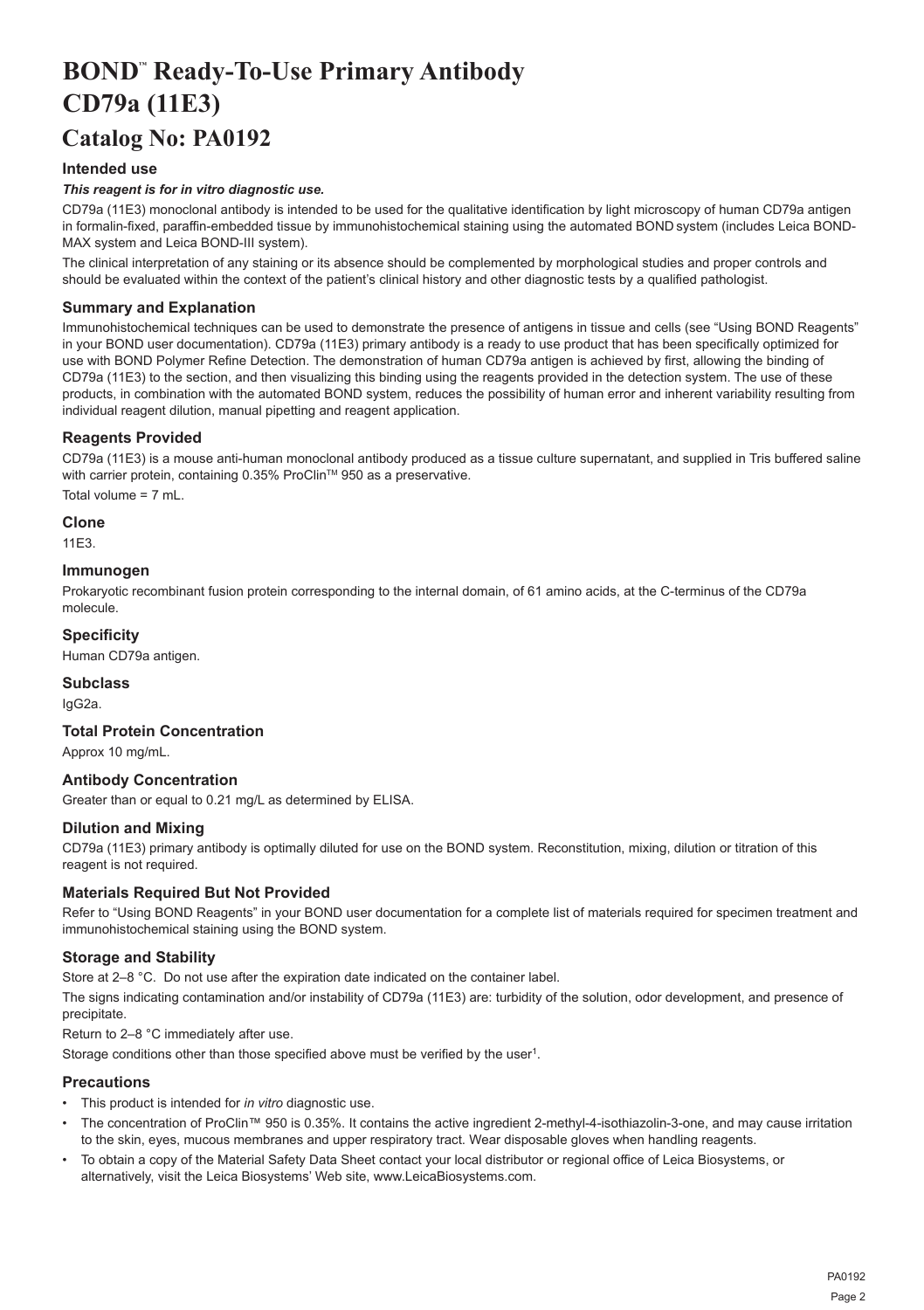## <span id="page-2-0"></span>**BOND™ Ready-To-Use Primary Antibody CD79a (11E3)**

## **Catalog No: PA0192**

## **Intended use**

## *This reagent is for in vitro diagnostic use.*

CD79a (11E3) monoclonal antibody is intended to be used for the qualitative identification by light microscopy of human CD79a antigen in formalin-fixed, paraffin-embedded tissue by immunohistochemical staining using the automated BOND system (includes Leica BOND-MAX system and Leica BOND-III system).

The clinical interpretation of any staining or its absence should be complemented by morphological studies and proper controls and should be evaluated within the context of the patient's clinical history and other diagnostic tests by a qualified pathologist.

## **Summary and Explanation**

Immunohistochemical techniques can be used to demonstrate the presence of antigens in tissue and cells (see "Using BOND Reagents" in your BOND user documentation). CD79a (11E3) primary antibody is a ready to use product that has been specifically optimized for use with BOND Polymer Refine Detection. The demonstration of human CD79a antigen is achieved by first, allowing the binding of CD79a (11E3) to the section, and then visualizing this binding using the reagents provided in the detection system. The use of these products, in combination with the automated BOND system, reduces the possibility of human error and inherent variability resulting from individual reagent dilution, manual pipetting and reagent application.

## **Reagents Provided**

CD79a (11E3) is a mouse anti-human monoclonal antibody produced as a tissue culture supernatant, and supplied in Tris buffered saline with carrier protein, containing 0.35% ProClin™ 950 as a preservative. Total volume = 7 mL.

**Clone**

11E3.

### **Immunogen**

Prokaryotic recombinant fusion protein corresponding to the internal domain, of 61 amino acids, at the C-terminus of the CD79a molecule.

## **Specificity**

Human CD79a antigen.

## **Subclass**

IgG2a.

## **Total Protein Concentration**

Approx 10 mg/mL.

## **Antibody Concentration**

Greater than or equal to 0.21 mg/L as determined by ELISA.

## **Dilution and Mixing**

CD79a (11E3) primary antibody is optimally diluted for use on the BOND system. Reconstitution, mixing, dilution or titration of this reagent is not required.

## **Materials Required But Not Provided**

Refer to "Using BOND Reagents" in your BOND user documentation for a complete list of materials required for specimen treatment and immunohistochemical staining using the BOND system.

## **Storage and Stability**

Store at 2–8 °C. Do not use after the expiration date indicated on the container label.

The signs indicating contamination and/or instability of CD79a (11E3) are: turbidity of the solution, odor development, and presence of precipitate.

Return to 2–8 °C immediately after use.

Storage conditions other than those specified above must be verified by the user<sup>1</sup>.

## **Precautions**

- This product is intended for *in vitro* diagnostic use.
- The concentration of ProClin™ 950 is 0.35%. It contains the active ingredient 2-methyl-4-isothiazolin-3-one, and may cause irritation to the skin, eyes, mucous membranes and upper respiratory tract. Wear disposable gloves when handling reagents.
- To obtain a copy of the Material Safety Data Sheet contact your local distributor or regional office of Leica Biosystems, or alternatively, visit the Leica Biosystems' Web site, www.LeicaBiosystems.com.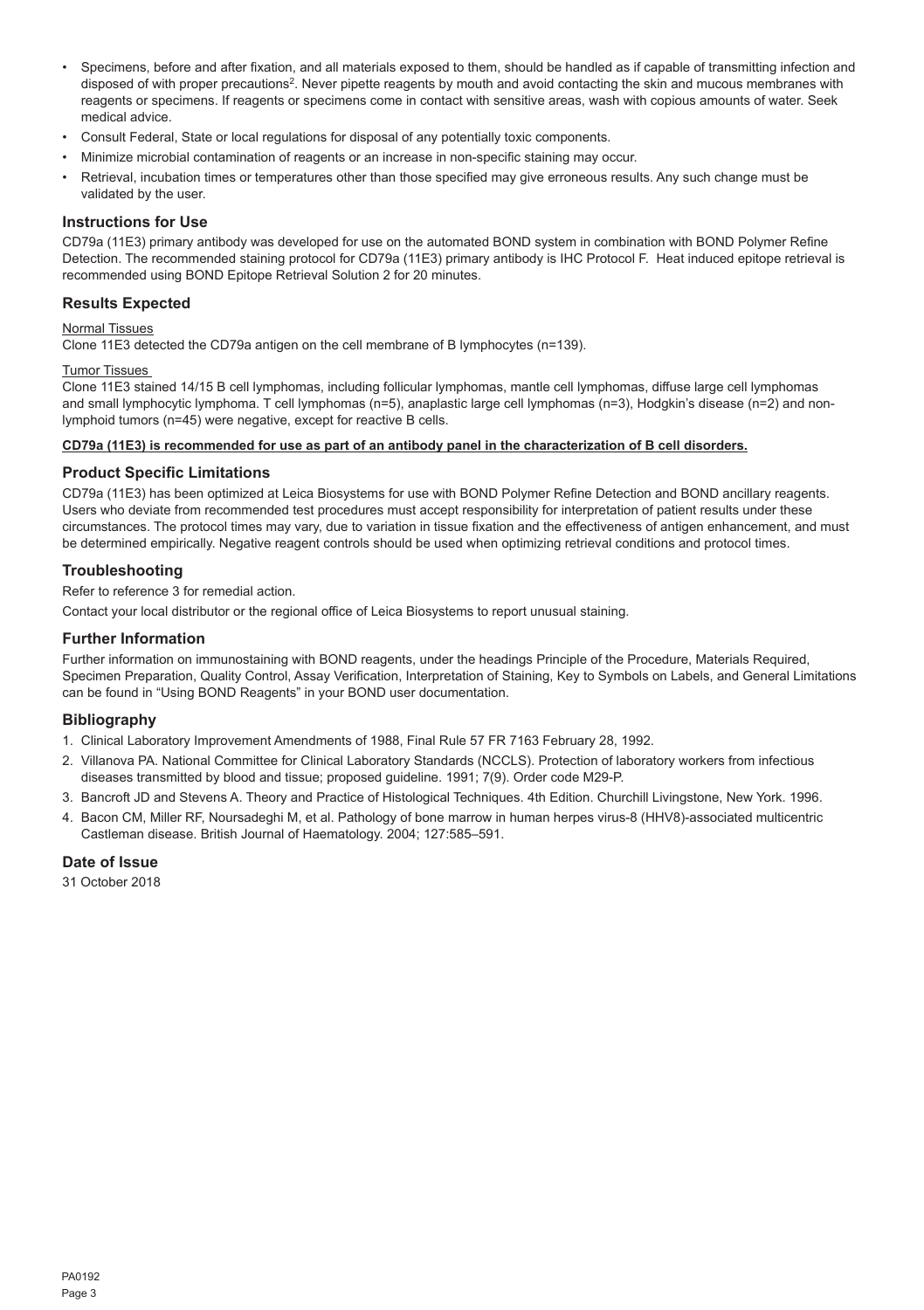- Specimens, before and after fixation, and all materials exposed to them, should be handled as if capable of transmitting infection and disposed of with proper precautions<sup>2</sup>. Never pipette reagents by mouth and avoid contacting the skin and mucous membranes with reagents or specimens. If reagents or specimens come in contact with sensitive areas, wash with copious amounts of water. Seek medical advice.
- Consult Federal, State or local regulations for disposal of any potentially toxic components.
- Minimize microbial contamination of reagents or an increase in non-specific staining may occur.
- Retrieval, incubation times or temperatures other than those specified may give erroneous results. Any such change must be validated by the user.

#### **Instructions for Use**

CD79a (11E3) primary antibody was developed for use on the automated BOND system in combination with BOND Polymer Refine Detection. The recommended staining protocol for CD79a (11E3) primary antibody is IHC Protocol F. Heat induced epitope retrieval is recommended using BOND Epitope Retrieval Solution 2 for 20 minutes.

## **Results Expected**

## Normal Tissues

Clone 11E3 detected the CD79a antigen on the cell membrane of B lymphocytes (n=139).

## Tumor Tissues

Clone 11E3 stained 14/15 B cell lymphomas, including follicular lymphomas, mantle cell lymphomas, diffuse large cell lymphomas and small lymphocytic lymphoma. T cell lymphomas (n=5), anaplastic large cell lymphomas (n=3), Hodgkin's disease (n=2) and nonlymphoid tumors (n=45) were negative, except for reactive B cells.

#### **CD79a (11E3) is recommended for use as part of an antibody panel in the characterization of B cell disorders.**

## **Product Specific Limitations**

CD79a (11E3) has been optimized at Leica Biosystems for use with BOND Polymer Refine Detection and BOND ancillary reagents. Users who deviate from recommended test procedures must accept responsibility for interpretation of patient results under these circumstances. The protocol times may vary, due to variation in tissue fixation and the effectiveness of antigen enhancement, and must be determined empirically. Negative reagent controls should be used when optimizing retrieval conditions and protocol times.

#### **Troubleshooting**

Refer to reference 3 for remedial action.

Contact your local distributor or the regional office of Leica Biosystems to report unusual staining.

## **Further Information**

Further information on immunostaining with BOND reagents, under the headings Principle of the Procedure, Materials Required, Specimen Preparation, Quality Control, Assay Verification, Interpretation of Staining, Key to Symbols on Labels, and General Limitations can be found in "Using BOND Reagents" in your BOND user documentation.

#### **Bibliography**

- 1. Clinical Laboratory Improvement Amendments of 1988, Final Rule 57 FR 7163 February 28, 1992.
- 2. Villanova PA. National Committee for Clinical Laboratory Standards (NCCLS). Protection of laboratory workers from infectious diseases transmitted by blood and tissue; proposed guideline. 1991; 7(9). Order code M29-P.
- 3. Bancroft JD and Stevens A. Theory and Practice of Histological Techniques. 4th Edition. Churchill Livingstone, New York. 1996.
- 4. Bacon CM, Miller RF, Noursadeghi M, et al. Pathology of bone marrow in human herpes virus-8 (HHV8)-associated multicentric Castleman disease. British Journal of Haematology. 2004; 127:585–591.

### **Date of Issue**

31 October 2018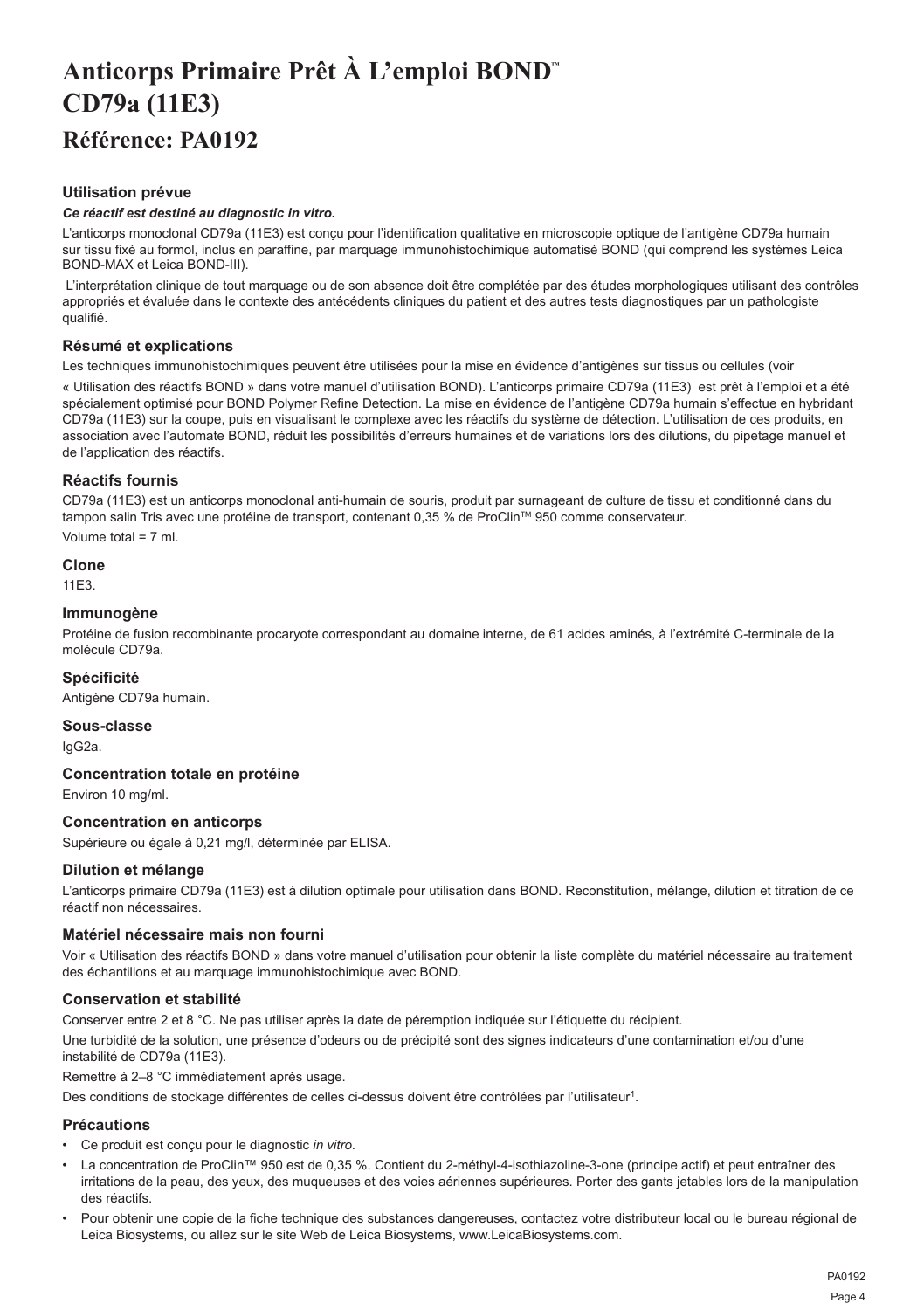## <span id="page-4-0"></span>**Anticorps Primaire Prêt À L'emploi BOND™ CD79a (11E3) Référence: PA0192**

## **Utilisation prévue**

### *Ce réactif est destiné au diagnostic in vitro.*

L'anticorps monoclonal CD79a (11E3) est conçu pour l'identification qualitative en microscopie optique de l'antigène CD79a humain sur tissu fixé au formol, inclus en paraffine, par marquage immunohistochimique automatisé BOND (qui comprend les systèmes Leica BOND-MAX et Leica BOND-III).

 L'interprétation clinique de tout marquage ou de son absence doit être complétée par des études morphologiques utilisant des contrôles appropriés et évaluée dans le contexte des antécédents cliniques du patient et des autres tests diagnostiques par un pathologiste qualifié.

## **Résumé et explications**

Les techniques immunohistochimiques peuvent être utilisées pour la mise en évidence d'antigènes sur tissus ou cellules (voir

« Utilisation des réactifs BOND » dans votre manuel d'utilisation BOND). L'anticorps primaire CD79a (11E3) est prêt à l'emploi et a été spécialement optimisé pour BOND Polymer Refine Detection. La mise en évidence de l'antigène CD79a humain s'effectue en hybridant CD79a (11E3) sur la coupe, puis en visualisant le complexe avec les réactifs du système de détection. L'utilisation de ces produits, en association avec l'automate BOND, réduit les possibilités d'erreurs humaines et de variations lors des dilutions, du pipetage manuel et de l'application des réactifs.

## **Réactifs fournis**

CD79a (11E3) est un anticorps monoclonal anti-humain de souris, produit par surnageant de culture de tissu et conditionné dans du tampon salin Tris avec une protéine de transport, contenant 0,35 % de ProClin™ 950 comme conservateur.

Volume total = 7 ml.

## **Clone**

11E3.

## **Immunogène**

Protéine de fusion recombinante procaryote correspondant au domaine interne, de 61 acides aminés, à l'extrémité C-terminale de la molécule CD79a.

## **Spécificité**

Antigène CD79a humain.

**Sous-classe** IgG2a.

## **Concentration totale en protéine**

Environ 10 mg/ml.

## **Concentration en anticorps**

Supérieure ou égale à 0,21 mg/l, déterminée par ELISA.

### **Dilution et mélange**

L'anticorps primaire CD79a (11E3) est à dilution optimale pour utilisation dans BOND. Reconstitution, mélange, dilution et titration de ce réactif non nécessaires.

### **Matériel nécessaire mais non fourni**

Voir « Utilisation des réactifs BOND » dans votre manuel d'utilisation pour obtenir la liste complète du matériel nécessaire au traitement des échantillons et au marquage immunohistochimique avec BOND.

## **Conservation et stabilité**

Conserver entre 2 et 8 °C. Ne pas utiliser après la date de péremption indiquée sur l'étiquette du récipient. Une turbidité de la solution, une présence d'odeurs ou de précipité sont des signes indicateurs d'une contamination et/ou d'une instabilité de CD79a (11E3).

## Remettre à 2–8 °C immédiatement après usage.

Des conditions de stockage différentes de celles ci-dessus doivent être contrôlées par l'utilisateur<sup>1</sup>.

### **Précautions**

- Ce produit est conçu pour le diagnostic *in vitro*.
- La concentration de ProClin™ 950 est de 0,35 %. Contient du 2-méthyl-4-isothiazoline-3-one (principe actif) et peut entraîner des irritations de la peau, des yeux, des muqueuses et des voies aériennes supérieures. Porter des gants jetables lors de la manipulation des réactifs.
- Pour obtenir une copie de la fiche technique des substances dangereuses, contactez votre distributeur local ou le bureau régional de Leica Biosystems, ou allez sur le site Web de Leica Biosystems, www.LeicaBiosystems.com.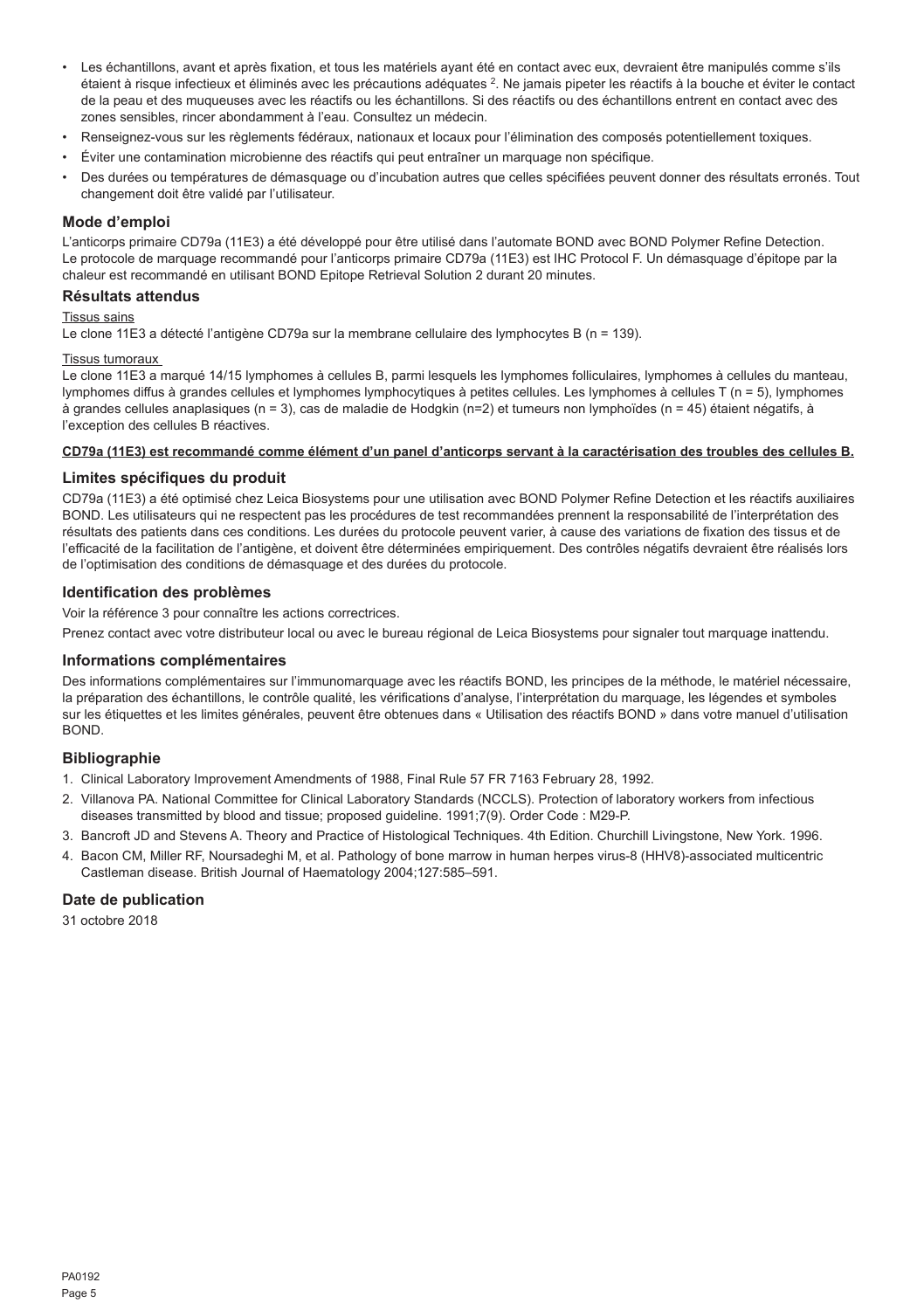- Les échantillons, avant et après fixation, et tous les matériels ayant été en contact avec eux, devraient être manipulés comme s'ils étaient à risque infectieux et éliminés avec les précautions adéquates <sup>2</sup>. Ne jamais pipeter les réactifs à la bouche et éviter le contact de la peau et des muqueuses avec les réactifs ou les échantillons. Si des réactifs ou des échantillons entrent en contact avec des zones sensibles, rincer abondamment à l'eau. Consultez un médecin.
- Renseignez-vous sur les règlements fédéraux, nationaux et locaux pour l'élimination des composés potentiellement toxiques.
- Éviter une contamination microbienne des réactifs qui peut entraîner un marquage non spécifique.
- Des durées ou températures de démasquage ou d'incubation autres que celles spécifiées peuvent donner des résultats erronés. Tout changement doit être validé par l'utilisateur.

#### **Mode d'emploi**

L'anticorps primaire CD79a (11E3) a été développé pour être utilisé dans l'automate BOND avec BOND Polymer Refine Detection. Le protocole de marquage recommandé pour l'anticorps primaire CD79a (11E3) est IHC Protocol F. Un démasquage d'épitope par la chaleur est recommandé en utilisant BOND Epitope Retrieval Solution 2 durant 20 minutes.

#### **Résultats attendus**

#### Tissus sains

Le clone 11E3 a détecté l'antigène CD79a sur la membrane cellulaire des lymphocytes B (n = 139).

#### Tissus tumoraux

Le clone 11E3 a marqué 14/15 lymphomes à cellules B, parmi lesquels les lymphomes folliculaires, lymphomes à cellules du manteau, lymphomes diffus à grandes cellules et lymphomes lymphocytiques à petites cellules. Les lymphomes à cellules T (n = 5), lymphomes à grandes cellules anaplasiques (n = 3), cas de maladie de Hodgkin (n=2) et tumeurs non lymphoïdes (n = 45) étaient négatifs, à l'exception des cellules B réactives.

#### **CD79a (11E3) est recommandé comme élément d'un panel d'anticorps servant à la caractérisation des troubles des cellules B.**

## **Limites spécifiques du produit**

CD79a (11E3) a été optimisé chez Leica Biosystems pour une utilisation avec BOND Polymer Refine Detection et les réactifs auxiliaires BOND. Les utilisateurs qui ne respectent pas les procédures de test recommandées prennent la responsabilité de l'interprétation des résultats des patients dans ces conditions. Les durées du protocole peuvent varier, à cause des variations de fixation des tissus et de l'efficacité de la facilitation de l'antigène, et doivent être déterminées empiriquement. Des contrôles négatifs devraient être réalisés lors de l'optimisation des conditions de démasquage et des durées du protocole.

#### **Identification des problèmes**

Voir la référence 3 pour connaître les actions correctrices.

Prenez contact avec votre distributeur local ou avec le bureau régional de Leica Biosystems pour signaler tout marquage inattendu.

#### **Informations complémentaires**

Des informations complémentaires sur l'immunomarquage avec les réactifs BOND, les principes de la méthode, le matériel nécessaire, la préparation des échantillons, le contrôle qualité, les vérifications d'analyse, l'interprétation du marquage, les légendes et symboles sur les étiquettes et les limites générales, peuvent être obtenues dans « Utilisation des réactifs BOND » dans votre manuel d'utilisation **BOND** 

### **Bibliographie**

- 1. Clinical Laboratory Improvement Amendments of 1988, Final Rule 57 FR 7163 February 28, 1992.
- 2. Villanova PA. National Committee for Clinical Laboratory Standards (NCCLS). Protection of laboratory workers from infectious diseases transmitted by blood and tissue; proposed guideline. 1991;7(9). Order Code : M29-P.
- 3. Bancroft JD and Stevens A. Theory and Practice of Histological Techniques. 4th Edition. Churchill Livingstone, New York. 1996.
- 4. Bacon CM, Miller RF, Noursadeghi M, et al. Pathology of bone marrow in human herpes virus-8 (HHV8)-associated multicentric Castleman disease. British Journal of Haematology 2004;127:585–591.

#### **Date de publication**

31 octobre 2018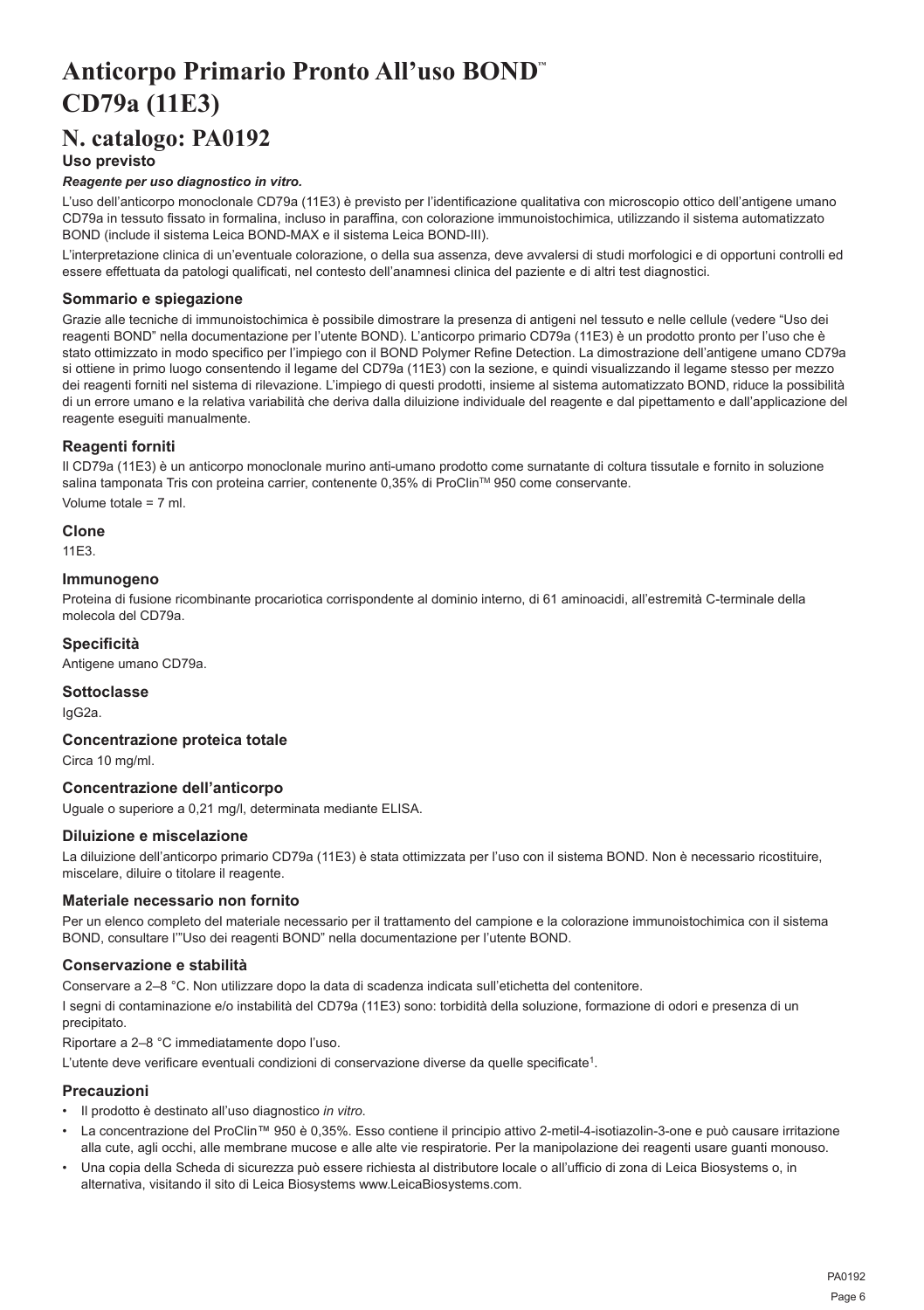## <span id="page-6-0"></span>**Anticorpo Primario Pronto All'uso BOND™ CD79a (11E3)**

## **N. catalogo: PA0192**

## **Uso previsto**

## *Reagente per uso diagnostico in vitro.*

L'uso dell'anticorpo monoclonale CD79a (11E3) è previsto per l'identificazione qualitativa con microscopio ottico dell'antigene umano CD79a in tessuto fissato in formalina, incluso in paraffina, con colorazione immunoistochimica, utilizzando il sistema automatizzato BOND (include il sistema Leica BOND-MAX e il sistema Leica BOND-III).

L'interpretazione clinica di un'eventuale colorazione, o della sua assenza, deve avvalersi di studi morfologici e di opportuni controlli ed essere effettuata da patologi qualificati, nel contesto dell'anamnesi clinica del paziente e di altri test diagnostici.

## **Sommario e spiegazione**

Grazie alle tecniche di immunoistochimica è possibile dimostrare la presenza di antigeni nel tessuto e nelle cellule (vedere "Uso dei reagenti BOND" nella documentazione per l'utente BOND). L'anticorpo primario CD79a (11E3) è un prodotto pronto per l'uso che è stato ottimizzato in modo specifico per l'impiego con il BOND Polymer Refine Detection. La dimostrazione dell'antigene umano CD79a si ottiene in primo luogo consentendo il legame del CD79a (11E3) con la sezione, e quindi visualizzando il legame stesso per mezzo dei reagenti forniti nel sistema di rilevazione. L'impiego di questi prodotti, insieme al sistema automatizzato BOND, riduce la possibilità di un errore umano e la relativa variabilità che deriva dalla diluizione individuale del reagente e dal pipettamento e dall'applicazione del reagente eseguiti manualmente.

## **Reagenti forniti**

Il CD79a (11E3) è un anticorpo monoclonale murino anti-umano prodotto come surnatante di coltura tissutale e fornito in soluzione salina tamponata Tris con proteina carrier, contenente 0,35% di ProClin™ 950 come conservante.

Volume totale = 7 ml.

**Clone**

11E3.

### **Immunogeno**

Proteina di fusione ricombinante procariotica corrispondente al dominio interno, di 61 aminoacidi, all'estremità C-terminale della molecola del CD79a.

## **Specificità**

Antigene umano CD79a.

## **Sottoclasse**

IgG2a.

## **Concentrazione proteica totale**

Circa 10 mg/ml.

## **Concentrazione dell'anticorpo**

Uguale o superiore a 0,21 mg/l, determinata mediante ELISA.

#### **Diluizione e miscelazione**

La diluizione dell'anticorpo primario CD79a (11E3) è stata ottimizzata per l'uso con il sistema BOND. Non è necessario ricostituire, miscelare, diluire o titolare il reagente.

## **Materiale necessario non fornito**

Per un elenco completo del materiale necessario per il trattamento del campione e la colorazione immunoistochimica con il sistema BOND, consultare l'"Uso dei reagenti BOND" nella documentazione per l'utente BOND.

## **Conservazione e stabilità**

Conservare a 2–8 °C. Non utilizzare dopo la data di scadenza indicata sull'etichetta del contenitore.

I segni di contaminazione e/o instabilità del CD79a (11E3) sono: torbidità della soluzione, formazione di odori e presenza di un precipitato.

Riportare a 2–8 °C immediatamente dopo l'uso.

L'utente deve verificare eventuali condizioni di conservazione diverse da quelle specificate<sup>1</sup>.

#### **Precauzioni**

- Il prodotto è destinato all'uso diagnostico *in vitro*.
- La concentrazione del ProClin™ 950 è 0,35%. Esso contiene il principio attivo 2-metil-4-isotiazolin-3-one e può causare irritazione alla cute, agli occhi, alle membrane mucose e alle alte vie respiratorie. Per la manipolazione dei reagenti usare guanti monouso.
- Una copia della Scheda di sicurezza può essere richiesta al distributore locale o all'ufficio di zona di Leica Biosystems o, in alternativa, visitando il sito di Leica Biosystems www.LeicaBiosystems.com.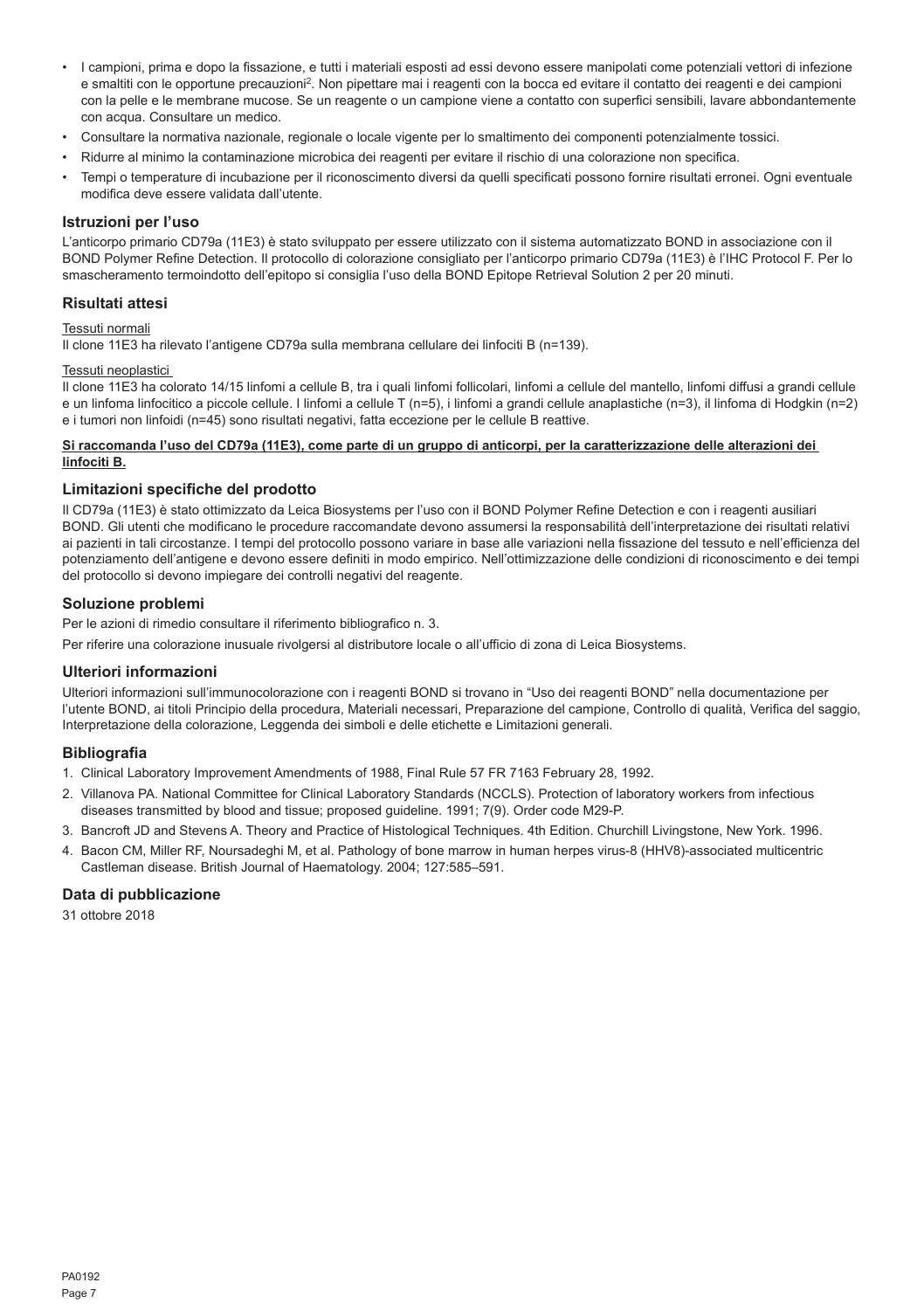- I campioni, prima e dopo la fissazione, e tutti i materiali esposti ad essi devono essere manipolati come potenziali vettori di infezione e smaltiti con le opportune precauzioni<sup>2</sup>. Non pipettare mai i reagenti con la bocca ed evitare il contatto dei reagenti e dei campioni con la pelle e le membrane mucose. Se un reagente o un campione viene a contatto con superfici sensibili, lavare abbondantemente con acqua. Consultare un medico.
- Consultare la normativa nazionale, regionale o locale vigente per lo smaltimento dei componenti potenzialmente tossici.
- Ridurre al minimo la contaminazione microbica dei reagenti per evitare il rischio di una colorazione non specifica.
- Tempi o temperature di incubazione per il riconoscimento diversi da quelli specificati possono fornire risultati erronei. Ogni eventuale modifica deve essere validata dall'utente.

#### **Istruzioni per l'uso**

L'anticorpo primario CD79a (11E3) è stato sviluppato per essere utilizzato con il sistema automatizzato BOND in associazione con il BOND Polymer Refine Detection. Il protocollo di colorazione consigliato per l'anticorpo primario CD79a (11E3) è l'IHC Protocol F. Per lo smascheramento termoindotto dell'epitopo si consiglia l'uso della BOND Epitope Retrieval Solution 2 per 20 minuti.

## **Risultati attesi**

#### Tessuti normali

Il clone 11E3 ha rilevato l'antigene CD79a sulla membrana cellulare dei linfociti B (n=139).

## Tessuti neoplastici

Il clone 11E3 ha colorato 14/15 linfomi a cellule B, tra i quali linfomi follicolari, linfomi a cellule del mantello, linfomi diffusi a grandi cellule e un linfoma linfocitico a piccole cellule. I linfomi a cellule T (n=5), i linfomi a grandi cellule anaplastiche (n=3), il linfoma di Hodgkin (n=2) e i tumori non linfoidi (n=45) sono risultati negativi, fatta eccezione per le cellule B reattive.

### **Si raccomanda l'uso del CD79a (11E3), come parte di un gruppo di anticorpi, per la caratterizzazione delle alterazioni dei linfociti B.**

#### **Limitazioni specifiche del prodotto**

Il CD79a (11E3) è stato ottimizzato da Leica Biosystems per l'uso con il BOND Polymer Refine Detection e con i reagenti ausiliari BOND. Gli utenti che modificano le procedure raccomandate devono assumersi la responsabilità dell'interpretazione dei risultati relativi ai pazienti in tali circostanze. I tempi del protocollo possono variare in base alle variazioni nella fissazione del tessuto e nell'efficienza del potenziamento dell'antigene e devono essere definiti in modo empirico. Nell'ottimizzazione delle condizioni di riconoscimento e dei tempi del protocollo si devono impiegare dei controlli negativi del reagente.

## **Soluzione problemi**

Per le azioni di rimedio consultare il riferimento bibliografico n. 3.

Per riferire una colorazione inusuale rivolgersi al distributore locale o all'ufficio di zona di Leica Biosystems.

## **Ulteriori informazioni**

Ulteriori informazioni sull'immunocolorazione con i reagenti BOND si trovano in "Uso dei reagenti BOND" nella documentazione per l'utente BOND, ai titoli Principio della procedura, Materiali necessari, Preparazione del campione, Controllo di qualità, Verifica del saggio, Interpretazione della colorazione, Leggenda dei simboli e delle etichette e Limitazioni generali.

## **Bibliografia**

- 1. Clinical Laboratory Improvement Amendments of 1988, Final Rule 57 FR 7163 February 28, 1992.
- 2. Villanova PA. National Committee for Clinical Laboratory Standards (NCCLS). Protection of laboratory workers from infectious diseases transmitted by blood and tissue; proposed guideline. 1991; 7(9). Order code M29-P.
- 3. Bancroft JD and Stevens A. Theory and Practice of Histological Techniques. 4th Edition. Churchill Livingstone, New York. 1996.
- 4. Bacon CM, Miller RF, Noursadeghi M, et al. Pathology of bone marrow in human herpes virus-8 (HHV8)-associated multicentric Castleman disease. British Journal of Haematology. 2004; 127:585–591.

#### **Data di pubblicazione**

31 ottobre 2018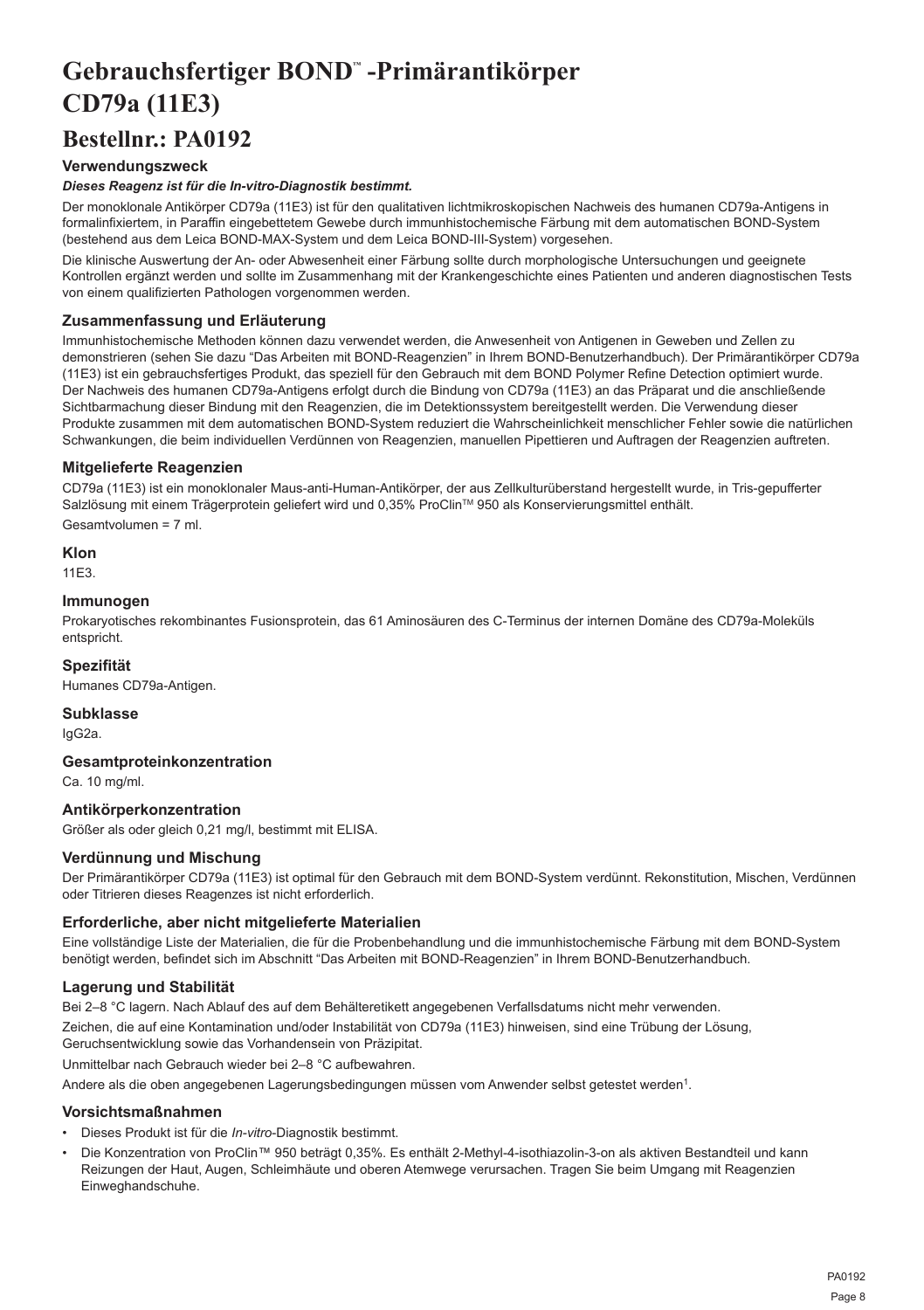## <span id="page-8-0"></span>**Gebrauchsfertiger BOND™ -Primärantikörper CD79a (11E3)**

## **Bestellnr.: PA0192**

## **Verwendungszweck**

## *Dieses Reagenz ist für die In-vitro-Diagnostik bestimmt.*

Der monoklonale Antikörper CD79a (11E3) ist für den qualitativen lichtmikroskopischen Nachweis des humanen CD79a-Antigens in formalinfixiertem, in Paraffin eingebettetem Gewebe durch immunhistochemische Färbung mit dem automatischen BOND-System (bestehend aus dem Leica BOND-MAX-System und dem Leica BOND-III-System) vorgesehen.

Die klinische Auswertung der An- oder Abwesenheit einer Färbung sollte durch morphologische Untersuchungen und geeignete Kontrollen ergänzt werden und sollte im Zusammenhang mit der Krankengeschichte eines Patienten und anderen diagnostischen Tests von einem qualifizierten Pathologen vorgenommen werden.

## **Zusammenfassung und Erläuterung**

Immunhistochemische Methoden können dazu verwendet werden, die Anwesenheit von Antigenen in Geweben und Zellen zu demonstrieren (sehen Sie dazu "Das Arbeiten mit BOND-Reagenzien" in Ihrem BOND-Benutzerhandbuch). Der Primärantikörper CD79a (11E3) ist ein gebrauchsfertiges Produkt, das speziell für den Gebrauch mit dem BOND Polymer Refine Detection optimiert wurde. Der Nachweis des humanen CD79a-Antigens erfolgt durch die Bindung von CD79a (11E3) an das Präparat und die anschließende Sichtbarmachung dieser Bindung mit den Reagenzien, die im Detektionssystem bereitgestellt werden. Die Verwendung dieser Produkte zusammen mit dem automatischen BOND-System reduziert die Wahrscheinlichkeit menschlicher Fehler sowie die natürlichen Schwankungen, die beim individuellen Verdünnen von Reagenzien, manuellen Pipettieren und Auftragen der Reagenzien auftreten.

## **Mitgelieferte Reagenzien**

CD79a (11E3) ist ein monoklonaler Maus-anti-Human-Antikörper, der aus Zellkulturüberstand hergestellt wurde, in Tris-gepufferter Salzlösung mit einem Trägerprotein geliefert wird und 0,35% ProClin™ 950 als Konservierungsmittel enthält. Gesamtvolumen = 7 ml.

## **Klon**

11E3.

#### **Immunogen**

Prokaryotisches rekombinantes Fusionsprotein, das 61 Aminosäuren des C-Terminus der internen Domäne des CD79a-Moleküls entspricht.

## **Spezifität**

Humanes CD79a-Antigen.

### **Subklasse**

IgG2a.

## **Gesamtproteinkonzentration**

Ca. 10 mg/ml.

### **Antikörperkonzentration**

Größer als oder gleich 0,21 mg/l, bestimmt mit ELISA.

## **Verdünnung und Mischung**

Der Primärantikörper CD79a (11E3) ist optimal für den Gebrauch mit dem BOND-System verdünnt. Rekonstitution, Mischen, Verdünnen oder Titrieren dieses Reagenzes ist nicht erforderlich.

## **Erforderliche, aber nicht mitgelieferte Materialien**

Eine vollständige Liste der Materialien, die für die Probenbehandlung und die immunhistochemische Färbung mit dem BOND-System benötigt werden, befindet sich im Abschnitt "Das Arbeiten mit BOND-Reagenzien" in Ihrem BOND-Benutzerhandbuch.

## **Lagerung und Stabilität**

Bei 2–8 °C lagern. Nach Ablauf des auf dem Behälteretikett angegebenen Verfallsdatums nicht mehr verwenden.

Zeichen, die auf eine Kontamination und/oder Instabilität von CD79a (11E3) hinweisen, sind eine Trübung der Lösung,

Geruchsentwicklung sowie das Vorhandensein von Präzipitat.

Unmittelbar nach Gebrauch wieder bei 2–8 °C aufbewahren.

Andere als die oben angegebenen Lagerungsbedingungen müssen vom Anwender selbst getestet werden<sup>1</sup>.

#### **Vorsichtsmaßnahmen**

- Dieses Produkt ist für die *In-vitro*-Diagnostik bestimmt.
- Die Konzentration von ProClin™ 950 beträgt 0,35%. Es enthält 2-Methyl-4-isothiazolin-3-on als aktiven Bestandteil und kann Reizungen der Haut, Augen, Schleimhäute und oberen Atemwege verursachen. Tragen Sie beim Umgang mit Reagenzien Einweghandschuhe.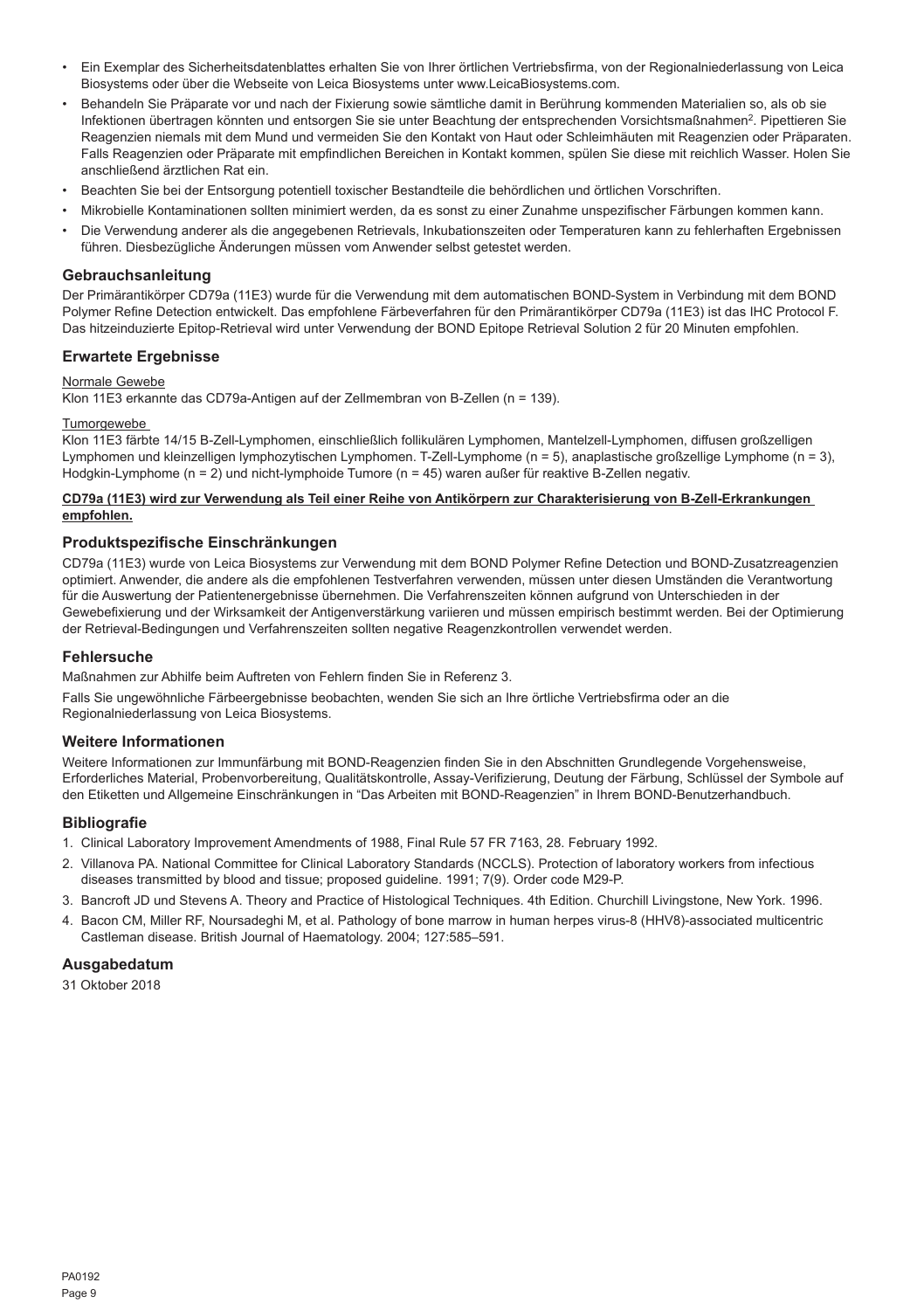- Ein Exemplar des Sicherheitsdatenblattes erhalten Sie von Ihrer örtlichen Vertriebsfirma, von der Regionalniederlassung von Leica Biosystems oder über die Webseite von Leica Biosystems unter www.LeicaBiosystems.com.
- Behandeln Sie Präparate vor und nach der Fixierung sowie sämtliche damit in Berührung kommenden Materialien so, als ob sie Infektionen übertragen könnten und entsorgen Sie sie unter Beachtung der entsprechenden Vorsichtsmaßnahmen<sup>2</sup>. Pipettieren Sie Reagenzien niemals mit dem Mund und vermeiden Sie den Kontakt von Haut oder Schleimhäuten mit Reagenzien oder Präparaten. Falls Reagenzien oder Präparate mit empfindlichen Bereichen in Kontakt kommen, spülen Sie diese mit reichlich Wasser. Holen Sie anschließend ärztlichen Rat ein.
- Beachten Sie bei der Entsorgung potentiell toxischer Bestandteile die behördlichen und örtlichen Vorschriften.
- Mikrobielle Kontaminationen sollten minimiert werden, da es sonst zu einer Zunahme unspezifischer Färbungen kommen kann.
- Die Verwendung anderer als die angegebenen Retrievals, Inkubationszeiten oder Temperaturen kann zu fehlerhaften Ergebnissen führen. Diesbezügliche Änderungen müssen vom Anwender selbst getestet werden.

### **Gebrauchsanleitung**

Der Primärantikörper CD79a (11E3) wurde für die Verwendung mit dem automatischen BOND-System in Verbindung mit dem BOND Polymer Refine Detection entwickelt. Das empfohlene Färbeverfahren für den Primärantikörper CD79a (11E3) ist das IHC Protocol F. Das hitzeinduzierte Epitop-Retrieval wird unter Verwendung der BOND Epitope Retrieval Solution 2 für 20 Minuten empfohlen.

### **Erwartete Ergebnisse**

### Normale Gewebe

Klon 11E3 erkannte das CD79a-Antigen auf der Zellmembran von B-Zellen (n = 139).

#### **Tumorgewebe**

Klon 11E3 färbte 14/15 B-Zell-Lymphomen, einschließlich follikulären Lymphomen, Mantelzell-Lymphomen, diffusen großzelligen Lymphomen und kleinzelligen lymphozytischen Lymphomen. T-Zell-Lymphome (n = 5), anaplastische großzellige Lymphome (n = 3), Hodgkin-Lymphome (n = 2) und nicht-lymphoide Tumore (n = 45) waren außer für reaktive B-Zellen negativ.

### **CD79a (11E3) wird zur Verwendung als Teil einer Reihe von Antikörpern zur Charakterisierung von B-Zell-Erkrankungen empfohlen.**

## **Produktspezifische Einschränkungen**

CD79a (11E3) wurde von Leica Biosystems zur Verwendung mit dem BOND Polymer Refine Detection und BOND-Zusatzreagenzien optimiert. Anwender, die andere als die empfohlenen Testverfahren verwenden, müssen unter diesen Umständen die Verantwortung für die Auswertung der Patientenergebnisse übernehmen. Die Verfahrenszeiten können aufgrund von Unterschieden in der Gewebefixierung und der Wirksamkeit der Antigenverstärkung variieren und müssen empirisch bestimmt werden. Bei der Optimierung der Retrieval-Bedingungen und Verfahrenszeiten sollten negative Reagenzkontrollen verwendet werden.

## **Fehlersuche**

Maßnahmen zur Abhilfe beim Auftreten von Fehlern finden Sie in Referenz 3.

Falls Sie ungewöhnliche Färbeergebnisse beobachten, wenden Sie sich an Ihre örtliche Vertriebsfirma oder an die Regionalniederlassung von Leica Biosystems.

### **Weitere Informationen**

Weitere Informationen zur Immunfärbung mit BOND-Reagenzien finden Sie in den Abschnitten Grundlegende Vorgehensweise, Erforderliches Material, Probenvorbereitung, Qualitätskontrolle, Assay-Verifizierung, Deutung der Färbung, Schlüssel der Symbole auf den Etiketten und Allgemeine Einschränkungen in "Das Arbeiten mit BOND-Reagenzien" in Ihrem BOND-Benutzerhandbuch.

## **Bibliografie**

- 1. Clinical Laboratory Improvement Amendments of 1988, Final Rule 57 FR 7163, 28. February 1992.
- 2. Villanova PA. National Committee for Clinical Laboratory Standards (NCCLS). Protection of laboratory workers from infectious diseases transmitted by blood and tissue; proposed guideline. 1991; 7(9). Order code M29-P.
- 3. Bancroft JD und Stevens A. Theory and Practice of Histological Techniques. 4th Edition. Churchill Livingstone, New York. 1996.
- 4. Bacon CM, Miller RF, Noursadeghi M, et al. Pathology of bone marrow in human herpes virus-8 (HHV8)-associated multicentric Castleman disease. British Journal of Haematology. 2004; 127:585–591.

## **Ausgabedatum**

31 Oktober 2018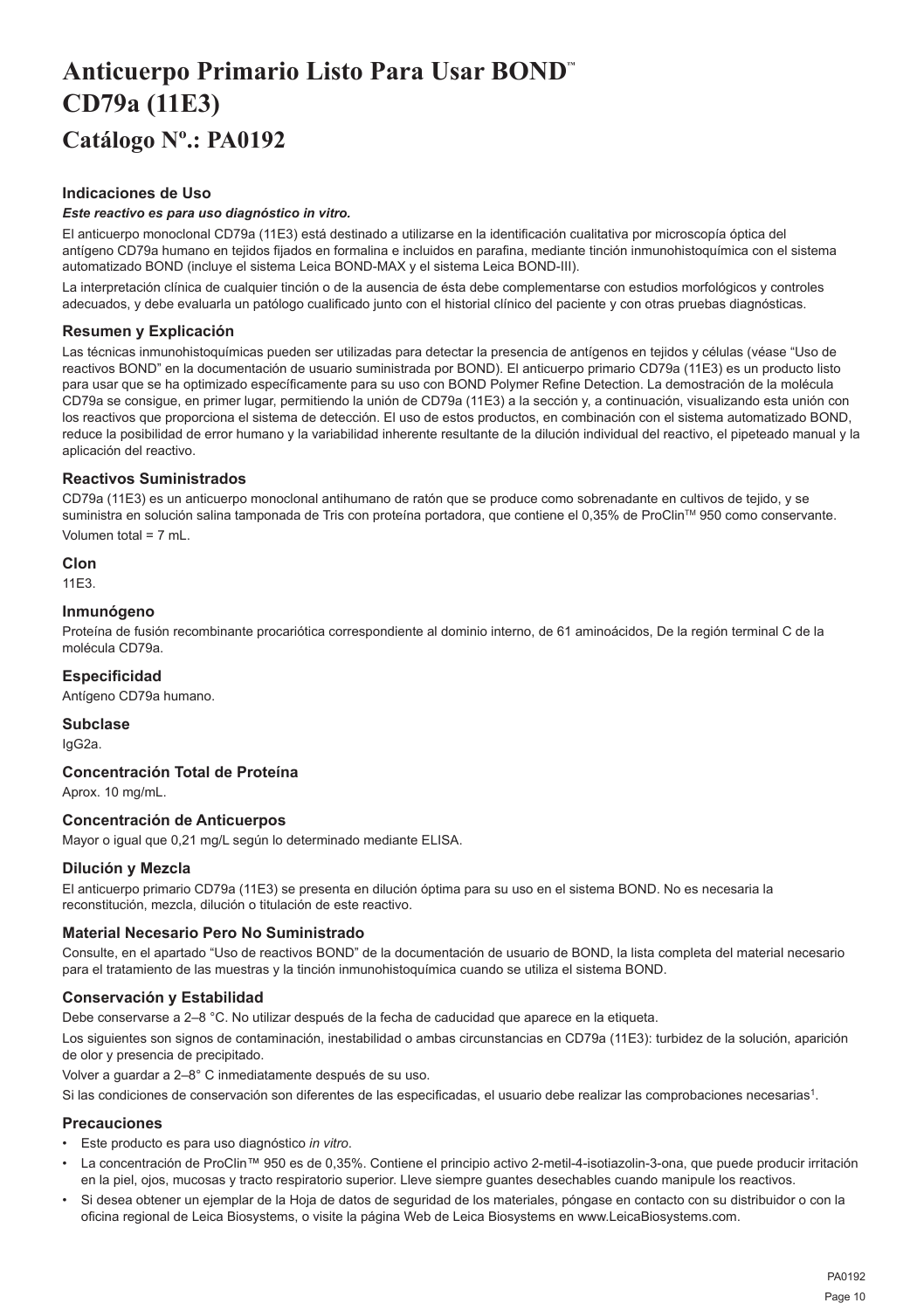## <span id="page-10-0"></span>**Anticuerpo Primario Listo Para Usar BOND™ CD79a (11E3) Catálogo Nº.: PA0192**

## **Indicaciones de Uso**

#### *Este reactivo es para uso diagnóstico in vitro.*

El anticuerpo monoclonal CD79a (11E3) está destinado a utilizarse en la identificación cualitativa por microscopía óptica del antígeno CD79a humano en tejidos fijados en formalina e incluidos en parafina, mediante tinción inmunohistoquímica con el sistema automatizado BOND (incluye el sistema Leica BOND-MAX y el sistema Leica BOND-III).

La interpretación clínica de cualquier tinción o de la ausencia de ésta debe complementarse con estudios morfológicos y controles adecuados, y debe evaluarla un patólogo cualificado junto con el historial clínico del paciente y con otras pruebas diagnósticas.

## **Resumen y Explicación**

Las técnicas inmunohistoquímicas pueden ser utilizadas para detectar la presencia de antígenos en tejidos y células (véase "Uso de reactivos BOND" en la documentación de usuario suministrada por BOND). El anticuerpo primario CD79a (11E3) es un producto listo para usar que se ha optimizado específicamente para su uso con BOND Polymer Refine Detection. La demostración de la molécula CD79a se consigue, en primer lugar, permitiendo la unión de CD79a (11E3) a la sección y, a continuación, visualizando esta unión con los reactivos que proporciona el sistema de detección. El uso de estos productos, en combinación con el sistema automatizado BOND, reduce la posibilidad de error humano y la variabilidad inherente resultante de la dilución individual del reactivo, el pipeteado manual y la aplicación del reactivo.

## **Reactivos Suministrados**

CD79a (11E3) es un anticuerpo monoclonal antihumano de ratón que se produce como sobrenadante en cultivos de tejido, y se suministra en solución salina tamponada de Tris con proteína portadora, que contiene el 0,35% de ProClin™ 950 como conservante. Volumen total = 7 mL.

### **Clon**

11E3.

## **Inmunógeno**

Proteína de fusión recombinante procariótica correspondiente al dominio interno, de 61 aminoácidos, De la región terminal C de la molécula CD79a.

## **Especificidad**

Antígeno CD79a humano.

**Subclase**

IgG2a.

## **Concentración Total de Proteína**

Aprox. 10 mg/mL.

## **Concentración de Anticuerpos**

Mayor o igual que 0,21 mg/L según lo determinado mediante ELISA.

#### **Dilución y Mezcla**

El anticuerpo primario CD79a (11E3) se presenta en dilución óptima para su uso en el sistema BOND. No es necesaria la reconstitución, mezcla, dilución o titulación de este reactivo.

#### **Material Necesario Pero No Suministrado**

Consulte, en el apartado "Uso de reactivos BOND" de la documentación de usuario de BOND, la lista completa del material necesario para el tratamiento de las muestras y la tinción inmunohistoquímica cuando se utiliza el sistema BOND.

## **Conservación y Estabilidad**

Debe conservarse a 2–8 °C. No utilizar después de la fecha de caducidad que aparece en la etiqueta.

Los siguientes son signos de contaminación, inestabilidad o ambas circunstancias en CD79a (11E3): turbidez de la solución, aparición de olor y presencia de precipitado.

Volver a guardar a 2–8° C inmediatamente después de su uso.

Si las condiciones de conservación son diferentes de las especificadas, el usuario debe realizar las comprobaciones necesarias<sup>1</sup>.

## **Precauciones**

- Este producto es para uso diagnóstico *in vitro*.
- La concentración de ProClin™ 950 es de 0,35%. Contiene el principio activo 2-metil-4-isotiazolin-3-ona, que puede producir irritación en la piel, ojos, mucosas y tracto respiratorio superior. Lleve siempre guantes desechables cuando manipule los reactivos.
- Si desea obtener un ejemplar de la Hoja de datos de seguridad de los materiales, póngase en contacto con su distribuidor o con la oficina regional de Leica Biosystems, o visite la página Web de Leica Biosystems en www.LeicaBiosystems.com.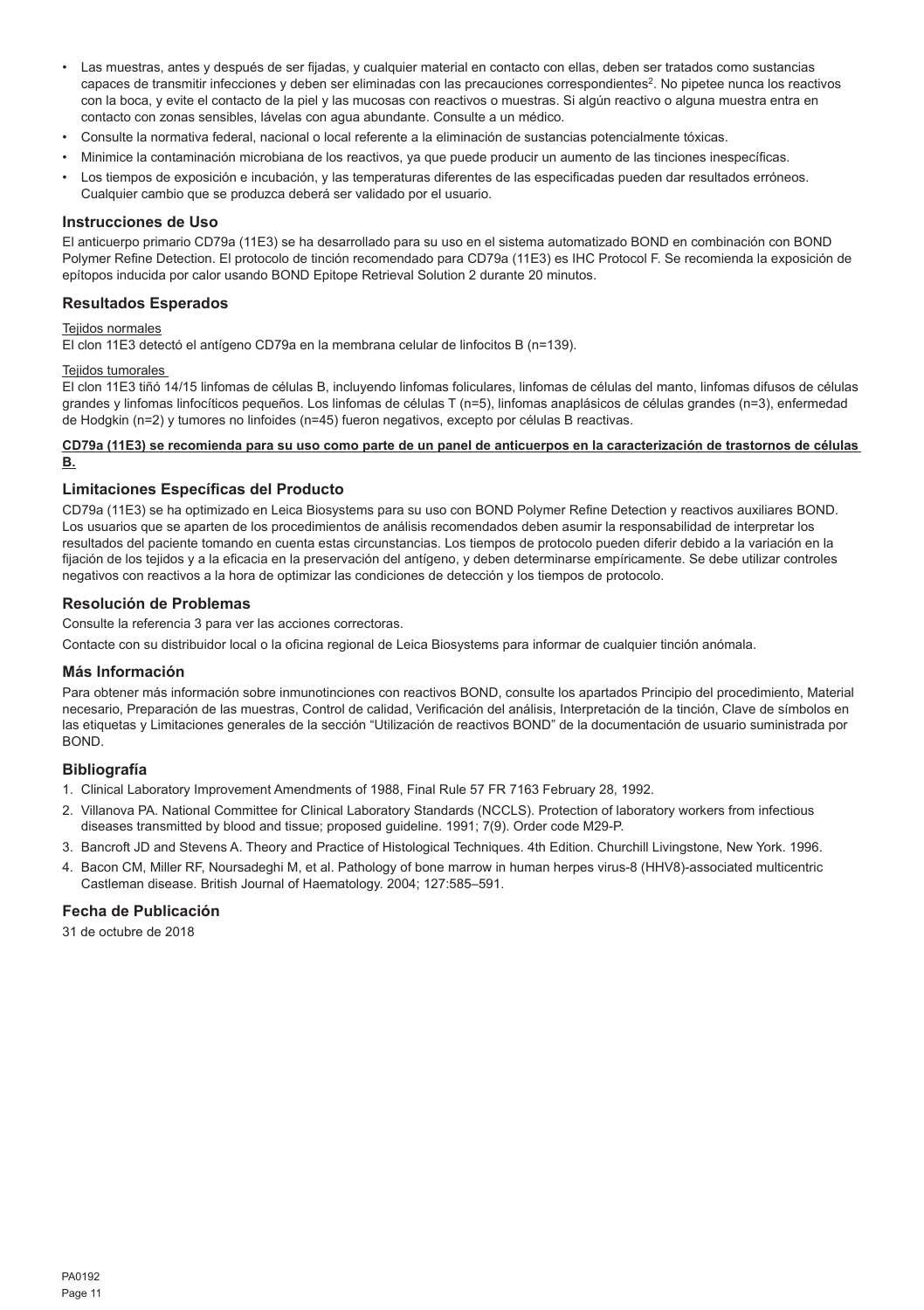- Las muestras, antes y después de ser fijadas, y cualquier material en contacto con ellas, deben ser tratados como sustancias capaces de transmitir infecciones y deben ser eliminadas con las precauciones correspondientes<sup>2</sup>. No pipetee nunca los reactivos con la boca, y evite el contacto de la piel y las mucosas con reactivos o muestras. Si algún reactivo o alguna muestra entra en contacto con zonas sensibles, lávelas con agua abundante. Consulte a un médico.
- Consulte la normativa federal, nacional o local referente a la eliminación de sustancias potencialmente tóxicas.
- Minimice la contaminación microbiana de los reactivos, ya que puede producir un aumento de las tinciones inespecíficas.
- Los tiempos de exposición e incubación, y las temperaturas diferentes de las especificadas pueden dar resultados erróneos. Cualquier cambio que se produzca deberá ser validado por el usuario.

#### **Instrucciones de Uso**

El anticuerpo primario CD79a (11E3) se ha desarrollado para su uso en el sistema automatizado BOND en combinación con BOND Polymer Refine Detection. El protocolo de tinción recomendado para CD79a (11E3) es IHC Protocol F. Se recomienda la exposición de epítopos inducida por calor usando BOND Epitope Retrieval Solution 2 durante 20 minutos.

## **Resultados Esperados**

#### Tejidos normales

El clon 11E3 detectó el antígeno CD79a en la membrana celular de linfocitos B (n=139).

## Teiidos tumorales

El clon 11E3 tiñó 14/15 linfomas de células B, incluyendo linfomas foliculares, linfomas de células del manto, linfomas difusos de células grandes y linfomas linfocíticos pequeños. Los linfomas de células T (n=5), linfomas anaplásicos de células grandes (n=3), enfermedad de Hodgkin (n=2) y tumores no linfoides (n=45) fueron negativos, excepto por células B reactivas.

#### **CD79a (11E3) se recomienda para su uso como parte de un panel de anticuerpos en la caracterización de trastornos de células B.**

#### **Limitaciones Específicas del Producto**

CD79a (11E3) se ha optimizado en Leica Biosystems para su uso con BOND Polymer Refine Detection y reactivos auxiliares BOND. Los usuarios que se aparten de los procedimientos de análisis recomendados deben asumir la responsabilidad de interpretar los resultados del paciente tomando en cuenta estas circunstancias. Los tiempos de protocolo pueden diferir debido a la variación en la fijación de los tejidos y a la eficacia en la preservación del antígeno, y deben determinarse empíricamente. Se debe utilizar controles negativos con reactivos a la hora de optimizar las condiciones de detección y los tiempos de protocolo.

## **Resolución de Problemas**

Consulte la referencia 3 para ver las acciones correctoras.

Contacte con su distribuidor local o la oficina regional de Leica Biosystems para informar de cualquier tinción anómala.

## **Más Información**

Para obtener más información sobre inmunotinciones con reactivos BOND, consulte los apartados Principio del procedimiento, Material necesario, Preparación de las muestras. Control de calidad, Verificación del análisis, Interpretación de la tinción, Clave de símbolos en las etiquetas y Limitaciones generales de la sección "Utilización de reactivos BOND" de la documentación de usuario suministrada por BOND.

## **Bibliografía**

- 1. Clinical Laboratory Improvement Amendments of 1988, Final Rule 57 FR 7163 February 28, 1992.
- 2. Villanova PA. National Committee for Clinical Laboratory Standards (NCCLS). Protection of laboratory workers from infectious diseases transmitted by blood and tissue; proposed guideline. 1991; 7(9). Order code M29-P.
- 3. Bancroft JD and Stevens A. Theory and Practice of Histological Techniques. 4th Edition. Churchill Livingstone, New York. 1996.
- 4. Bacon CM, Miller RF, Noursadeghi M, et al. Pathology of bone marrow in human herpes virus-8 (HHV8)-associated multicentric Castleman disease. British Journal of Haematology. 2004; 127:585–591.

### **Fecha de Publicación**

31 de octubre de 2018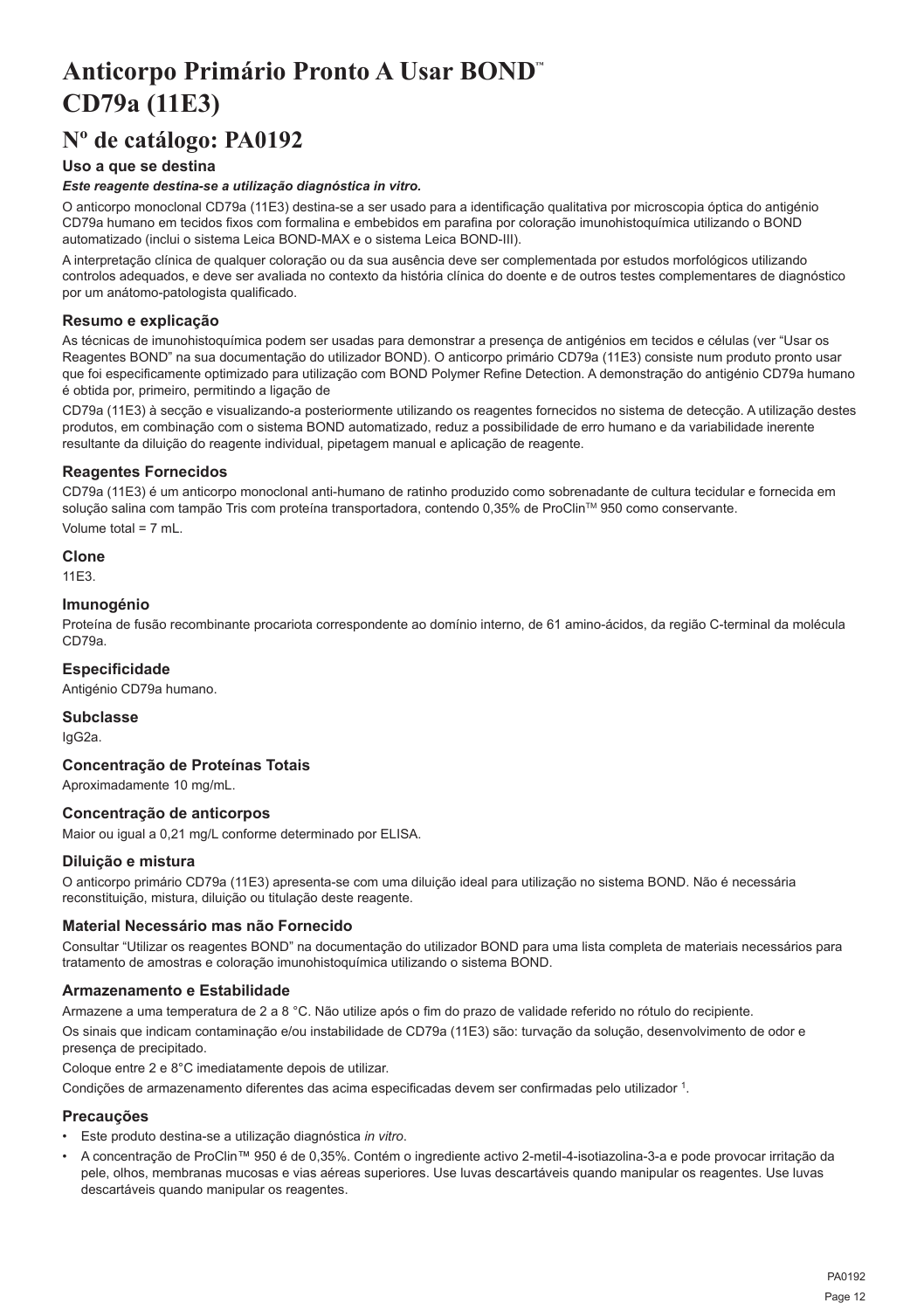## <span id="page-12-0"></span>**Anticorpo Primário Pronto A Usar BOND™ CD79a (11E3)**

## **Nº de catálogo: PA0192**

## **Uso a que se destina**

### *Este reagente destina-se a utilização diagnóstica in vitro.*

O anticorpo monoclonal CD79a (11E3) destina-se a ser usado para a identificação qualitativa por microscopia óptica do antigénio CD79a humano em tecidos fixos com formalina e embebidos em parafina por coloração imunohistoquímica utilizando o BOND automatizado (inclui o sistema Leica BOND-MAX e o sistema Leica BOND-III).

A interpretação clínica de qualquer coloração ou da sua ausência deve ser complementada por estudos morfológicos utilizando controlos adequados, e deve ser avaliada no contexto da história clínica do doente e de outros testes complementares de diagnóstico por um anátomo-patologista qualificado.

## **Resumo e explicação**

As técnicas de imunohistoquímica podem ser usadas para demonstrar a presença de antigénios em tecidos e células (ver "Usar os Reagentes BOND" na sua documentação do utilizador BOND). O anticorpo primário CD79a (11E3) consiste num produto pronto usar que foi especificamente optimizado para utilização com BOND Polymer Refine Detection. A demonstração do antigénio CD79a humano é obtida por, primeiro, permitindo a ligação de

CD79a (11E3) à secção e visualizando-a posteriormente utilizando os reagentes fornecidos no sistema de detecção. A utilização destes produtos, em combinação com o sistema BOND automatizado, reduz a possibilidade de erro humano e da variabilidade inerente resultante da diluição do reagente individual, pipetagem manual e aplicação de reagente.

## **Reagentes Fornecidos**

CD79a (11E3) é um anticorpo monoclonal anti-humano de ratinho produzido como sobrenadante de cultura tecidular e fornecida em solução salina com tampão Tris com proteína transportadora, contendo 0,35% de ProClin™ 950 como conservante. Volume total = 7 mL.

## **Clone**

11E3.

## **Imunogénio**

Proteína de fusão recombinante procariota correspondente ao domínio interno, de 61 amino-ácidos, da região C-terminal da molécula CD79a.

## **Especificidade**

Antigénio CD79a humano.

## **Subclasse**

IgG2a.

## **Concentração de Proteínas Totais**

Aproximadamente 10 mg/mL.

## **Concentração de anticorpos**

Maior ou igual a 0,21 mg/L conforme determinado por ELISA.

## **Diluição e mistura**

O anticorpo primário CD79a (11E3) apresenta-se com uma diluição ideal para utilização no sistema BOND. Não é necessária reconstituição, mistura, diluição ou titulação deste reagente.

#### **Material Necessário mas não Fornecido**

Consultar "Utilizar os reagentes BOND" na documentação do utilizador BOND para uma lista completa de materiais necessários para tratamento de amostras e coloração imunohistoquímica utilizando o sistema BOND.

## **Armazenamento e Estabilidade**

Armazene a uma temperatura de 2 a 8 °C. Não utilize após o fim do prazo de validade referido no rótulo do recipiente. Os sinais que indicam contaminação e/ou instabilidade de CD79a (11E3) são: turvação da solução, desenvolvimento de odor e presença de precipitado.

Coloque entre 2 e 8°C imediatamente depois de utilizar.

Condições de armazenamento diferentes das acima especificadas devem ser confirmadas pelo utilizador <sup>1</sup>.

## **Precauções**

- Este produto destina-se a utilização diagnóstica *in vitro*.
- A concentração de ProClin™ 950 é de 0,35%. Contém o ingrediente activo 2-metil-4-isotiazolina-3-a e pode provocar irritação da pele, olhos, membranas mucosas e vias aéreas superiores. Use luvas descartáveis quando manipular os reagentes. Use luvas descartáveis quando manipular os reagentes.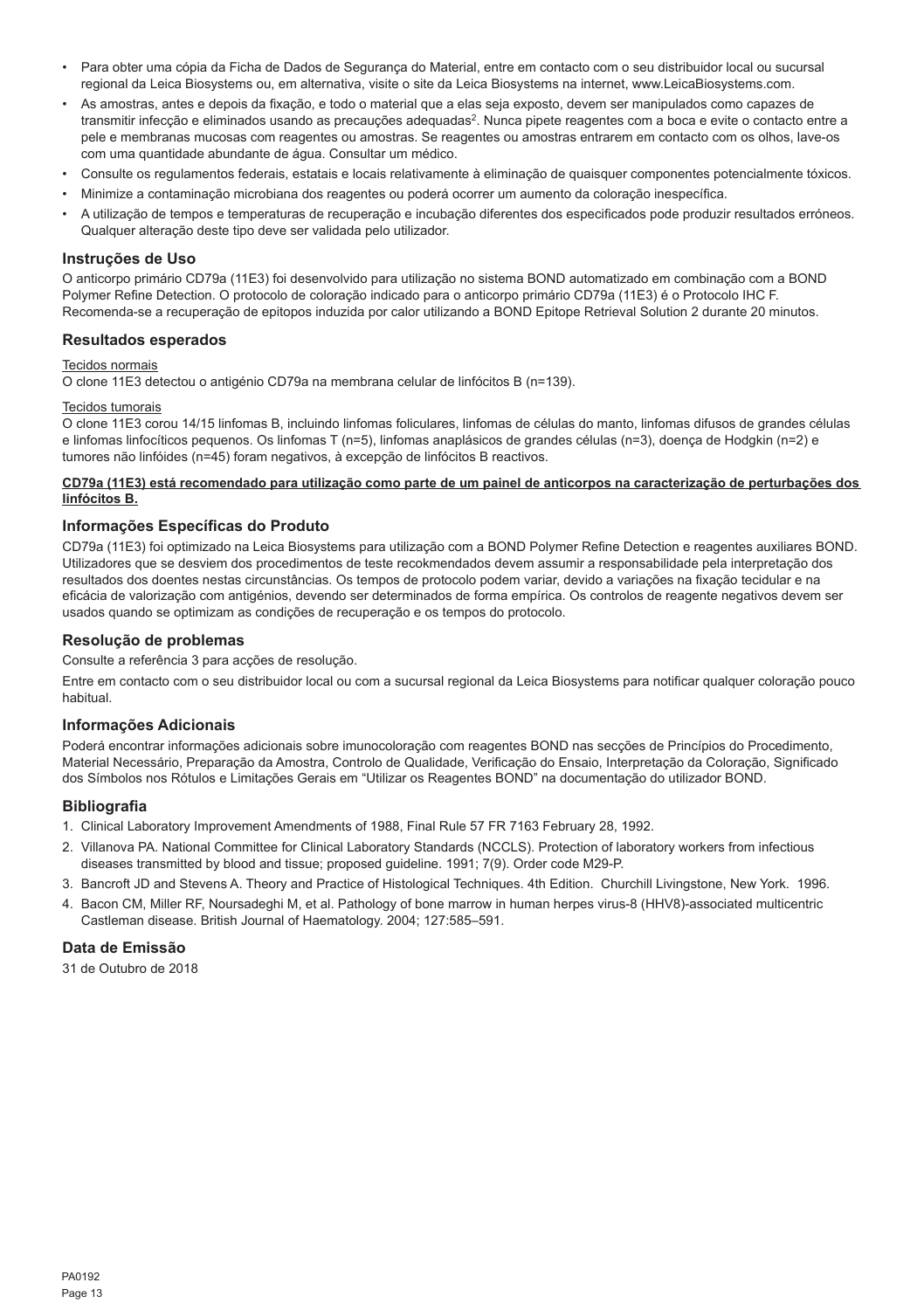- Para obter uma cópia da Ficha de Dados de Segurança do Material, entre em contacto com o seu distribuidor local ou sucursal regional da Leica Biosystems ou, em alternativa, visite o site da Leica Biosystems na internet, www.LeicaBiosystems.com.
- As amostras, antes e depois da fixação, e todo o material que a elas seja exposto, devem ser manipulados como capazes de transmitir infecção e eliminados usando as precauções adequadas<sup>2</sup>. Nunca pipete reagentes com a boca e evite o contacto entre a pele e membranas mucosas com reagentes ou amostras. Se reagentes ou amostras entrarem em contacto com os olhos, lave-os com uma quantidade abundante de água. Consultar um médico.
- Consulte os regulamentos federais, estatais e locais relativamente à eliminação de quaisquer componentes potencialmente tóxicos.
- Minimize a contaminação microbiana dos reagentes ou poderá ocorrer um aumento da coloração inespecífica.
- A utilização de tempos e temperaturas de recuperação e incubação diferentes dos especificados pode produzir resultados erróneos. Qualquer alteração deste tipo deve ser validada pelo utilizador.

## **Instruções de Uso**

O anticorpo primário CD79a (11E3) foi desenvolvido para utilização no sistema BOND automatizado em combinação com a BOND Polymer Refine Detection. O protocolo de coloração indicado para o anticorpo primário CD79a (11E3) é o Protocolo IHC F. Recomenda-se a recuperação de epitopos induzida por calor utilizando a BOND Epitope Retrieval Solution 2 durante 20 minutos.

### **Resultados esperados**

#### Tecidos normais

O clone 11E3 detectou o antigénio CD79a na membrana celular de linfócitos B (n=139).

#### Tecidos tumorais

O clone 11E3 corou 14/15 linfomas B, incluindo linfomas foliculares, linfomas de células do manto, linfomas difusos de grandes células e linfomas linfocíticos pequenos. Os linfomas T (n=5), linfomas anaplásicos de grandes células (n=3), doença de Hodgkin (n=2) e tumores não linfóides (n=45) foram negativos, à excepção de linfócitos B reactivos.

#### **CD79a (11E3) está recomendado para utilização como parte de um painel de anticorpos na caracterização de perturbações dos linfócitos B.**

## **Informações Específicas do Produto**

CD79a (11E3) foi optimizado na Leica Biosystems para utilização com a BOND Polymer Refine Detection e reagentes auxiliares BOND. Utilizadores que se desviem dos procedimentos de teste recokmendados devem assumir a responsabilidade pela interpretação dos resultados dos doentes nestas circunstâncias. Os tempos de protocolo podem variar, devido a variações na fixação tecidular e na eficácia de valorização com antigénios, devendo ser determinados de forma empírica. Os controlos de reagente negativos devem ser usados quando se optimizam as condições de recuperação e os tempos do protocolo.

### **Resolução de problemas**

Consulte a referência 3 para acções de resolução.

Entre em contacto com o seu distribuidor local ou com a sucursal regional da Leica Biosystems para notificar qualquer coloração pouco habitual.

#### **Informações Adicionais**

Poderá encontrar informações adicionais sobre imunocoloração com reagentes BOND nas secções de Princípios do Procedimento, Material Necessário, Preparação da Amostra, Controlo de Qualidade, Verificação do Ensaio, Interpretação da Coloração, Significado dos Símbolos nos Rótulos e Limitações Gerais em "Utilizar os Reagentes BOND" na documentação do utilizador BOND.

## **Bibliografia**

- 1. Clinical Laboratory Improvement Amendments of 1988, Final Rule 57 FR 7163 February 28, 1992.
- 2. Villanova PA. National Committee for Clinical Laboratory Standards (NCCLS). Protection of laboratory workers from infectious diseases transmitted by blood and tissue; proposed guideline. 1991; 7(9). Order code M29-P.
- 3. Bancroft JD and Stevens A. Theory and Practice of Histological Techniques. 4th Edition. Churchill Livingstone, New York. 1996.
- 4. Bacon CM, Miller RF, Noursadeghi M, et al. Pathology of bone marrow in human herpes virus-8 (HHV8)-associated multicentric Castleman disease. British Journal of Haematology. 2004; 127:585–591.

## **Data de Emissão**

31 de Outubro de 2018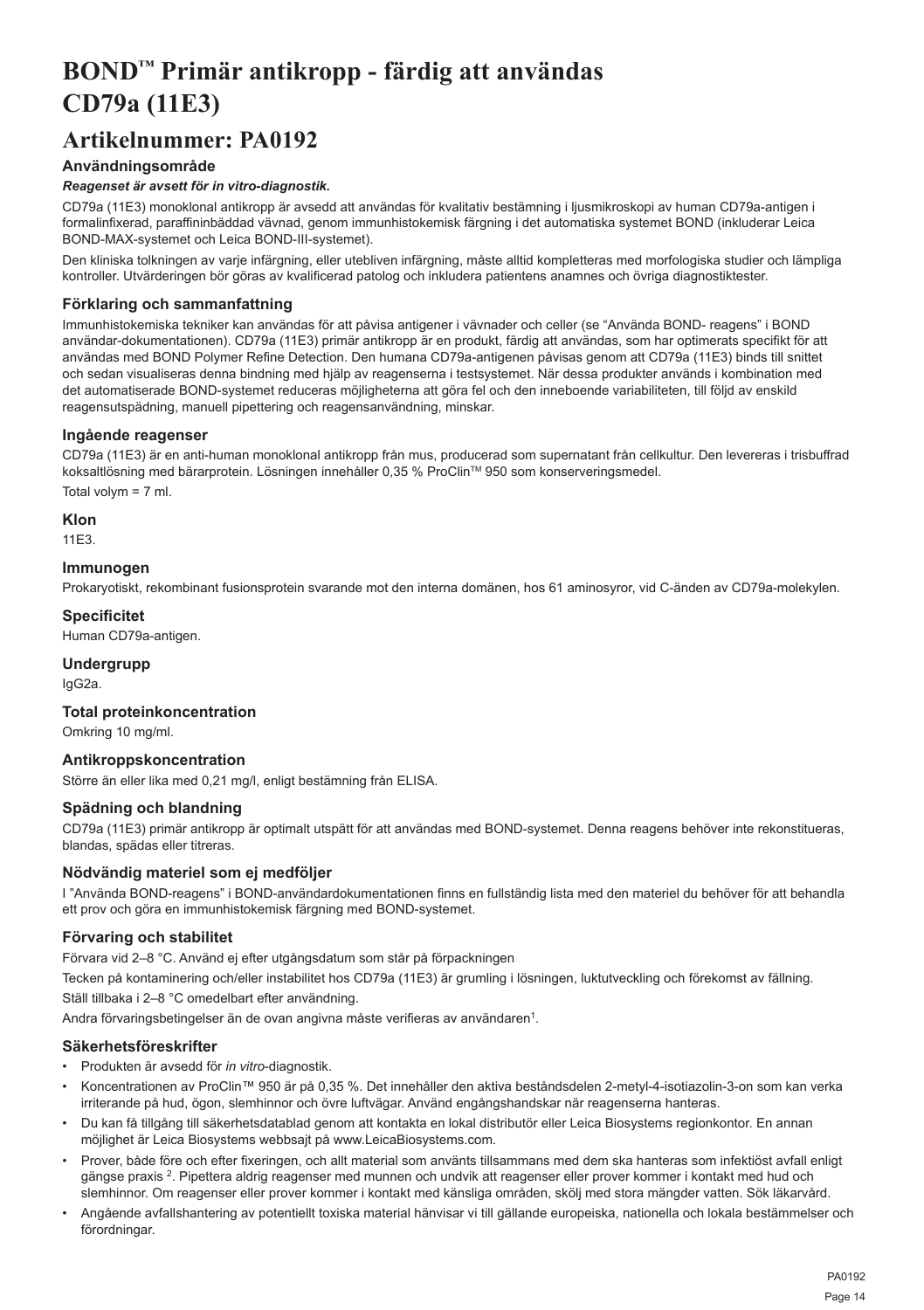## <span id="page-14-0"></span>**BOND™ Primär antikropp - färdig att användas CD79a (11E3)**

## **Artikelnummer: PA0192**

## **Användningsområde**

## *Reagenset är avsett för in vitro-diagnostik.*

CD79a (11E3) monoklonal antikropp är avsedd att användas för kvalitativ bestämning i ljusmikroskopi av human CD79a-antigen i formalinfixerad, paraffininbäddad vävnad, genom immunhistokemisk färgning i det automatiska systemet BOND (inkluderar Leica BOND-MAX-systemet och Leica BOND-III-systemet).

Den kliniska tolkningen av varje infärgning, eller utebliven infärgning, måste alltid kompletteras med morfologiska studier och lämpliga kontroller. Utvärderingen bör göras av kvalificerad patolog och inkludera patientens anamnes och övriga diagnostiktester.

## **Förklaring och sammanfattning**

Immunhistokemiska tekniker kan användas för att påvisa antigener i vävnader och celler (se "Använda BOND- reagens" i BOND användar-dokumentationen). CD79a (11E3) primär antikropp är en produkt, färdig att användas, som har optimerats specifikt för att användas med BOND Polymer Refine Detection. Den humana CD79a-antigenen påvisas genom att CD79a (11E3) binds till snittet och sedan visualiseras denna bindning med hjälp av reagenserna i testsystemet. När dessa produkter används i kombination med det automatiserade BOND-systemet reduceras möjligheterna att göra fel och den inneboende variabiliteten, till följd av enskild reagensutspädning, manuell pipettering och reagensanvändning, minskar.

### **Ingående reagenser**

CD79a (11E3) är en anti-human monoklonal antikropp från mus, producerad som supernatant från cellkultur. Den levereras i trisbuffrad koksaltlösning med bärarprotein. Lösningen innehåller 0,35 % ProClinTM 950 som konserveringsmedel. Total volym = 7 ml.

**Klon**

11E3.

### **Immunogen**

Prokaryotiskt, rekombinant fusionsprotein svarande mot den interna domänen, hos 61 aminosyror, vid C-änden av CD79a-molekylen.

**Specificitet**

Human CD79a-antigen.

## **Undergrupp**

IgG2a.

#### **Total proteinkoncentration**

Omkring 10 mg/ml.

## **Antikroppskoncentration**

Större än eller lika med 0,21 mg/l, enligt bestämning från ELISA.

## **Spädning och blandning**

CD79a (11E3) primär antikropp är optimalt utspätt för att användas med BOND-systemet. Denna reagens behöver inte rekonstitueras, blandas, spädas eller titreras.

## **Nödvändig materiel som ej medföljer**

I "Använda BOND-reagens" i BOND-användardokumentationen finns en fullständig lista med den materiel du behöver för att behandla ett prov och göra en immunhistokemisk färgning med BOND-systemet.

## **Förvaring och stabilitet**

Förvara vid 2–8 °C. Använd ej efter utgångsdatum som står på förpackningen

Tecken på kontaminering och/eller instabilitet hos CD79a (11E3) är grumling i lösningen, luktutveckling och förekomst av fällning. Ställ tillbaka i 2–8 °C omedelbart efter användning.

Andra förvaringsbetingelser än de ovan angivna måste verifieras av användaren<sup>1</sup>.

## **Säkerhetsföreskrifter**

- Produkten är avsedd för *in vitro*-diagnostik.
- Koncentrationen av ProClin™ 950 är på 0,35 %. Det innehåller den aktiva beståndsdelen 2-metyl-4-isotiazolin-3-on som kan verka irriterande på hud, ögon, slemhinnor och övre luftvägar. Använd engångshandskar när reagenserna hanteras.
- Du kan få tillgång till säkerhetsdatablad genom att kontakta en lokal distributör eller Leica Biosystems regionkontor. En annan möjlighet är Leica Biosystems webbsajt på www.LeicaBiosystems.com.
- Prover, både före och efter fixeringen, och allt material som använts tillsammans med dem ska hanteras som infektiöst avfall enligt gängse praxis <sup>2</sup>. Pipettera aldrig reagenser med munnen och undvik att reagenser eller prover kommer i kontakt med hud och slemhinnor. Om reagenser eller prover kommer i kontakt med känsliga områden, skölj med stora mängder vatten. Sök läkarvård.
- Angående avfallshantering av potentiellt toxiska material hänvisar vi till gällande europeiska, nationella och lokala bestämmelser och förordningar.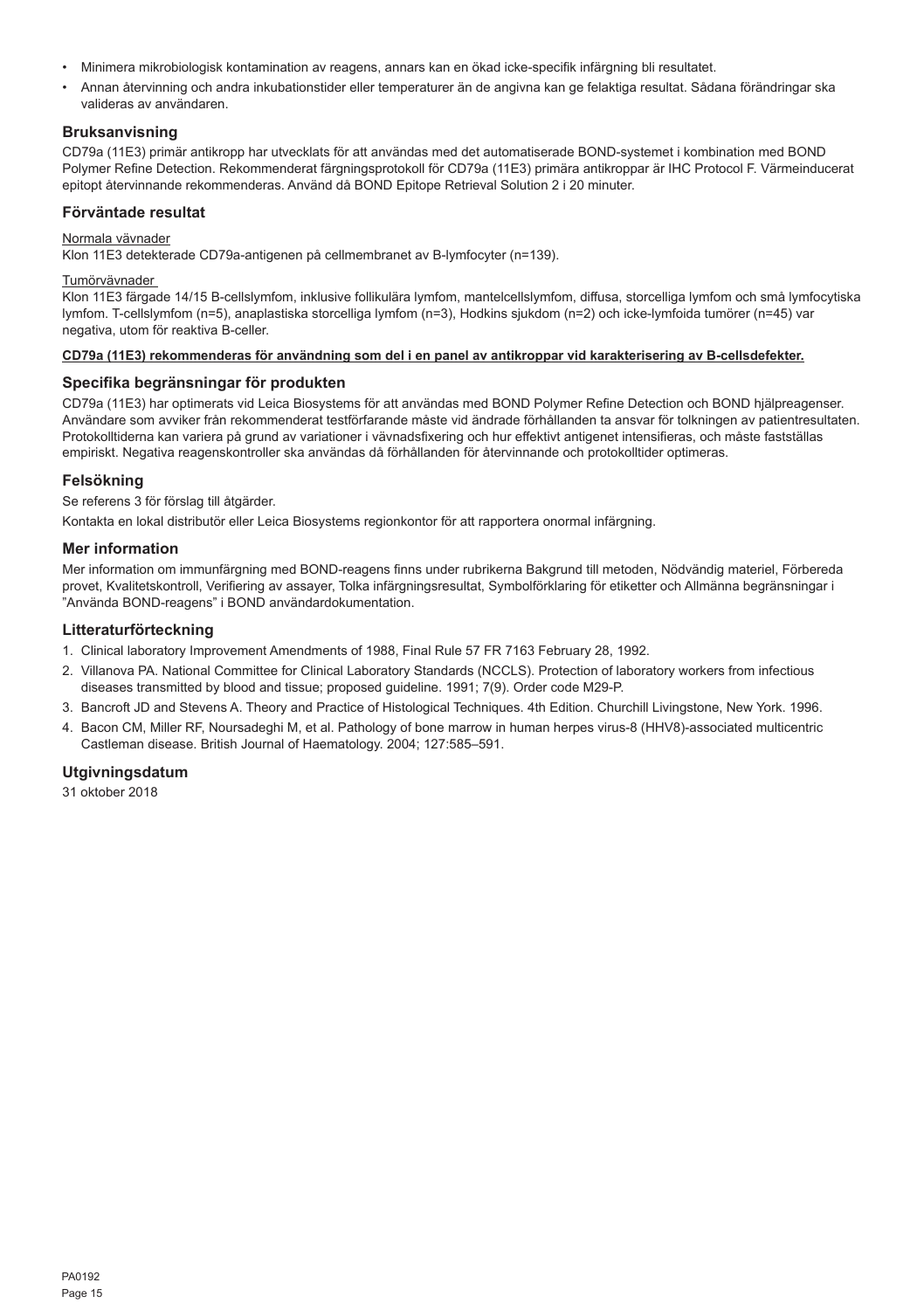- Minimera mikrobiologisk kontamination av reagens, annars kan en ökad icke-specifik infärgning bli resultatet.
- Annan återvinning och andra inkubationstider eller temperaturer än de angivna kan ge felaktiga resultat. Sådana förändringar ska valideras av användaren.

## **Bruksanvisning**

CD79a (11E3) primär antikropp har utvecklats för att användas med det automatiserade BOND-systemet i kombination med BOND Polymer Refine Detection. Rekommenderat färgningsprotokoll för CD79a (11E3) primära antikroppar är IHC Protocol F. Värmeinducerat epitopt återvinnande rekommenderas. Använd då BOND Epitope Retrieval Solution 2 i 20 minuter.

#### **Förväntade resultat**

#### Normala vävnader

Klon 11E3 detekterade CD79a-antigenen på cellmembranet av B-lymfocyter (n=139).

#### Tumörvävnader

Klon 11E3 färgade 14/15 B-cellslymfom, inklusive follikulära lymfom, mantelcellslymfom, diffusa, storcelliga lymfom och små lymfocytiska lymfom. T-cellslymfom (n=5), anaplastiska storcelliga lymfom (n=3), Hodkins sjukdom (n=2) och icke-lymfoida tumörer (n=45) var negativa, utom för reaktiva B-celler.

#### **CD79a (11E3) rekommenderas för användning som del i en panel av antikroppar vid karakterisering av B-cellsdefekter.**

### **Specifika begränsningar för produkten**

CD79a (11E3) har optimerats vid Leica Biosystems för att användas med BOND Polymer Refine Detection och BOND hjälpreagenser. Användare som avviker från rekommenderat testförfarande måste vid ändrade förhållanden ta ansvar för tolkningen av patientresultaten. Protokolltiderna kan variera på grund av variationer i vävnadsfixering och hur effektivt antigenet intensifieras, och måste fastställas empiriskt. Negativa reagenskontroller ska användas då förhållanden för återvinnande och protokolltider optimeras.

## **Felsökning**

Se referens 3 för förslag till åtgärder.

Kontakta en lokal distributör eller Leica Biosystems regionkontor för att rapportera onormal infärgning.

### **Mer information**

Mer information om immunfärgning med BOND-reagens finns under rubrikerna Bakgrund till metoden, Nödvändig materiel, Förbereda provet, Kvalitetskontroll, Verifiering av assayer, Tolka infärgningsresultat, Symbolförklaring för etiketter och Allmänna begränsningar i "Använda BOND-reagens" i BOND användardokumentation.

## **Litteraturförteckning**

1. Clinical laboratory Improvement Amendments of 1988, Final Rule 57 FR 7163 February 28, 1992.

- 2. Villanova PA. National Committee for Clinical Laboratory Standards (NCCLS). Protection of laboratory workers from infectious diseases transmitted by blood and tissue; proposed guideline. 1991; 7(9). Order code M29-P.
- 3. Bancroft JD and Stevens A. Theory and Practice of Histological Techniques. 4th Edition. Churchill Livingstone, New York. 1996.
- 4. Bacon CM, Miller RF, Noursadeghi M, et al. Pathology of bone marrow in human herpes virus-8 (HHV8)-associated multicentric Castleman disease. British Journal of Haematology. 2004; 127:585–591.

## **Utgivningsdatum**

31 oktober 2018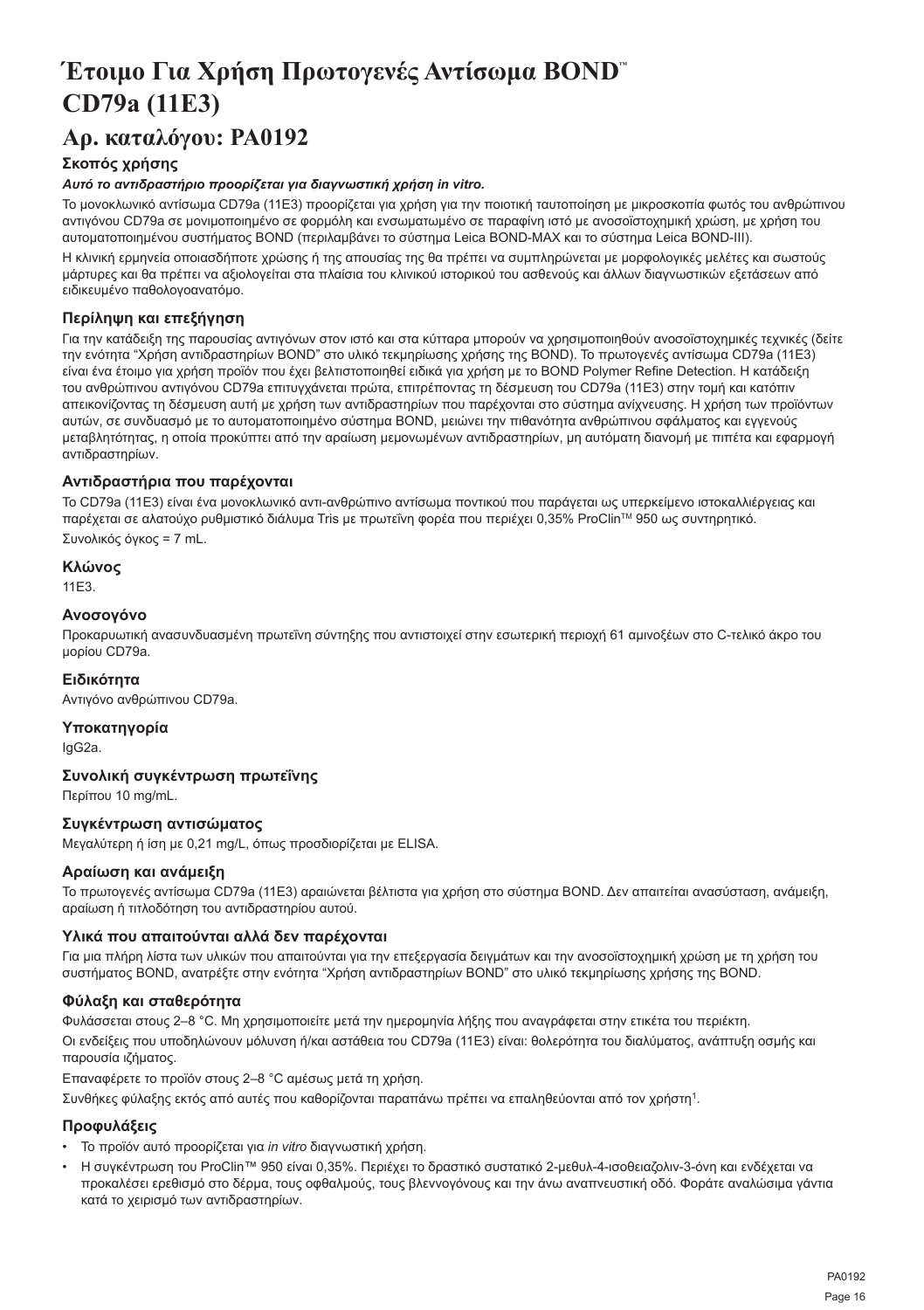## <span id="page-16-0"></span>**Έτοιμο Για Χρήση Πρωτογενές Αντίσωμα BOND™ CD79a (11E3)**

## **Αρ. καταλόγου: PA0192**

## **Σκοπός χρήσης**

## *Αυτό το αντιδραστήριο προορίζεται για διαγνωστική χρήση in vitro.*

Το μονοκλωνικό αντίσωμα CD79a (11E3) προορίζεται για χρήση για την ποιοτική ταυτοποίηση με μικροσκοπία φωτός του ανθρώπινου αντιγόνου CD79a σε μονιμοποιημένο σε φορμόλη και ενσωματωμένο σε παραφίνη ιστό με ανοσοϊστοχημική χρώση, με χρήση του αυτοματοποιημένου συστήματος BOND (περιλαμβάνει το σύστημα Leica BOND-MAX και το σύστημα Leica BOND-III).

Η κλινική ερμηνεία οποιασδήποτε χρώσης ή της απουσίας της θα πρέπει να συμπληρώνεται με μορφολογικές μελέτες και σωστούς μάρτυρες και θα πρέπει να αξιολογείται στα πλαίσια του κλινικού ιστορικού του ασθενούς και άλλων διαγνωστικών εξετάσεων από ειδικευμένο παθολογοανατόμο.

## **Περίληψη και επεξήγηση**

Για την κατάδειξη της παρουσίας αντιγόνων στον ιστό και στα κύτταρα μπορούν να χρησιμοποιηθούν ανοσοϊστοχημικές τεχνικές (δείτε την ενότητα "Χρήση αντιδραστηρίων BOND" στο υλικό τεκμηρίωσης χρήσης της BOND). Το πρωτογενές αντίσωμα CD79a (11E3) είναι ένα έτοιμο για χρήση προϊόν που έχει βελτιστοποιηθεί ειδικά για χρήση με το BOND Polymer Refine Detection. Η κατάδειξη του ανθρώπινου αντιγόνου CD79a επιτυγχάνεται πρώτα, επιτρέποντας τη δέσμευση του CD79a (11E3) στην τομή και κατόπιν απεικονίζοντας τη δέσμευση αυτή με χρήση των αντιδραστηρίων που παρέχονται στο σύστημα ανίχνευσης. Η χρήση των προϊόντων αυτών, σε συνδυασμό με το αυτοματοποιημένο σύστημα BOND, μειώνει την πιθανότητα ανθρώπινου σφάλματος και εγγενούς μεταβλητότητας, η οποία προκύπτει από την αραίωση μεμονωμένων αντιδραστηρίων, μη αυτόματη διανομή με πιπέτα και εφαρμογή αντιδραστηρίων.

## **Αντιδραστήρια που παρέχονται**

Το CD79a (11E3) είναι ένα μονοκλωνικό αντι-ανθρώπινο αντίσωμα ποντικού που παράγεται ως υπερκείμενο ιστοκαλλιέργειας και παρέχεται σε αλατούχο ρυθμιστικό διάλυμα Tris με πρωτεΐνη φορέα που περιέχει 0,35% ProClinTM 950 ως συντηρητικό.

Συνολικός όγκος = 7 mL.

### **Κλώνος**

11E3.

## **Ανοσογόνο**

Προκαρυωτική ανασυνδυασμένη πρωτεΐνη σύντηξης που αντιστοιχεί στην εσωτερική περιοχή 61 αμινοξέων στο C-τελικό άκρο του μορίου CD79a.

## **Ειδικότητα**

Αντιγόνο ανθρώπινου CD79a.

## **Υποκατηγορία**

IgG2a.

## **Συνολική συγκέντρωση πρωτεΐνης**

Περίπου 10 mg/mL.

## **Συγκέντρωση αντισώματος**

Μεγαλύτερη ή ίση με 0,21 mg/L, όπως προσδιορίζεται με ELISA.

## **Αραίωση και ανάμειξη**

Το πρωτογενές αντίσωμα CD79a (11E3) αραιώνεται βέλτιστα για χρήση στο σύστημα BOND. Δεν απαιτείται ανασύσταση, ανάμειξη, αραίωση ή τιτλοδότηση του αντιδραστηρίου αυτού.

## **Υλικά που απαιτούνται αλλά δεν παρέχονται**

Για μια πλήρη λίστα των υλικών που απαιτούνται για την επεξεργασία δειγμάτων και την ανοσοϊστοχημική χρώση με τη χρήση του συστήματος BOND, ανατρέξτε στην ενότητα "Χρήση αντιδραστηρίων BOND" στο υλικό τεκμηρίωσης χρήσης της BOND.

## **Φύλαξη και σταθερότητα**

Φυλάσσεται στους 2–8 °C. Μη χρησιμοποιείτε μετά την ημερομηνία λήξης που αναγράφεται στην ετικέτα του περιέκτη. Οι ενδείξεις που υποδηλώνουν μόλυνση ή/και αστάθεια του CD79a (11E3) είναι: θολερότητα του διαλύματος, ανάπτυξη οσμής και παρουσία ιζήματος.

Επαναφέρετε το προϊόν στους 2–8 °C αμέσως μετά τη χρήση.

Συνθήκες φύλαξης εκτός από αυτές που καθορίζονται παραπάνω πρέπει να επαληθεύονται από τον χρήστη<sup>1</sup>.

## **Προφυλάξεις**

- Το προϊόν αυτό προορίζεται για *in vitro* διαγνωστική χρήση.
- Η συγκέντρωση του ProClin™ 950 είναι 0,35%. Περιέχει το δραστικό συστατικό 2-μεθυλ-4-ισοθειαζολιν-3-όνη και ενδέχεται να προκαλέσει ερεθισμό στο δέρμα, τους οφθαλμούς, τους βλεννογόνους και την άνω αναπνευστική οδό. Φοράτε αναλώσιμα γάντια κατά το χειρισμό των αντιδραστηρίων.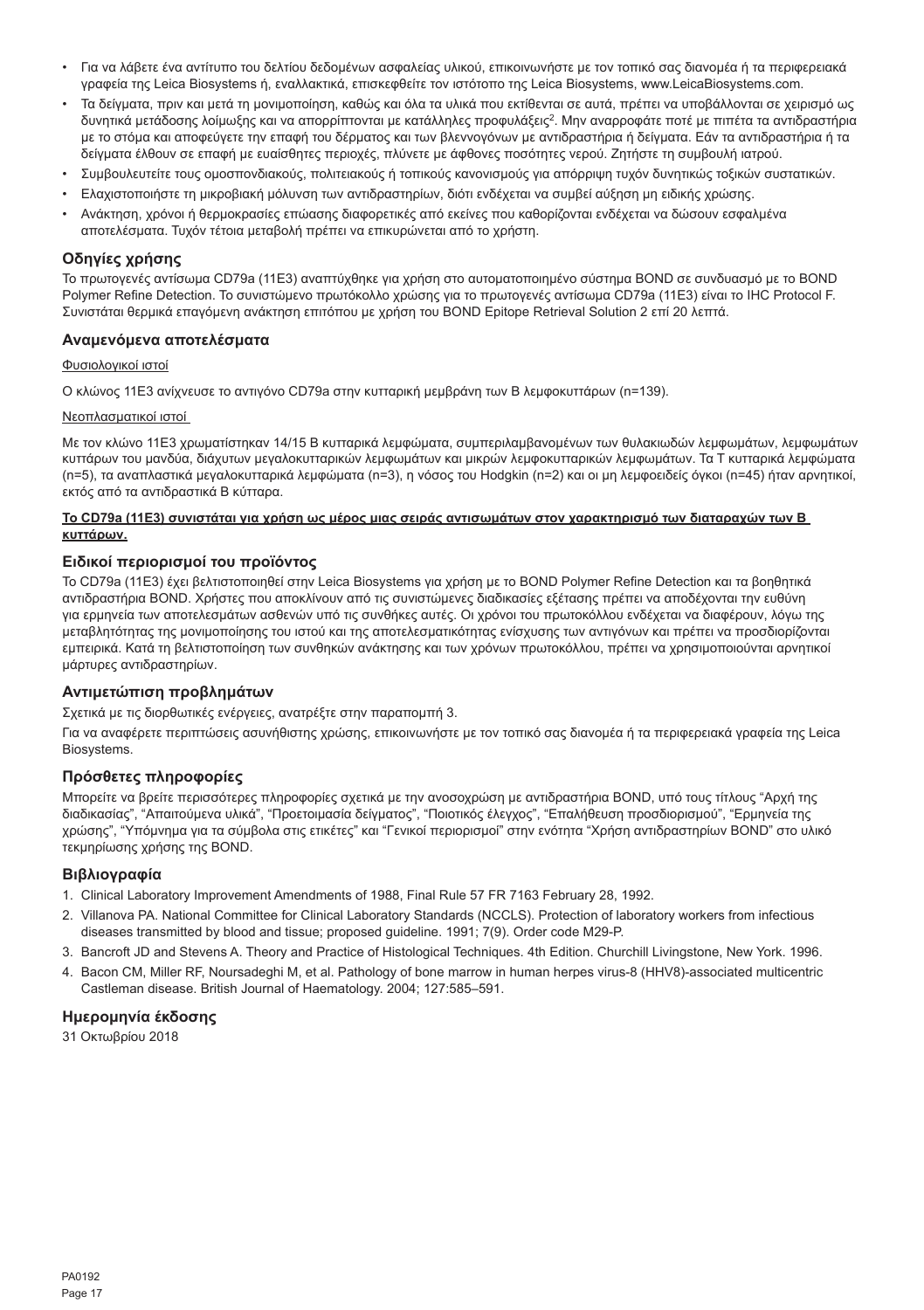- Για να λάβετε ένα αντίτυπο του δελτίου δεδομένων ασφαλείας υλικού, επικοινωνήστε με τον τοπικό σας διανομέα ή τα περιφερειακά γραφεία της Leica Biosystems ή, εναλλακτικά, επισκεφθείτε τον ιστότοπο της Leica Biosystems, www.LeicaBiosystems.com.
- Τα δείγματα, πριν και μετά τη μονιμοποίηση, καθώς και όλα τα υλικά που εκτίθενται σε αυτά, πρέπει να υποβάλλονται σε χειρισμό ως δυνητικά μετάδοσης λοίμωξης και να απορρίπτονται με κατάλληλες προφυλάξεις<sup>2</sup>. Μην αναρροφάτε ποτέ με πιπέτα τα αντιδραστήρια με το στόμα και αποφεύγετε την επαφή του δέρματος και των βλεννογόνων με αντιδραστήρια ή δείγματα. Εάν τα αντιδραστήρια ή τα δείγματα έλθουν σε επαφή με ευαίσθητες περιοχές, πλύνετε με άφθονες ποσότητες νερού. Ζητήστε τη συμβουλή ιατρού.
- Συμβουλευτείτε τους ομοσπονδιακούς, πολιτειακούς ή τοπικούς κανονισμούς για απόρριψη τυχόν δυνητικώς τοξικών συστατικών.
- Ελαχιστοποιήστε τη μικροβιακή μόλυνση των αντιδραστηρίων, διότι ενδέχεται να συμβεί αύξηση μη ειδικής χρώσης.
- Ανάκτηση, χρόνοι ή θερμοκρασίες επώασης διαφορετικές από εκείνες που καθορίζονται ενδέχεται να δώσουν εσφαλμένα αποτελέσματα. Τυχόν τέτοια μεταβολή πρέπει να επικυρώνεται από το χρήστη.

## **Οδηγίες χρήσης**

Το πρωτογενές αντίσωμα CD79a (11E3) αναπτύχθηκε για χρήση στο αυτοματοποιημένο σύστημα BOND σε συνδυασμό με το BOND Polymer Refine Detection. Το συνιστώμενο πρωτόκολλο χρώσης για το πρωτογενές αντίσωμα CD79a (11E3) είναι το IHC Protocol F. Συνιστάται θερμικά επαγόμενη ανάκτηση επιτόπου με χρήση του BOND Epitope Retrieval Solution 2 επί 20 λεπτά.

## **Αναμενόμενα αποτελέσματα**

## Φυσιολογικοί ιστοί

Ο κλώνος 11E3 ανίχνευσε το αντιγόνο CD79a στην κυτταρική μεμβράνη των B λεμφοκυττάρων (n=139).

### Νεοπλασματικοί ιστοί

Με τον κλώνο 11E3 χρωματίστηκαν 14/15 B κυτταρικά λεμφώματα, συμπεριλαμβανομένων των θυλακιωδών λεμφωμάτων, λεμφωμάτων κυττάρων του μανδύα, διάχυτων μεγαλοκυτταρικών λεμφωμάτων και μικρών λεμφοκυτταρικών λεμφωμάτων. Τα Τ κυτταρικά λεμφώματα (n=5), τα αναπλαστικά μεγαλοκυτταρικά λεμφώματα (n=3), η νόσος του Hodgkin (n=2) και οι μη λεμφοειδείς όγκοι (n=45) ήταν αρνητικοί, εκτός από τα αντιδραστικά Β κύτταρα.

### **Το CD79a (11E3) συνιστάται για χρήση ως μέρος μιας σειράς αντισωμάτων στον χαρακτηρισμό των διαταραχών των Β κυττάρων.**

#### **Ειδικοί περιορισμοί του προϊόντος**

Το CD79a (11E3) έχει βελτιστοποιηθεί στην Leica Biosystems για χρήση με το BOND Polymer Refine Detection και τα βοηθητικά αντιδραστήρια BOND. Χρήστες που αποκλίνουν από τις συνιστώμενες διαδικασίες εξέτασης πρέπει να αποδέχονται την ευθύνη για ερμηνεία των αποτελεσμάτων ασθενών υπό τις συνθήκες αυτές. Οι χρόνοι του πρωτοκόλλου ενδέχεται να διαφέρουν, λόγω της μεταβλητότητας της μονιμοποίησης του ιστού και της αποτελεσματικότητας ενίσχυσης των αντιγόνων και πρέπει να προσδιορίζονται εμπειρικά. Κατά τη βελτιστοποίηση των συνθηκών ανάκτησης και των χρόνων πρωτοκόλλου, πρέπει να χρησιμοποιούνται αρνητικοί μάρτυρες αντιδραστηρίων.

## **Αντιμετώπιση προβλημάτων**

Σχετικά με τις διορθωτικές ενέργειες, ανατρέξτε στην παραπομπή 3.

Για να αναφέρετε περιπτώσεις ασυνήθιστης χρώσης, επικοινωνήστε με τον τοπικό σας διανομέα ή τα περιφερειακά γραφεία της Leica Biosystems.

## **Πρόσθετες πληροφορίες**

Μπορείτε να βρείτε περισσότερες πληροφορίες σχετικά με την ανοσοχρώση με αντιδραστήρια BOND, υπό τους τίτλους "Αρχή της διαδικασίας", "Απαιτούμενα υλικά", "Προετοιμασία δείγματος", "Ποιοτικός έλεγχος", "Επαλήθευση προσδιορισμού", "Ερμηνεία της χρώσης", "Υπόμνημα για τα σύμβολα στις ετικέτες" και "Γενικοί περιορισμοί" στην ενότητα "Χρήση αντιδραστηρίων BOND" στο υλικό τεκμηρίωσης χρήσης της BOND.

#### **Βιβλιογραφία**

- 1. Clinical Laboratory Improvement Amendments of 1988, Final Rule 57 FR 7163 February 28, 1992.
- 2. Villanova PA. National Committee for Clinical Laboratory Standards (NCCLS). Protection of laboratory workers from infectious diseases transmitted by blood and tissue; proposed guideline. 1991; 7(9). Order code M29-P.
- 3. Bancroft JD and Stevens A. Theory and Practice of Histological Techniques. 4th Edition. Churchill Livingstone, New York. 1996.
- 4. Bacon CM, Miller RF, Noursadeghi M, et al. Pathology of bone marrow in human herpes virus-8 (HHV8)-associated multicentric Castleman disease. British Journal of Haematology. 2004; 127:585–591.

## **Ημερομηνία έκδοσης**

31 Οκτωβρίου 2018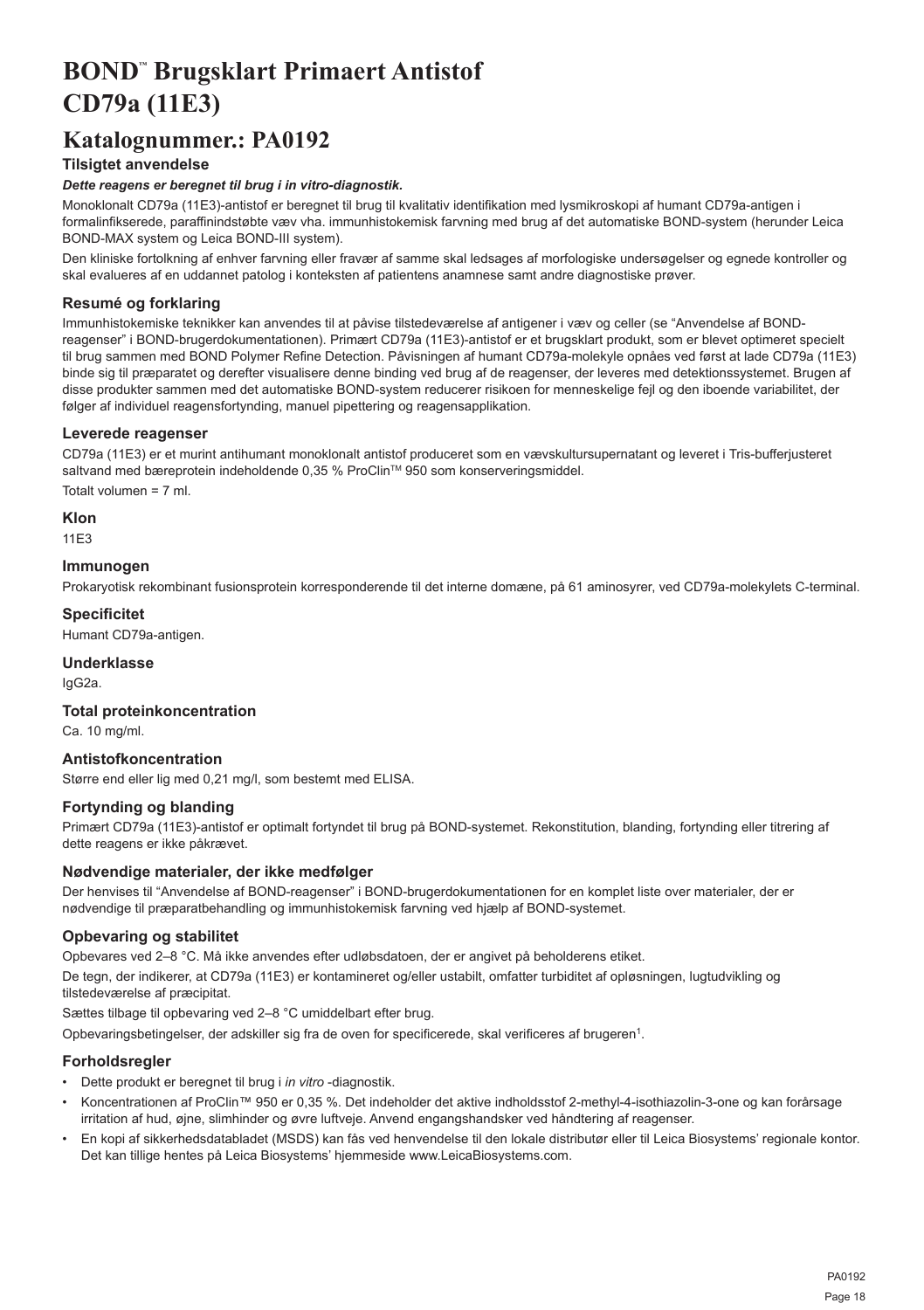## <span id="page-18-0"></span>**BOND™ Brugsklart Primaert Antistof CD79a (11E3)**

## **Katalognummer.: PA0192**

## **Tilsigtet anvendelse**

## *Dette reagens er beregnet til brug i in vitro-diagnostik.*

Monoklonalt CD79a (11E3)-antistof er beregnet til brug til kvalitativ identifikation med lysmikroskopi af humant CD79a-antigen i formalinfikserede, paraffinindstøbte væv vha. immunhistokemisk farvning med brug af det automatiske BOND-system (herunder Leica BOND-MAX system og Leica BOND-III system).

Den kliniske fortolkning af enhver farvning eller fravær af samme skal ledsages af morfologiske undersøgelser og egnede kontroller og skal evalueres af en uddannet patolog i konteksten af patientens anamnese samt andre diagnostiske prøver.

## **Resumé og forklaring**

Immunhistokemiske teknikker kan anvendes til at påvise tilstedeværelse af antigener i væv og celler (se "Anvendelse af BONDreagenser" i BOND-brugerdokumentationen). Primært CD79a (11E3)-antistof er et brugsklart produkt, som er blevet optimeret specielt til brug sammen med BOND Polymer Refine Detection. Påvisningen af humant CD79a-molekyle opnåes ved først at lade CD79a (11E3) binde sig til præparatet og derefter visualisere denne binding ved brug af de reagenser, der leveres med detektionssystemet. Brugen af disse produkter sammen med det automatiske BOND-system reducerer risikoen for menneskelige fejl og den iboende variabilitet, der følger af individuel reagensfortynding, manuel pipettering og reagensapplikation.

### **Leverede reagenser**

CD79a (11E3) er et murint antihumant monoklonalt antistof produceret som en vævskultursupernatant og leveret i Tris-bufferjusteret saltvand med bæreprotein indeholdende 0,35 % ProClin™ 950 som konserveringsmiddel. Totalt volumen = 7 ml.

**Klon**

### 11E3

### **Immunogen**

Prokaryotisk rekombinant fusionsprotein korresponderende til det interne domæne, på 61 aminosyrer, ved CD79a-molekylets C-terminal.

## **Specificitet**

Humant CD79a-antigen.

## **Underklasse**

IgG2a.

## **Total proteinkoncentration**

Ca. 10 mg/ml.

## **Antistofkoncentration**

Større end eller lig med 0,21 mg/l, som bestemt med ELISA.

## **Fortynding og blanding**

Primært CD79a (11E3)-antistof er optimalt fortyndet til brug på BOND-systemet. Rekonstitution, blanding, fortynding eller titrering af dette reagens er ikke påkrævet.

#### **Nødvendige materialer, der ikke medfølger**

Der henvises til "Anvendelse af BOND-reagenser" i BOND-brugerdokumentationen for en komplet liste over materialer, der er nødvendige til præparatbehandling og immunhistokemisk farvning ved hjælp af BOND-systemet.

## **Opbevaring og stabilitet**

Opbevares ved 2–8 °C. Må ikke anvendes efter udløbsdatoen, der er angivet på beholderens etiket.

De tegn, der indikerer, at CD79a (11E3) er kontamineret og/eller ustabilt, omfatter turbiditet af opløsningen, lugtudvikling og tilstedeværelse af præcipitat.

Sættes tilbage til opbevaring ved 2–8 °C umiddelbart efter brug.

Opbevaringsbetingelser, der adskiller sig fra de oven for specificerede, skal verificeres af brugeren<sup>1</sup>.

## **Forholdsregler**

- Dette produkt er beregnet til brug i *in vitro* -diagnostik.
- Koncentrationen af ProClin™ 950 er 0,35 %. Det indeholder det aktive indholdsstof 2-methyl-4-isothiazolin-3-one og kan forårsage irritation af hud, øjne, slimhinder og øvre luftveje. Anvend engangshandsker ved håndtering af reagenser.
- En kopi af sikkerhedsdatabladet (MSDS) kan fås ved henvendelse til den lokale distributør eller til Leica Biosystems' regionale kontor. Det kan tillige hentes på Leica Biosystems' hjemmeside www.LeicaBiosystems.com.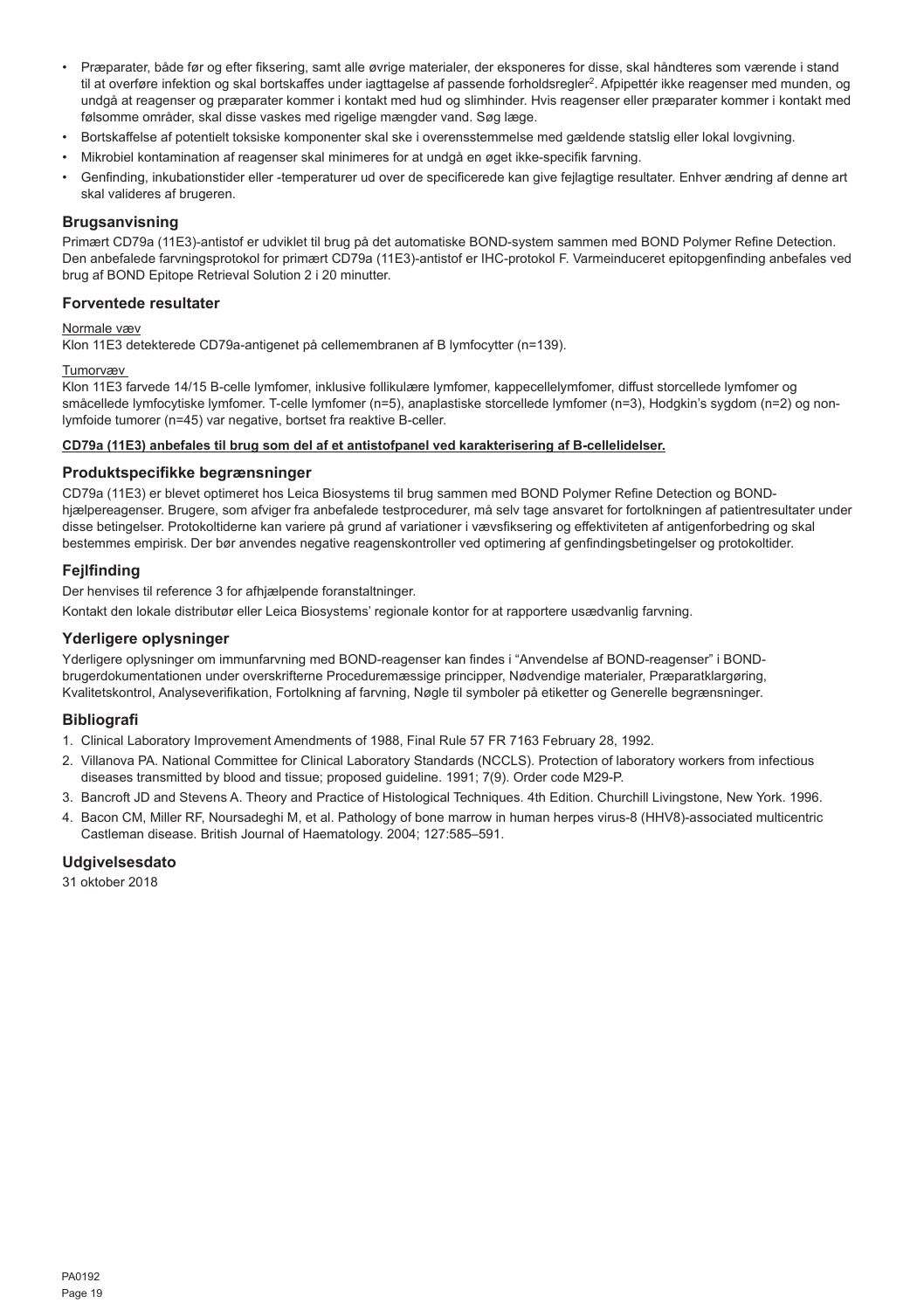- Præparater, både før og efter fiksering, samt alle øvrige materialer, der eksponeres for disse, skal håndteres som værende i stand til at overføre infektion og skal bortskaffes under iagttagelse af passende forholdsregler<sup>2</sup>. Afpipettér ikke reagenser med munden, og undgå at reagenser og præparater kommer i kontakt med hud og slimhinder. Hvis reagenser eller præparater kommer i kontakt med følsomme områder, skal disse vaskes med rigelige mængder vand. Søg læge.
- Bortskaffelse af potentielt toksiske komponenter skal ske i overensstemmelse med gældende statslig eller lokal lovgivning.
- Mikrobiel kontamination af reagenser skal minimeres for at undgå en øget ikke-specifik farvning.
- Genfinding, inkubationstider eller -temperaturer ud over de specificerede kan give fejlagtige resultater. Enhver ændring af denne art skal valideres af brugeren.

#### **Brugsanvisning**

Primært CD79a (11E3)-antistof er udviklet til brug på det automatiske BOND-system sammen med BOND Polymer Refine Detection. Den anbefalede farvningsprotokol for primært CD79a (11E3)-antistof er IHC-protokol F. Varmeinduceret epitopgenfinding anbefales ved brug af BOND Epitope Retrieval Solution 2 i 20 minutter.

### **Forventede resultater**

#### Normale væv

Klon 11E3 detekterede CD79a-antigenet på cellemembranen af B lymfocytter (n=139).

#### Tumorvæv

Klon 11E3 farvede 14/15 B-celle lymfomer, inklusive follikulære lymfomer, kappecellelymfomer, diffust storcellede lymfomer og småcellede lymfocytiske lymfomer. T-celle lymfomer (n=5), anaplastiske storcellede lymfomer (n=3), Hodgkin's sygdom (n=2) og nonlymfoide tumorer (n=45) var negative, bortset fra reaktive B-celler.

#### **CD79a (11E3) anbefales til brug som del af et antistofpanel ved karakterisering af B-cellelidelser.**

#### **Produktspecifikke begrænsninger**

CD79a (11E3) er blevet optimeret hos Leica Biosystems til brug sammen med BOND Polymer Refine Detection og BONDhjælpereagenser. Brugere, som afviger fra anbefalede testprocedurer, må selv tage ansvaret for fortolkningen af patientresultater under disse betingelser. Protokoltiderne kan variere på grund af variationer i vævsfiksering og effektiviteten af antigenforbedring og skal bestemmes empirisk. Der bør anvendes negative reagenskontroller ved optimering af genfindingsbetingelser og protokoltider.

#### **Fejlfinding**

Der henvises til reference 3 for afhjælpende foranstaltninger.

Kontakt den lokale distributør eller Leica Biosystems' regionale kontor for at rapportere usædvanlig farvning.

#### **Yderligere oplysninger**

Yderligere oplysninger om immunfarvning med BOND-reagenser kan findes i "Anvendelse af BOND-reagenser" i BONDbrugerdokumentationen under overskrifterne Proceduremæssige principper, Nødvendige materialer, Præparatklargøring, Kvalitetskontrol, Analyseverifikation, Fortolkning af farvning, Nøgle til symboler på etiketter og Generelle begrænsninger.

#### **Bibliografi**

- 1. Clinical Laboratory Improvement Amendments of 1988, Final Rule 57 FR 7163 February 28, 1992.
- 2. Villanova PA. National Committee for Clinical Laboratory Standards (NCCLS). Protection of laboratory workers from infectious diseases transmitted by blood and tissue; proposed guideline. 1991; 7(9). Order code M29-P.
- 3. Bancroft JD and Stevens A. Theory and Practice of Histological Techniques. 4th Edition. Churchill Livingstone, New York. 1996.
- 4. Bacon CM, Miller RF, Noursadeghi M, et al. Pathology of bone marrow in human herpes virus-8 (HHV8)-associated multicentric Castleman disease. British Journal of Haematology. 2004; 127:585–591.

## **Udgivelsesdato**

31 oktober 2018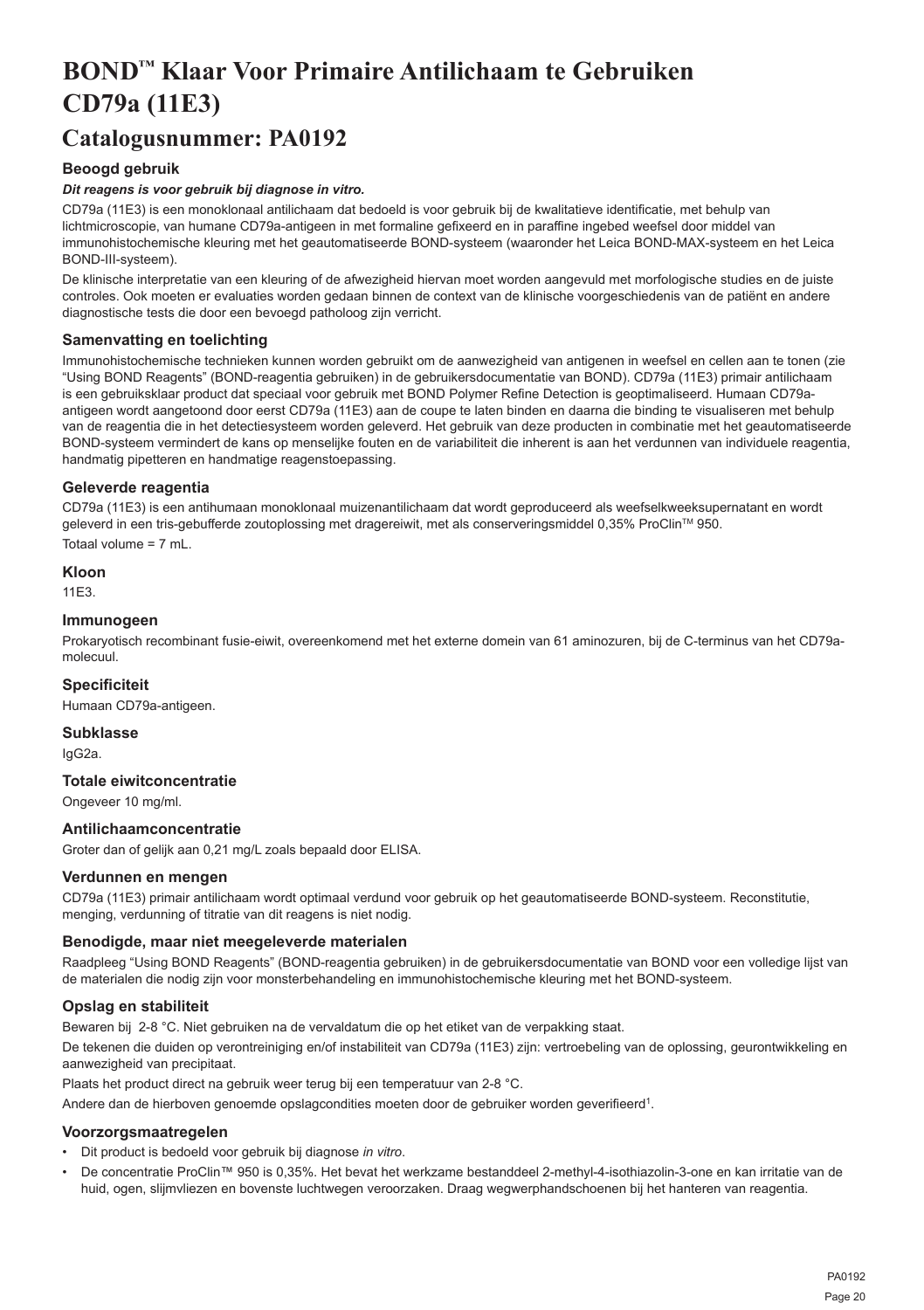## <span id="page-20-0"></span>**BOND™ Klaar Voor Primaire Antilichaam te Gebruiken CD79a (11E3)**

## **Catalogusnummer: PA0192**

## **Beoogd gebruik**

## *Dit reagens is voor gebruik bij diagnose in vitro.*

CD79a (11E3) is een monoklonaal antilichaam dat bedoeld is voor gebruik bij de kwalitatieve identificatie, met behulp van lichtmicroscopie, van humane CD79a-antigeen in met formaline gefixeerd en in paraffine ingebed weefsel door middel van immunohistochemische kleuring met het geautomatiseerde BOND-systeem (waaronder het Leica BOND-MAX-systeem en het Leica BOND-III-systeem).

De klinische interpretatie van een kleuring of de afwezigheid hiervan moet worden aangevuld met morfologische studies en de juiste controles. Ook moeten er evaluaties worden gedaan binnen de context van de klinische voorgeschiedenis van de patiënt en andere diagnostische tests die door een bevoegd patholoog zijn verricht.

## **Samenvatting en toelichting**

Immunohistochemische technieken kunnen worden gebruikt om de aanwezigheid van antigenen in weefsel en cellen aan te tonen (zie "Using BOND Reagents" (BOND-reagentia gebruiken) in de gebruikersdocumentatie van BOND). CD79a (11E3) primair antilichaam is een gebruiksklaar product dat speciaal voor gebruik met BOND Polymer Refine Detection is geoptimaliseerd. Humaan CD79aantigeen wordt aangetoond door eerst CD79a (11E3) aan de coupe te laten binden en daarna die binding te visualiseren met behulp van de reagentia die in het detectiesysteem worden geleverd. Het gebruik van deze producten in combinatie met het geautomatiseerde BOND-systeem vermindert de kans op menselijke fouten en de variabiliteit die inherent is aan het verdunnen van individuele reagentia, handmatig pipetteren en handmatige reagenstoepassing.

## **Geleverde reagentia**

CD79a (11E3) is een antihumaan monoklonaal muizenantilichaam dat wordt geproduceerd als weefselkweeksupernatant en wordt geleverd in een tris-gebufferde zoutoplossing met dragereiwit, met als conserveringsmiddel 0,35% ProClin™ 950. Totaal volume  $= 7$  mL

**Kloon**

11E3.

## **Immunogeen**

Prokaryotisch recombinant fusie-eiwit, overeenkomend met het externe domein van 61 aminozuren, bij de C-terminus van het CD79amolecuul.

## **Specificiteit**

Humaan CD79a-antigeen.

**Subklasse** IgG2a.

## **Totale eiwitconcentratie**

Ongeveer 10 mg/ml.

## **Antilichaamconcentratie**

Groter dan of gelijk aan 0,21 mg/L zoals bepaald door ELISA.

## **Verdunnen en mengen**

CD79a (11E3) primair antilichaam wordt optimaal verdund voor gebruik op het geautomatiseerde BOND-systeem. Reconstitutie, menging, verdunning of titratie van dit reagens is niet nodig.

## **Benodigde, maar niet meegeleverde materialen**

Raadpleeg "Using BOND Reagents" (BOND-reagentia gebruiken) in de gebruikersdocumentatie van BOND voor een volledige lijst van de materialen die nodig zijn voor monsterbehandeling en immunohistochemische kleuring met het BOND-systeem.

## **Opslag en stabiliteit**

Bewaren bij 2-8 °C. Niet gebruiken na de vervaldatum die op het etiket van de verpakking staat.

De tekenen die duiden op verontreiniging en/of instabiliteit van CD79a (11E3) zijn: vertroebeling van de oplossing, geurontwikkeling en aanwezigheid van precipitaat.

Plaats het product direct na gebruik weer terug bij een temperatuur van 2-8 °C.

Andere dan de hierboven genoemde opslagcondities moeten door de gebruiker worden geverifieerd<sup>1</sup>.

## **Voorzorgsmaatregelen**

- Dit product is bedoeld voor gebruik bij diagnose *in vitro*.
- De concentratie ProClin™ 950 is 0,35%. Het bevat het werkzame bestanddeel 2-methyl-4-isothiazolin-3-one en kan irritatie van de huid, ogen, slijmvliezen en bovenste luchtwegen veroorzaken. Draag wegwerphandschoenen bij het hanteren van reagentia.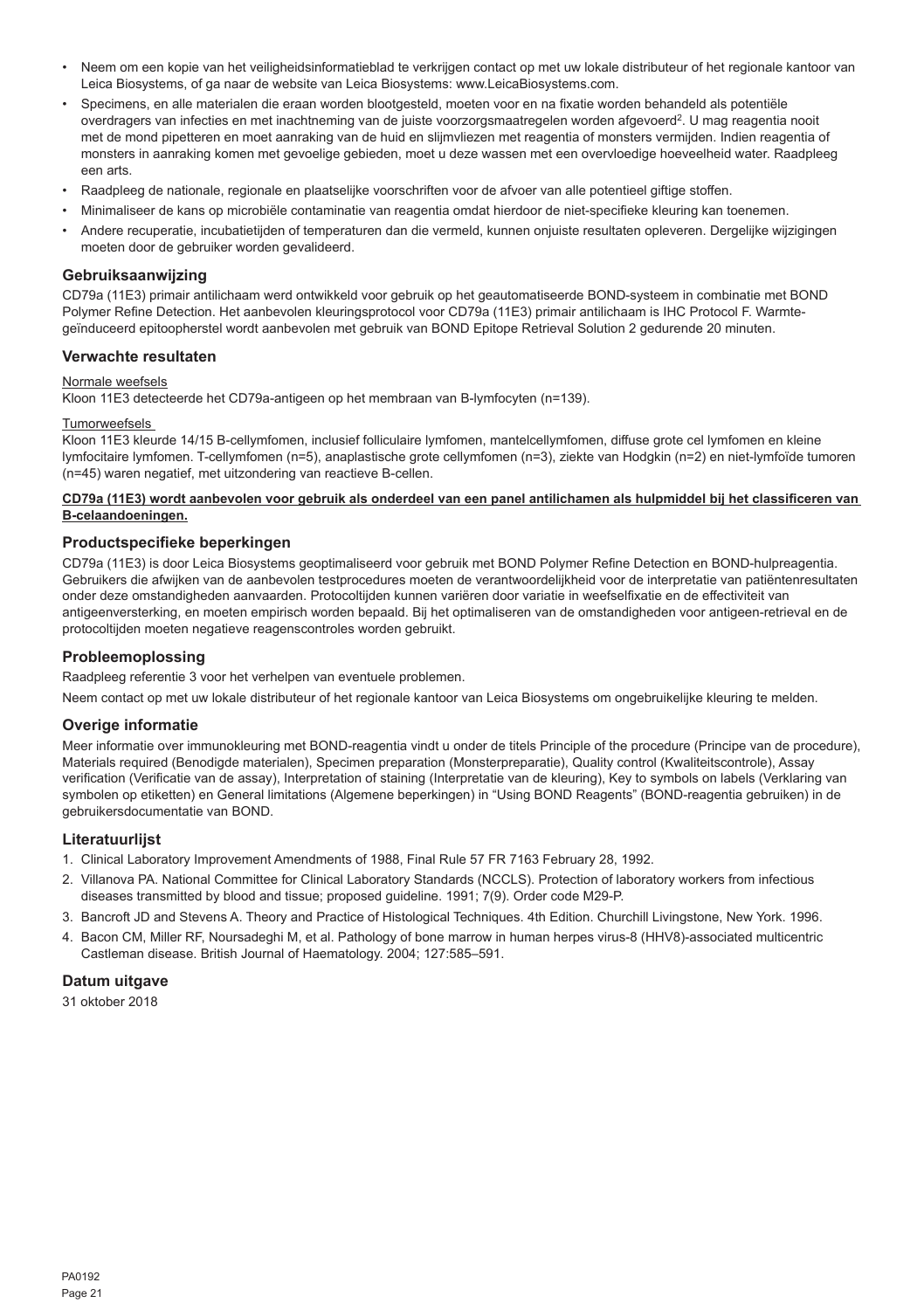- Neem om een kopie van het veiligheidsinformatieblad te verkrijgen contact op met uw lokale distributeur of het regionale kantoor van Leica Biosystems, of ga naar de website van Leica Biosystems: www.LeicaBiosystems.com.
- Specimens, en alle materialen die eraan worden blootgesteld, moeten voor en na fixatie worden behandeld als potentiële overdragers van infecties en met inachtneming van de juiste voorzorgsmaatregelen worden afgevoerd<sup>2</sup>. U mag reagentia nooit met de mond pipetteren en moet aanraking van de huid en slijmvliezen met reagentia of monsters vermijden. Indien reagentia of monsters in aanraking komen met gevoelige gebieden, moet u deze wassen met een overvloedige hoeveelheid water. Raadpleeg een arts.
- Raadpleeg de nationale, regionale en plaatselijke voorschriften voor de afvoer van alle potentieel giftige stoffen.
- Minimaliseer de kans op microbiële contaminatie van reagentia omdat hierdoor de niet-specifieke kleuring kan toenemen.
- Andere recuperatie, incubatietijden of temperaturen dan die vermeld, kunnen onjuiste resultaten opleveren. Dergelijke wijzigingen moeten door de gebruiker worden gevalideerd.

### **Gebruiksaanwijzing**

CD79a (11E3) primair antilichaam werd ontwikkeld voor gebruik op het geautomatiseerde BOND-systeem in combinatie met BOND Polymer Refine Detection. Het aanbevolen kleuringsprotocol voor CD79a (11E3) primair antilichaam is IHC Protocol F. Warmtegeïnduceerd epitoopherstel wordt aanbevolen met gebruik van BOND Epitope Retrieval Solution 2 gedurende 20 minuten.

## **Verwachte resultaten**

### Normale weefsels

Kloon 11E3 detecteerde het CD79a-antigeen op het membraan van B-lymfocyten (n=139).

#### Tumorweefsels

Kloon 11E3 kleurde 14/15 B-cellymfomen, inclusief folliculaire lymfomen, mantelcellymfomen, diffuse grote cel lymfomen en kleine lymfocitaire lymfomen. T-cellymfomen (n=5), anaplastische grote cellymfomen (n=3), ziekte van Hodgkin (n=2) en niet-lymfoïde tumoren (n=45) waren negatief, met uitzondering van reactieve B-cellen.

### **CD79a (11E3) wordt aanbevolen voor gebruik als onderdeel van een panel antilichamen als hulpmiddel bij het classificeren van B-celaandoeningen.**

## **Productspecifieke beperkingen**

CD79a (11E3) is door Leica Biosystems geoptimaliseerd voor gebruik met BOND Polymer Refine Detection en BOND-hulpreagentia. Gebruikers die afwijken van de aanbevolen testprocedures moeten de verantwoordelijkheid voor de interpretatie van patiëntenresultaten onder deze omstandigheden aanvaarden. Protocoltijden kunnen variëren door variatie in weefselfixatie en de effectiviteit van antigeenversterking, en moeten empirisch worden bepaald. Bij het optimaliseren van de omstandigheden voor antigeen-retrieval en de protocoltijden moeten negatieve reagenscontroles worden gebruikt.

## **Probleemoplossing**

Raadpleeg referentie 3 voor het verhelpen van eventuele problemen.

Neem contact op met uw lokale distributeur of het regionale kantoor van Leica Biosystems om ongebruikelijke kleuring te melden.

#### **Overige informatie**

Meer informatie over immunokleuring met BOND-reagentia vindt u onder de titels Principle of the procedure (Principe van de procedure), Materials required (Benodigde materialen), Specimen preparation (Monsterpreparatie), Quality control (Kwaliteitscontrole), Assay verification (Verificatie van de assay), Interpretation of staining (Interpretatie van de kleuring), Key to symbols on labels (Verklaring van symbolen op etiketten) en General limitations (Algemene beperkingen) in "Using BOND Reagents" (BOND-reagentia gebruiken) in de gebruikersdocumentatie van BOND.

## **Literatuurlijst**

- 1. Clinical Laboratory Improvement Amendments of 1988, Final Rule 57 FR 7163 February 28, 1992.
- 2. Villanova PA. National Committee for Clinical Laboratory Standards (NCCLS). Protection of laboratory workers from infectious diseases transmitted by blood and tissue; proposed guideline. 1991; 7(9). Order code M29-P.
- 3. Bancroft JD and Stevens A. Theory and Practice of Histological Techniques. 4th Edition. Churchill Livingstone, New York. 1996.
- 4. Bacon CM, Miller RF, Noursadeghi M, et al. Pathology of bone marrow in human herpes virus-8 (HHV8)-associated multicentric Castleman disease. British Journal of Haematology. 2004; 127:585–591.

## **Datum uitgave**

31 oktober 2018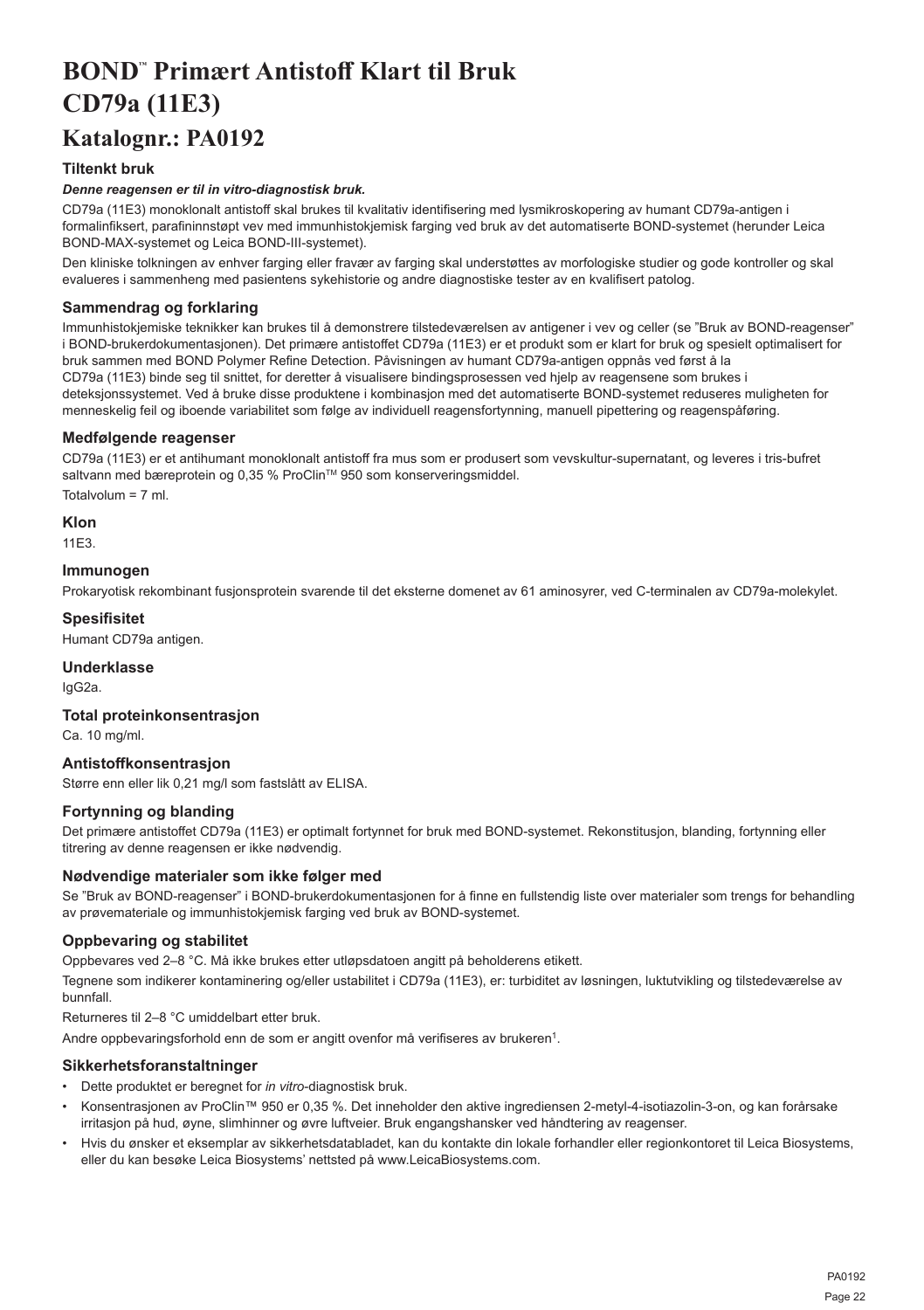## <span id="page-22-0"></span>**BOND™ Primært Antistoff Klart til Bruk CD79a (11E3)**

## **Katalognr.: PA0192**

## **Tiltenkt bruk**

## *Denne reagensen er til in vitro-diagnostisk bruk.*

CD79a (11E3) monoklonalt antistoff skal brukes til kvalitativ identifisering med lysmikroskopering av humant CD79a-antigen i formalinfiksert, parafininnstøpt vev med immunhistokjemisk farging ved bruk av det automatiserte BOND-systemet (herunder Leica BOND-MAX-systemet og Leica BOND-III-systemet).

Den kliniske tolkningen av enhver farging eller fravær av farging skal understøttes av morfologiske studier og gode kontroller og skal evalueres i sammenheng med pasientens sykehistorie og andre diagnostiske tester av en kvalifisert patolog.

## **Sammendrag og forklaring**

Immunhistokjemiske teknikker kan brukes til å demonstrere tilstedeværelsen av antigener i vev og celler (se "Bruk av BOND-reagenser" i BOND-brukerdokumentasjonen). Det primære antistoffet CD79a (11E3) er et produkt som er klart for bruk og spesielt optimalisert for bruk sammen med BOND Polymer Refine Detection. Påvisningen av humant CD79a-antigen oppnås ved først å la CD79a (11E3) binde seg til snittet, for deretter å visualisere bindingsprosessen ved hjelp av reagensene som brukes i deteksjonssystemet. Ved å bruke disse produktene i kombinasjon med det automatiserte BOND-systemet reduseres muligheten for menneskelig feil og iboende variabilitet som følge av individuell reagensfortynning, manuell pipettering og reagenspåføring.

## **Medfølgende reagenser**

CD79a (11E3) er et antihumant monoklonalt antistoff fra mus som er produsert som vevskultur-supernatant, og leveres i tris-bufret saltvann med bæreprotein og 0,35 % ProClin™ 950 som konserveringsmiddel. Totalvolum = 7 ml.

**Klon**

11E3.

## **Immunogen**

Prokaryotisk rekombinant fusjonsprotein svarende til det eksterne domenet av 61 aminosyrer, ved C-terminalen av CD79a-molekylet.

### **Spesifisitet**

Humant CD79a antigen.

## **Underklasse**

IgG2a.

## **Total proteinkonsentrasjon**

Ca. 10 mg/ml.

## **Antistoffkonsentrasjon**

Større enn eller lik 0,21 mg/l som fastslått av ELISA.

## **Fortynning og blanding**

Det primære antistoffet CD79a (11E3) er optimalt fortynnet for bruk med BOND-systemet. Rekonstitusjon, blanding, fortynning eller titrering av denne reagensen er ikke nødvendig.

## **Nødvendige materialer som ikke følger med**

Se "Bruk av BOND-reagenser" i BOND-brukerdokumentasjonen for å finne en fullstendig liste over materialer som trengs for behandling av prøvemateriale og immunhistokjemisk farging ved bruk av BOND-systemet.

## **Oppbevaring og stabilitet**

Oppbevares ved 2–8 °C. Må ikke brukes etter utløpsdatoen angitt på beholderens etikett.

Tegnene som indikerer kontaminering og/eller ustabilitet i CD79a (11E3), er: turbiditet av løsningen, luktutvikling og tilstedeværelse av bunnfall.

Returneres til 2–8 °C umiddelbart etter bruk.

Andre oppbevaringsforhold enn de som er angitt ovenfor må verifiseres av brukeren<sup>1</sup>.

## **Sikkerhetsforanstaltninger**

- Dette produktet er beregnet for *in vitro*-diagnostisk bruk.
- Konsentrasjonen av ProClin™ 950 er 0,35 %. Det inneholder den aktive ingrediensen 2-metyl-4-isotiazolin-3-on, og kan forårsake irritasjon på hud, øyne, slimhinner og øvre luftveier. Bruk engangshansker ved håndtering av reagenser.
- Hvis du ønsker et eksemplar av sikkerhetsdatabladet, kan du kontakte din lokale forhandler eller regionkontoret til Leica Biosystems, eller du kan besøke Leica Biosystems' nettsted på www.LeicaBiosystems.com.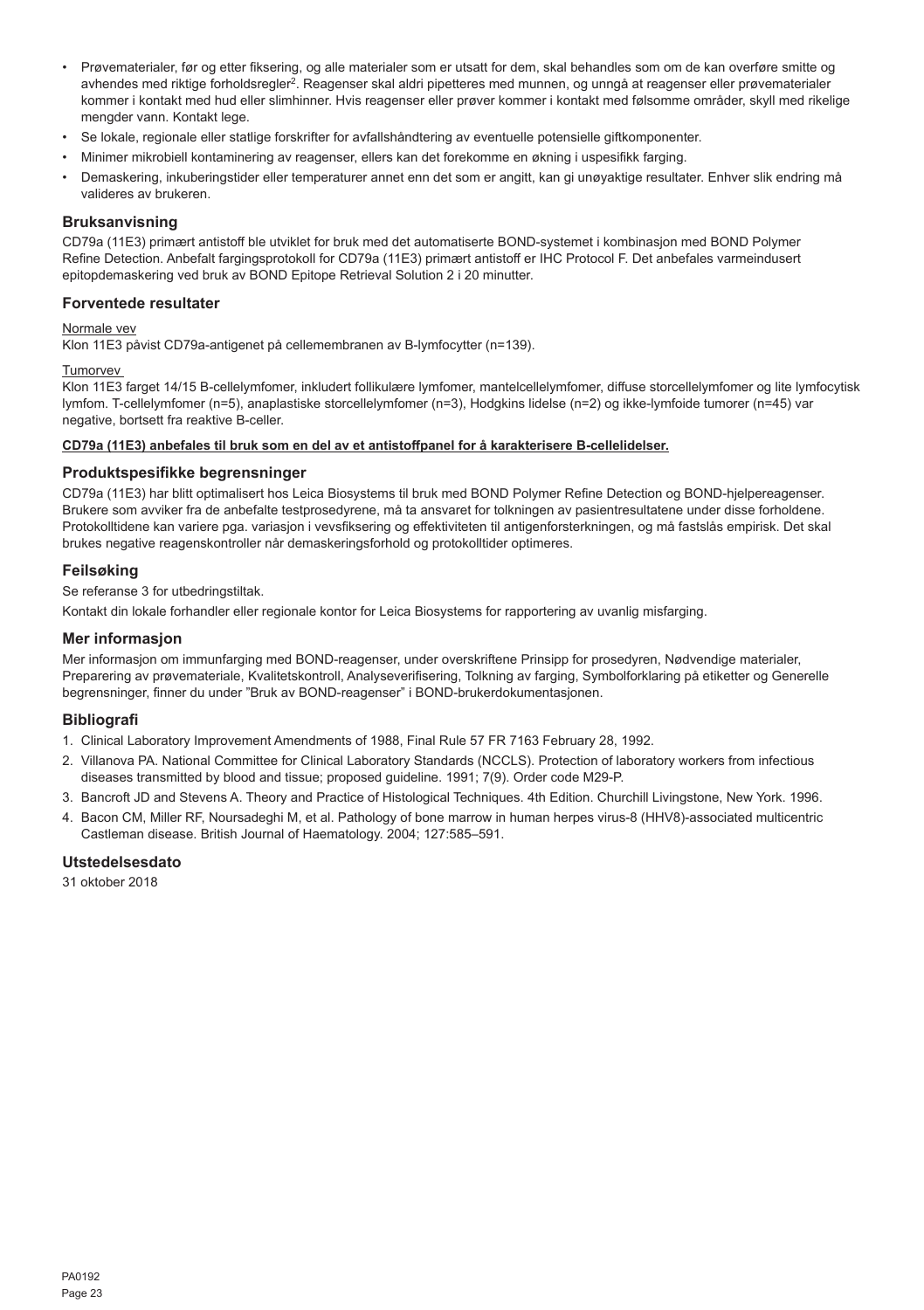- Prøvematerialer, før og etter fiksering, og alle materialer som er utsatt for dem, skal behandles som om de kan overføre smitte og avhendes med riktige forholdsregler<sup>2</sup>. Reagenser skal aldri pipetteres med munnen, og unngå at reagenser eller prøvematerialer kommer i kontakt med hud eller slimhinner. Hvis reagenser eller prøver kommer i kontakt med følsomme områder, skyll med rikelige mengder vann. Kontakt lege.
- Se lokale, regionale eller statlige forskrifter for avfallshåndtering av eventuelle potensielle giftkomponenter.
- Minimer mikrobiell kontaminering av reagenser, ellers kan det forekomme en økning i uspesifikk farging.
- Demaskering, inkuberingstider eller temperaturer annet enn det som er angitt, kan gi unøyaktige resultater. Enhver slik endring må valideres av brukeren.

#### **Bruksanvisning**

CD79a (11E3) primært antistoff ble utviklet for bruk med det automatiserte BOND-systemet i kombinasjon med BOND Polymer Refine Detection. Anbefalt fargingsprotokoll for CD79a (11E3) primært antistoff er IHC Protocol F. Det anbefales varmeindusert epitopdemaskering ved bruk av BOND Epitope Retrieval Solution 2 i 20 minutter.

## **Forventede resultater**

#### Normale vev

Klon 11E3 påvist CD79a-antigenet på cellemembranen av B-lymfocytter (n=139).

#### Tumorvev

Klon 11E3 farget 14/15 B-cellelymfomer, inkludert follikulære lymfomer, mantelcellelymfomer, diffuse storcellelymfomer og lite lymfocytisk lymfom. T-cellelymfomer (n=5), anaplastiske storcellelymfomer (n=3), Hodgkins lidelse (n=2) og ikke-lymfoide tumorer (n=45) var negative, bortsett fra reaktive B-celler.

#### **CD79a (11E3) anbefales til bruk som en del av et antistoffpanel for å karakterisere B-cellelidelser.**

#### **Produktspesifikke begrensninger**

CD79a (11E3) har blitt optimalisert hos Leica Biosystems til bruk med BOND Polymer Refine Detection og BOND-hjelpereagenser. Brukere som avviker fra de anbefalte testprosedyrene, må ta ansvaret for tolkningen av pasientresultatene under disse forholdene. Protokolltidene kan variere pga. variasjon i vevsfiksering og effektiviteten til antigenforsterkningen, og må fastslås empirisk. Det skal brukes negative reagenskontroller når demaskeringsforhold og protokolltider optimeres.

#### **Feilsøking**

Se referanse 3 for utbedringstiltak.

Kontakt din lokale forhandler eller regionale kontor for Leica Biosystems for rapportering av uvanlig misfarging.

#### **Mer informasjon**

Mer informasjon om immunfarging med BOND-reagenser, under overskriftene Prinsipp for prosedyren, Nødvendige materialer, Preparering av prøvemateriale, Kvalitetskontroll, Analyseverifisering, Tolkning av farging, Symbolforklaring på etiketter og Generelle begrensninger, finner du under "Bruk av BOND-reagenser" i BOND-brukerdokumentasjonen.

## **Bibliografi**

- 1. Clinical Laboratory Improvement Amendments of 1988, Final Rule 57 FR 7163 February 28, 1992.
- 2. Villanova PA. National Committee for Clinical Laboratory Standards (NCCLS). Protection of laboratory workers from infectious diseases transmitted by blood and tissue; proposed guideline. 1991; 7(9). Order code M29-P.
- 3. Bancroft JD and Stevens A. Theory and Practice of Histological Techniques. 4th Edition. Churchill Livingstone, New York. 1996.
- 4. Bacon CM, Miller RF, Noursadeghi M, et al. Pathology of bone marrow in human herpes virus-8 (HHV8)-associated multicentric Castleman disease. British Journal of Haematology. 2004; 127:585–591.

## **Utstedelsesdato**

31 oktober 2018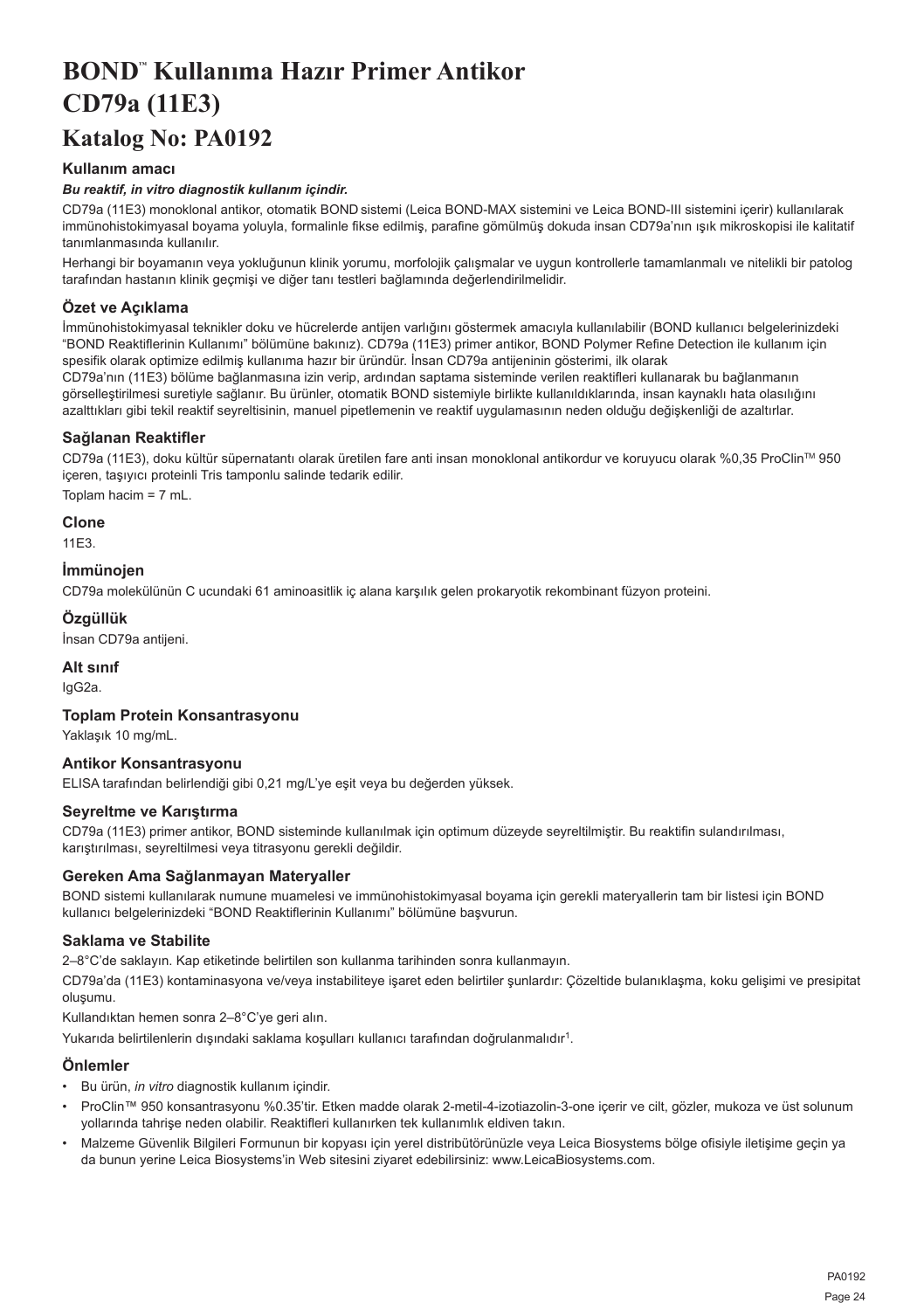# <span id="page-24-0"></span>**BOND™ Kullanıma Hazır Primer Antikor CD79a (11E3)**

## **Katalog No: PA0192**

## **Kullanım amacı**

## *Bu reaktif, in vitro diagnostik kullanım içindir.*

CD79a (11E3) monoklonal antikor, otomatik BOND sistemi (Leica BOND-MAX sistemini ve Leica BOND-III sistemini içerir) kullanılarak immünohistokimyasal boyama yoluyla, formalinle fikse edilmiş, parafine gömülmüş dokuda insan CD79a'nın ışık mikroskopisi ile kalitatif tanımlanmasında kullanılır.

Herhangi bir boyamanın veya yokluğunun klinik yorumu, morfolojik çalışmalar ve uygun kontrollerle tamamlanmalı ve nitelikli bir patolog tarafından hastanın klinik geçmişi ve diğer tanı testleri bağlamında değerlendirilmelidir.

## **Özet ve Açıklama**

İmmünohistokimyasal teknikler doku ve hücrelerde antijen varlığını göstermek amacıyla kullanılabilir (BOND kullanıcı belgelerinizdeki "BOND Reaktiflerinin Kullanımı" bölümüne bakınız). CD79a (11E3) primer antikor, BOND Polymer Refine Detection ile kullanım için spesifik olarak optimize edilmiş kullanıma hazır bir üründür. İnsan CD79a antijeninin gösterimi, ilk olarak

CD79a'nın (11E3) bölüme bağlanmasına izin verip, ardından saptama sisteminde verilen reaktifleri kullanarak bu bağlanmanın görselleştirilmesi suretiyle sağlanır. Bu ürünler, otomatik BOND sistemiyle birlikte kullanıldıklarında, insan kaynaklı hata olasılığını azalttıkları gibi tekil reaktif seyreltisinin, manuel pipetlemenin ve reaktif uygulamasının neden olduğu değişkenliği de azaltırlar.

## **Sağlanan Reaktifler**

CD79a (11E3), doku kültür süpernatantı olarak üretilen fare anti insan monoklonal antikordur ve koruyucu olarak %0,35 ProClinTM 950 içeren, taşıyıcı proteinli Tris tamponlu salinde tedarik edilir.

Toplam hacim = 7 mL.

**Clone**

11E3.

## **İmmünojen**

CD79a molekülünün C ucundaki 61 aminoasitlik iç alana karşılık gelen prokaryotik rekombinant füzyon proteini.

**Özgüllük**

İnsan CD79a antijeni.

**Alt sınıf**

IgG2a.

## **Toplam Protein Konsantrasyonu**

Yaklaşık 10 mg/mL.

## **Antikor Konsantrasyonu**

ELISA tarafından belirlendiği gibi 0,21 mg/L'ye eşit veya bu değerden yüksek.

## **Seyreltme ve Karıştırma**

CD79a (11E3) primer antikor, BOND sisteminde kullanılmak için optimum düzeyde seyreltilmiştir. Bu reaktifin sulandırılması, karıştırılması, seyreltilmesi veya titrasyonu gerekli değildir.

## **Gereken Ama Sağlanmayan Materyaller**

BOND sistemi kullanılarak numune muamelesi ve immünohistokimyasal boyama için gerekli materyallerin tam bir listesi için BOND kullanıcı belgelerinizdeki "BOND Reaktiflerinin Kullanımı" bölümüne başvurun.

## **Saklama ve Stabilite**

2–8°C'de saklayın. Kap etiketinde belirtilen son kullanma tarihinden sonra kullanmayın.

CD79a'da (11E3) kontaminasyona ve/veya instabiliteye işaret eden belirtiler şunlardır: Çözeltide bulanıklaşma, koku gelişimi ve presipitat oluşumu.

Kullandıktan hemen sonra 2–8°C'ye geri alın.

Yukarıda belirtilenlerin dışındaki saklama koşulları kullanıcı tarafından doğrulanmalıdır<sup>1</sup>.

#### **Önlemler**

- Bu ürün, *in vitro* diagnostik kullanım içindir.
- ProClin™ 950 konsantrasyonu %0.35'tir. Etken madde olarak 2-metil-4-izotiazolin-3-one içerir ve cilt, gözler, mukoza ve üst solunum yollarında tahrişe neden olabilir. Reaktifleri kullanırken tek kullanımlık eldiven takın.
- Malzeme Güvenlik Bilgileri Formunun bir kopyası için yerel distribütörünüzle veya Leica Biosystems bölge ofisiyle iletişime geçin ya da bunun yerine Leica Biosystems'in Web sitesini ziyaret edebilirsiniz: www.LeicaBiosystems.com.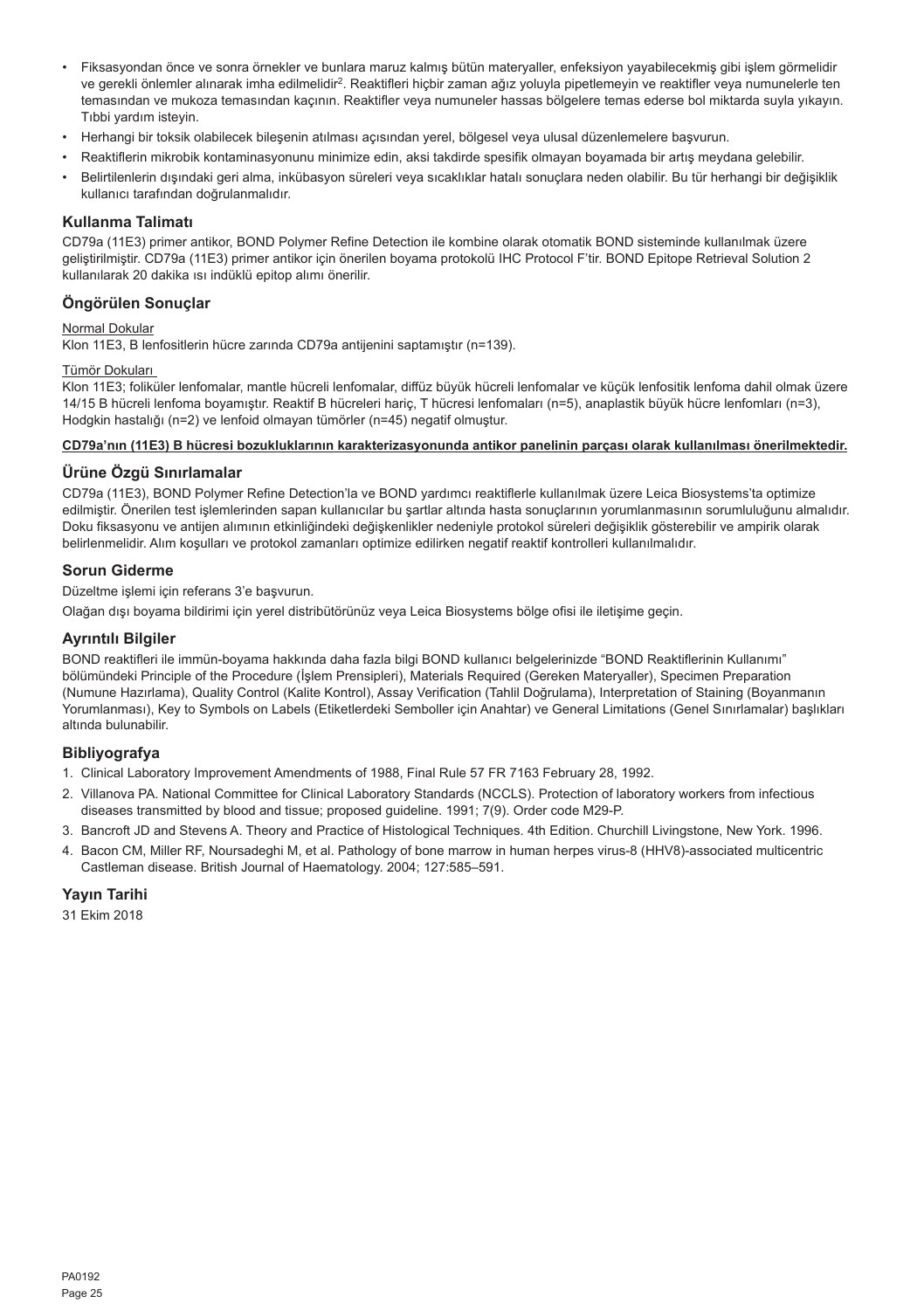- Fiksasyondan önce ve sonra örnekler ve bunlara maruz kalmış bütün materyaller, enfeksiyon yayabilecekmiş gibi işlem görmelidir ve gerekli önlemler alınarak imha edilmelidir<sup>2</sup>. Reaktifleri hiçbir zaman ağız yoluyla pipetlemeyin ve reaktifler veya numunelerle ten temasından ve mukoza temasından kaçının. Reaktifler veya numuneler hassas bölgelere temas ederse bol miktarda suyla yıkayın. Tıbbi yardım isteyin.
- Herhangi bir toksik olabilecek bileşenin atılması açısından yerel, bölgesel veya ulusal düzenlemelere başvurun.
- Reaktiflerin mikrobik kontaminasyonunu minimize edin, aksi takdirde spesifik olmayan boyamada bir artış meydana gelebilir.
- Belirtilenlerin dışındaki geri alma, inkübasyon süreleri veya sıcaklıklar hatalı sonuçlara neden olabilir. Bu tür herhangi bir değişiklik kullanıcı tarafından doğrulanmalıdır.

#### **Kullanma Talimatı**

CD79a (11E3) primer antikor, BOND Polymer Refine Detection ile kombine olarak otomatik BOND sisteminde kullanılmak üzere geliştirilmiştir. CD79a (11E3) primer antikor için önerilen boyama protokolü IHC Protocol F'tir. BOND Epitope Retrieval Solution 2 kullanılarak 20 dakika ısı indüklü epitop alımı önerilir.

## **Öngörülen Sonuçlar**

## Normal Dokular

Klon 11E3, B lenfositlerin hücre zarında CD79a antijenini saptamıştır (n=139).

## Tümör Dokuları

Klon 11E3; foliküler lenfomalar, mantle hücreli lenfomalar, diffüz büyük hücreli lenfomalar ve küçük lenfositik lenfoma dahil olmak üzere 14/15 B hücreli lenfoma boyamıştır. Reaktif B hücreleri hariç, T hücresi lenfomaları (n=5), anaplastik büyük hücre lenfomları (n=3), Hodgkin hastalığı (n=2) ve lenfoid olmayan tümörler (n=45) negatif olmuştur.

## **CD79a'nın (11E3) B hücresi bozukluklarının karakterizasyonunda antikor panelinin parçası olarak kullanılması önerilmektedir.**

## **Ürüne Özgü Sınırlamalar**

CD79a (11E3), BOND Polymer Refine Detection'la ve BOND yardımcı reaktiflerle kullanılmak üzere Leica Biosystems'ta optimize edilmiştir. Önerilen test işlemlerinden sapan kullanıcılar bu şartlar altında hasta sonuçlarının yorumlanmasının sorumluluğunu almalıdır. Doku fiksasyonu ve antijen alımının etkinliğindeki değişkenlikler nedeniyle protokol süreleri değişiklik gösterebilir ve ampirik olarak belirlenmelidir. Alım koşulları ve protokol zamanları optimize edilirken negatif reaktif kontrolleri kullanılmalıdır.

#### **Sorun Giderme**

Düzeltme işlemi için referans 3'e başvurun.

Olağan dışı boyama bildirimi için yerel distribütörünüz veya Leica Biosystems bölge ofisi ile iletişime geçin.

#### **Ayrıntılı Bilgiler**

BOND reaktifleri ile immün-boyama hakkında daha fazla bilgi BOND kullanıcı belgelerinizde "BOND Reaktiflerinin Kullanımı" bölümündeki Principle of the Procedure (İşlem Prensipleri), Materials Required (Gereken Materyaller), Specimen Preparation (Numune Hazırlama), Quality Control (Kalite Kontrol), Assay Verification (Tahlil Doğrulama), Interpretation of Staining (Boyanmanın Yorumlanması), Key to Symbols on Labels (Etiketlerdeki Semboller için Anahtar) ve General Limitations (Genel Sınırlamalar) başlıkları altında bulunabilir.

## **Bibliyografya**

- 1. Clinical Laboratory Improvement Amendments of 1988, Final Rule 57 FR 7163 February 28, 1992.
- 2. Villanova PA. National Committee for Clinical Laboratory Standards (NCCLS). Protection of laboratory workers from infectious diseases transmitted by blood and tissue; proposed guideline. 1991; 7(9). Order code M29-P.
- 3. Bancroft JD and Stevens A. Theory and Practice of Histological Techniques. 4th Edition. Churchill Livingstone, New York. 1996.
- 4. Bacon CM, Miller RF, Noursadeghi M, et al. Pathology of bone marrow in human herpes virus-8 (HHV8)-associated multicentric Castleman disease. British Journal of Haematology. 2004; 127:585–591.

## **Yayın Tarihi**

31 Ekim 2018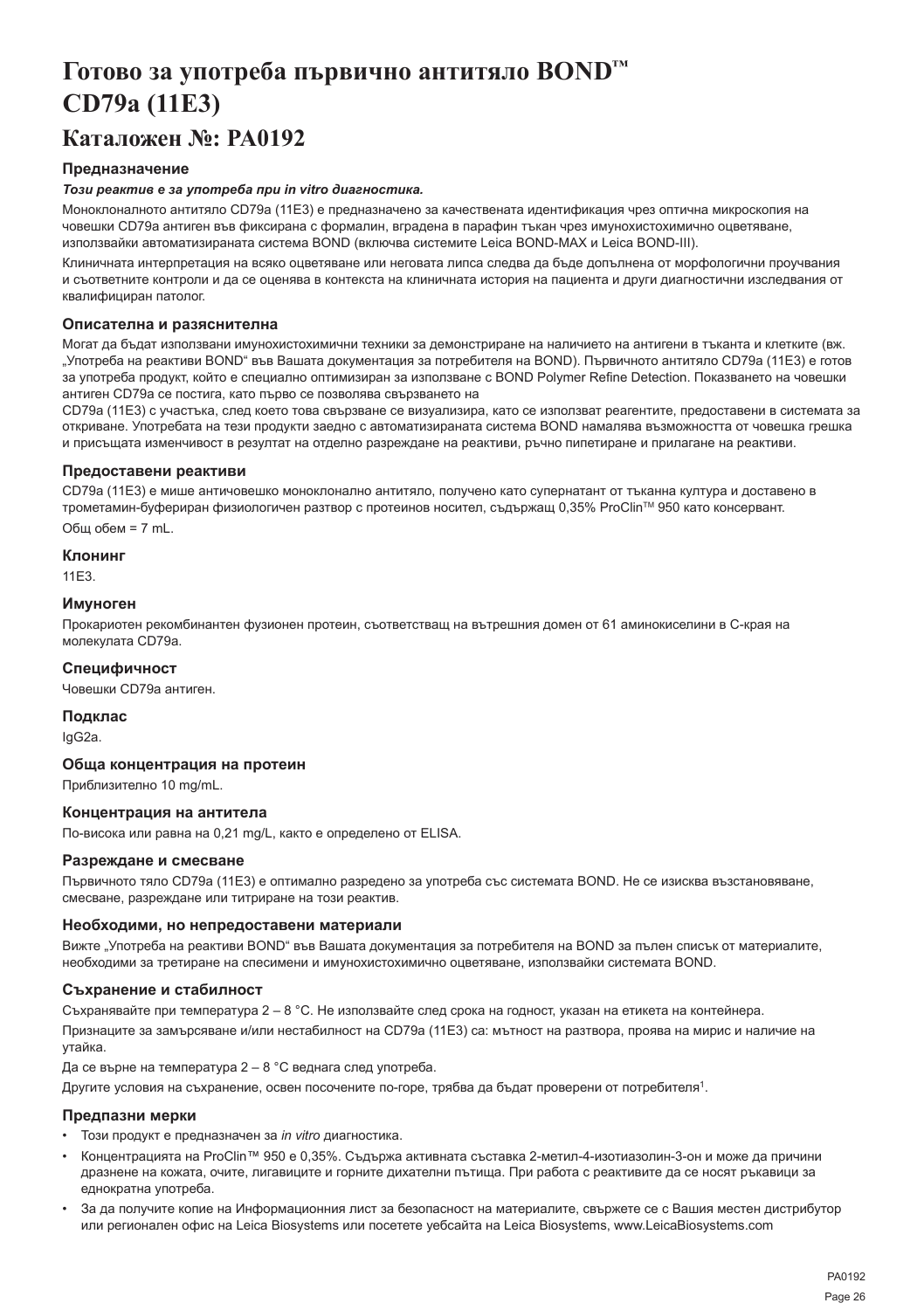## <span id="page-26-0"></span>**Готово за употреба първично антитяло BOND™ CD79a (11E3)**

## **Каталожен №: PA0192**

## **Предназначение**

## *Този реактив е за употреба при in vitro диагностика.*

Моноклоналното антитяло CD79a (11E3) е предназначено за качествената идентификация чрез оптична микроскопия на човешки CD79a антиген във фиксирана с формалин, вградена в парафин тъкан чрез имунохистохимично оцветяване, използвайки автоматизираната система BOND (включва системите Leica BOND-MAX и Leica BOND-III).

Клиничната интерпретация на всяко оцветяване или неговата липса следва да бъде допълнена от морфологични проучвания и съответните контроли и да се оценява в контекста на клиничната история на пациента и други диагностични изследвания от квалифициран патолог.

## **Описателна и разяснителна**

Могат да бъдат използвани имунохистохимични техники за демонстриране на наличието на антигени в тъканта и клетките (вж. "Употреба на реактиви BOND" във Вашата документация за потребителя на BOND). Първичното антитяло CD79a (11E3) е готов за употреба продукт, който е специално оптимизиран за използване с BOND Polymer Refine Detection. Показването на човешки антиген CD79a се постига, като първо се позволява свързването на

CD79a (11E3) с участъка, след което това свързване се визуализира, като се използват реагентите, предоставени в системата за откриване. Употребата на тези продукти заедно с автоматизираната система BOND намалява възможността от човешка грешка и присъщата изменчивост в резултат на отделно разреждане на реактиви, ръчно пипетиране и прилагане на реактиви.

## **Предоставени реактиви**

CD79a (11E3) е мише античовешко моноклонално антитяло, получено като супернатант от тъканна култура и доставено в трометамин-буфериран физиологичен разтвор с протеинов носител, съдържащ 0,35% ProClinTM 950 като консервант. Общ обем = 7 mL.

#### **Клонинг**

11E3.

## **Имуноген**

Прокариотен рекомбинантен фузионен протеин, съответстващ на вътрешния домен от 61 аминокиселини в C-края на молекулата CD79a.

## **Специфичност**

Човешки CD79a антиген.

## **Подклас**

IgG2a.

### **Обща концентрация на протеин**

Приблизително 10 mg/mL.

## **Концентрация на антитела**

По-висока или равна на 0,21 mg/L, както е определено от ELISA.

#### **Разреждане и смесване**

Първичното тяло CD79a (11E3) е оптимално разредено за употреба със системата BOND. Не се изисква възстановяване, смесване, разреждане или титриране на този реактив.

### **Необходими, но непредоставени материали**

Вижте "Употреба на реактиви BOND" във Вашата документация за потребителя на BOND за пълен списък от материалите, необходими за третиране на спесимени и имунохистохимично оцветяване, използвайки системата BOND.

#### **Съхранение и стабилност**

Съхранявайте при температура 2 – 8 °C. Не използвайте след срока на годност, указан на етикета на контейнера.

Признаците за замърсяване и/или нестабилност на CD79a (11E3) са: мътност на разтвора, проява на мирис и наличие на утайка.

Да се върне на температура 2 – 8 °C веднага след употреба.

Другите условия на съхранение, освен посочените по-горе, трябва да бъдат проверени от потребителя<sup>1</sup>.

## **Предпазни мерки**

- Този продукт е предназначен за *in vitro* диагностика.
- Концентрацията на ProClin™ 950 е 0,35%. Съдържа активната съставка 2-метил-4-изотиазолин-3-он и може да причини дразнене на кожата, очите, лигавиците и горните дихателни пътища. При работа с реактивите да се носят ръкавици за еднократна употреба.
- За да получите копие на Информационния лист за безопасност на материалите, свържете се с Вашия местен дистрибутор или регионален офис на Leica Biosystems или посетете уебсайта на Leica Biosystems, www.LeicaBiosystems.com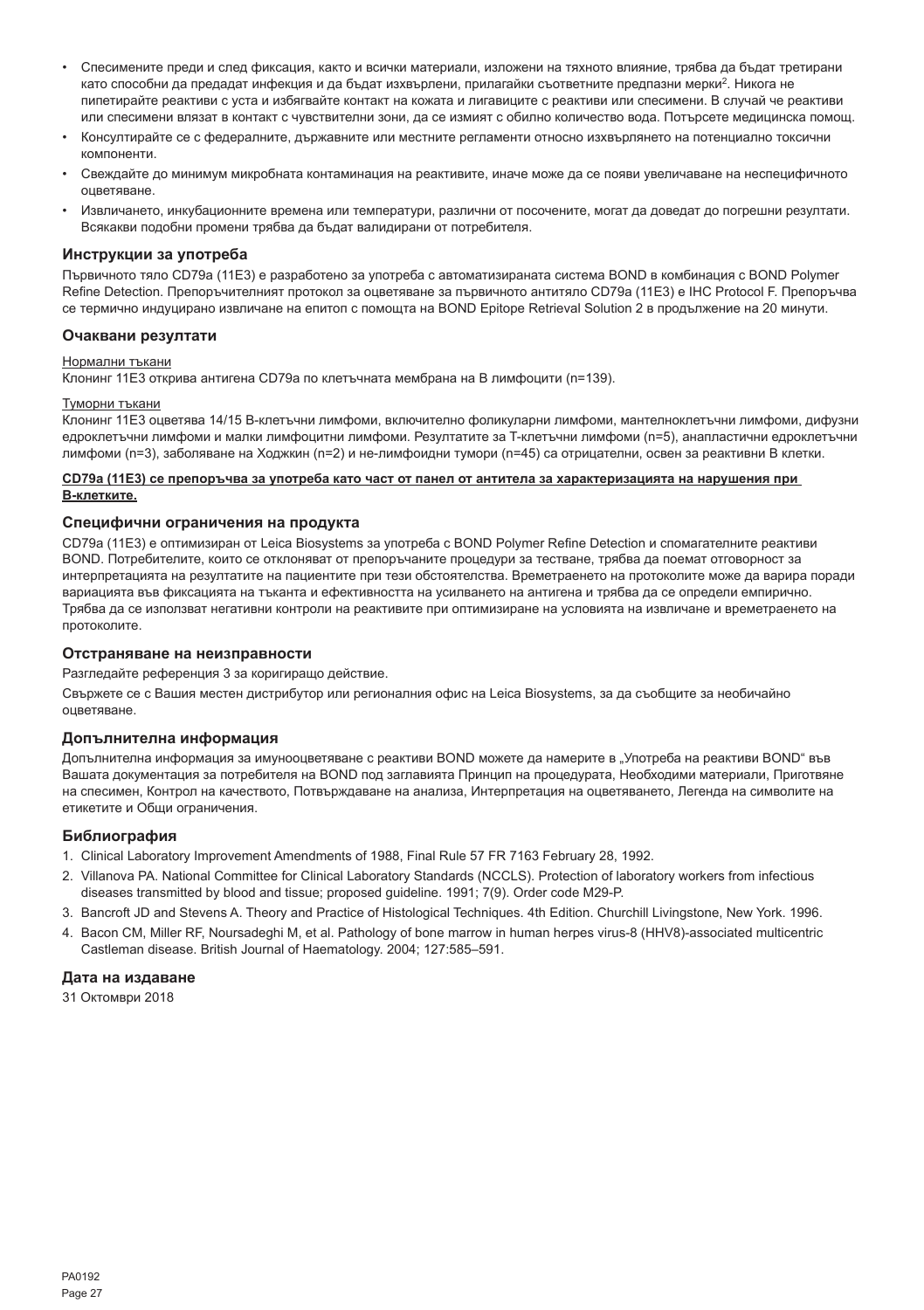- Спесимените преди и след фиксация, както и всички материали, изложени на тяхното влияние, трябва да бъдат третирани като способни да предадат инфекция и да бъдат изхвърлени, прилагайки съответните предпазни мерки<sup>2</sup>. Никога не пипетирайте реактиви с уста и избягвайте контакт на кожата и лигавиците с реактиви или спесимени. В случай че реактиви или спесимени влязат в контакт с чувствителни зони, да се измият с обилно количество вода. Потърсете медицинска помощ.
- Консултирайте се с федералните, държавните или местните регламенти относно изхвърлянето на потенциално токсични компоненти.
- Свеждайте до минимум микробната контаминация на реактивите, иначе може да се появи увеличаване на неспецифичното оцветяване.
- Извличането, инкубационните времена или температури, различни от посочените, могат да доведат до погрешни резултати. Всякакви подобни промени трябва да бъдат валидирани от потребителя.

### **Инструкции за употреба**

Първичното тяло CD79a (11E3) е разработено за употреба с автоматизираната система BOND в комбинация с BOND Polymer Refine Detection. Препоръчителният протокол за оцветяване за първичното антитяло CD79a (11E3) е IHC Protocol F. Препоръчва се термично индуцирано извличане на епитоп с помощта на BOND Epitope Retrieval Solution 2 в продължение на 20 минути.

## **Очаквани резултати**

#### Нормални тъкани

Клонинг 11E3 открива антигена CD79a по клетъчната мембрана на B лимфоцити (n=139).

#### Туморни тъкани

Клонинг 11E3 оцветява 14/15 B-клетъчни лимфоми, включително фоликуларни лимфоми, мантелноклетъчни лимфоми, дифузни едроклетъчни лимфоми и малки лимфоцитни лимфоми. Резултатите за T-клетъчни лимфоми (n=5), анапластични едроклетъчни лимфоми (n=3), заболяване на Ходжкин (n=2) и не-лимфоидни тумори (n=45) са отрицателни, освен за реактивни B клетки.

#### **CD79a (11E3) се препоръчва за употреба като част от панел от антитела за характеризацията на нарушения при B-клетките.**

#### **Специфични ограничения на продукта**

CD79a (11E3) е оптимизиран от Leica Biosystems за употреба с BOND Polymer Refine Detection и спомагателните реактиви BOND. Потребителите, които се отклоняват от препоръчаните процедури за тестване, трябва да поемат отговорност за интерпретацията на резултатите на пациентите при тези обстоятелства. Времетраенето на протоколите може да варира поради вариацията във фиксацията на тъканта и ефективността на усилването на антигена и трябва да се определи емпирично. Трябва да се използват негативни контроли на реактивите при оптимизиране на условията на извличане и времетраенето на протоколите.

#### **Отстраняване на неизправности**

Разгледайте референция 3 за коригиращо действие.

Свържете се с Вашия местен дистрибутор или регионалния офис на Leica Biosystems, за да съобщите за необичайно оцветяване.

## **Допълнителна информация**

Допълнителна информация за имунооцветяване с реактиви BOND можете да намерите в "Употреба на реактиви BOND" във Вашата документация за потребителя на BOND под заглавията Принцип на процедурата, Необходими материали, Приготвяне на спесимен, Контрол на качеството, Потвърждаване на анализа, Интерпретация на оцветяването, Легенда на символите на етикетите и Общи ограничения.

#### **Библиография**

- 1. Clinical Laboratory Improvement Amendments of 1988, Final Rule 57 FR 7163 February 28, 1992.
- 2. Villanova PA. National Committee for Clinical Laboratory Standards (NCCLS). Protection of laboratory workers from infectious diseases transmitted by blood and tissue; proposed guideline. 1991; 7(9). Order code M29-P.
- 3. Bancroft JD and Stevens A. Theory and Practice of Histological Techniques. 4th Edition. Churchill Livingstone, New York. 1996.
- 4. Bacon CM, Miller RF, Noursadeghi M, et al. Pathology of bone marrow in human herpes virus-8 (HHV8)-associated multicentric Castleman disease. British Journal of Haematology. 2004; 127:585–591.

#### **Дата на издаване**

31 Октомври 2018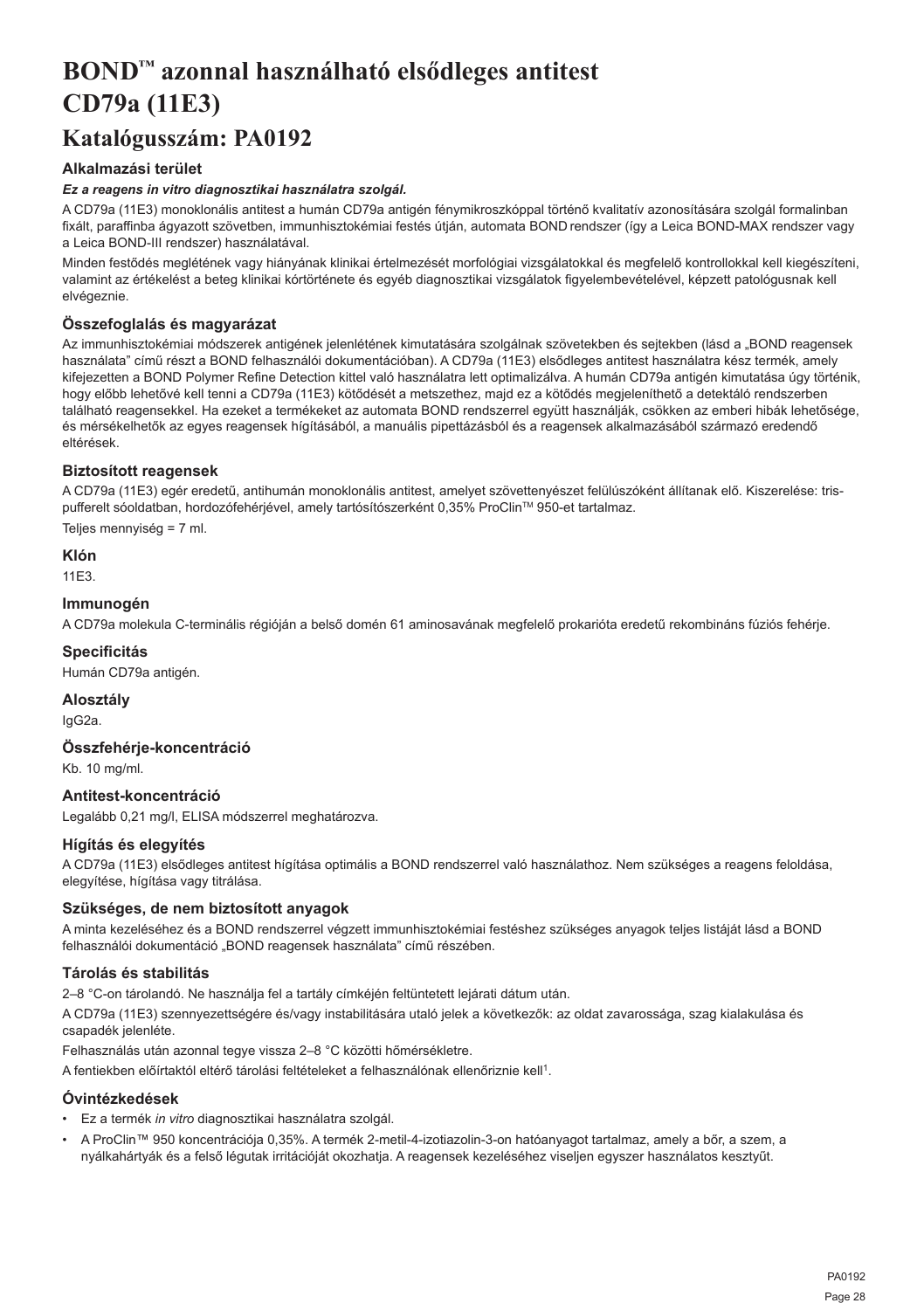## <span id="page-28-0"></span>**BOND™ azonnal használható elsődleges antitest CD79a (11E3)**

## **Katalógusszám: PA0192**

## **Alkalmazási terület**

## *Ez a reagens in vitro diagnosztikai használatra szolgál.*

A CD79a (11E3) monoklonális antitest a humán CD79a antigén fénymikroszkóppal történő kvalitatív azonosítására szolgál formalinban fixált, paraffinba ágyazott szövetben, immunhisztokémiai festés útján, automata BOND rendszer (így a Leica BOND-MAX rendszer vagy a Leica BOND-III rendszer) használatával.

Minden festődés meglétének vagy hiányának klinikai értelmezését morfológiai vizsgálatokkal és megfelelő kontrollokkal kell kiegészíteni, valamint az értékelést a beteg klinikai kórtörténete és egyéb diagnosztikai vizsgálatok figyelembevételével, képzett patológusnak kell elvégeznie.

## **Összefoglalás és magyarázat**

Az immunhisztokémiai módszerek antigének jelenlétének kimutatására szolgálnak szövetekben és sejtekben (lásd a "BOND reagensek használata" című részt a BOND felhasználói dokumentációban). A CD79a (11E3) elsődleges antitest használatra kész termék, amely kifejezetten a BOND Polymer Refine Detection kittel való használatra lett optimalizálva. A humán CD79a antigén kimutatása úgy történik, hogy előbb lehetővé kell tenni a CD79a (11E3) kötődését a metszethez, majd ez a kötődés megjeleníthető a detektáló rendszerben található reagensekkel. Ha ezeket a termékeket az automata BOND rendszerrel együtt használják, csökken az emberi hibák lehetősége, és mérsékelhetők az egyes reagensek hígításából, a manuális pipettázásból és a reagensek alkalmazásából származó eredendő eltérések.

## **Biztosított reagensek**

A CD79a (11E3) egér eredetű, antihumán monoklonális antitest, amelyet szövettenyészet felülúszóként állítanak elő. Kiszerelése: trispufferelt sóoldatban, hordozófehérjével, amely tartósítószerként 0,35% ProClin™ 950-et tartalmaz.

Teljes mennyiség = 7 ml.

## **Klón**

11E3.

## **Immunogén**

A CD79a molekula C-terminális régióján a belső domén 61 aminosavának megfelelő prokarióta eredetű rekombináns fúziós fehérje.

### **Specificitás**

Humán CD79a antigén.

## **Alosztály**

IgG2a.

## **Összfehérje-koncentráció**

Kb. 10 mg/ml.

## **Antitest-koncentráció**

Legalább 0,21 mg/l, ELISA módszerrel meghatározva.

## **Hígítás és elegyítés**

A CD79a (11E3) elsődleges antitest hígítása optimális a BOND rendszerrel való használathoz. Nem szükséges a reagens feloldása, elegyítése, hígítása vagy titrálása.

## **Szükséges, de nem biztosított anyagok**

A minta kezeléséhez és a BOND rendszerrel végzett immunhisztokémiai festéshez szükséges anyagok teljes listáját lásd a BOND felhasználói dokumentáció "BOND reagensek használata" című részében.

## **Tárolás és stabilitás**

2–8 °C-on tárolandó. Ne használja fel a tartály címkéjén feltüntetett lejárati dátum után.

A CD79a (11E3) szennyezettségére és/vagy instabilitására utaló jelek a következők: az oldat zavarossága, szag kialakulása és csapadék jelenléte.

Felhasználás után azonnal tegye vissza 2–8 °C közötti hőmérsékletre.

A fentiekben előírtaktól eltérő tárolási feltételeket a felhasználónak ellenőriznie kell<sup>1</sup>.

## **Óvintézkedések**

- Ez a termék *in vitro* diagnosztikai használatra szolgál.
- A ProClin™ 950 koncentrációja 0,35%. A termék 2-metil-4-izotiazolin-3-on hatóanyagot tartalmaz, amely a bőr, a szem, a nyálkahártyák és a felső légutak irritációját okozhatja. A reagensek kezeléséhez viseljen egyszer használatos kesztyűt.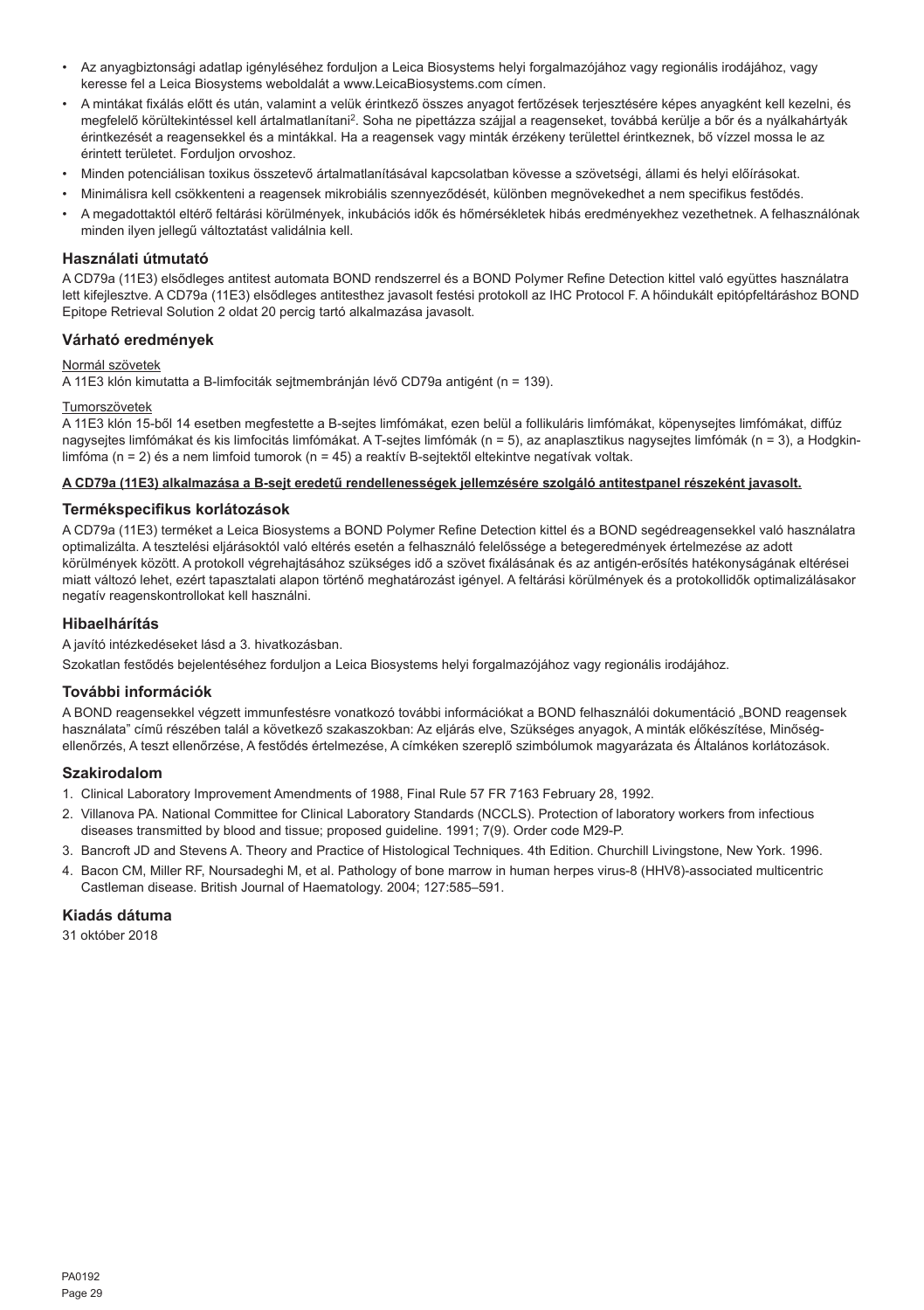- Az anyagbiztonsági adatlap igényléséhez forduljon a Leica Biosystems helyi forgalmazójához vagy regionális irodájához, vagy keresse fel a Leica Biosystems weboldalát a www.LeicaBiosystems.com címen.
- A mintákat fixálás előtt és után, valamint a velük érintkező összes anyagot fertőzések terjesztésére képes anyagként kell kezelni, és megfelelő körültekintéssel kell ártalmatlanítani<sup>2</sup>. Soha ne pipettázza szájjal a reagenseket, továbbá kerülje a bőr és a nyálkahártyák érintkezését a reagensekkel és a mintákkal. Ha a reagensek vagy minták érzékeny területtel érintkeznek, bő vízzel mossa le az érintett területet. Forduljon orvoshoz.
- Minden potenciálisan toxikus összetevő ártalmatlanításával kapcsolatban kövesse a szövetségi, állami és helyi előírásokat.
- Minimálisra kell csökkenteni a reagensek mikrobiális szennyeződését, különben megnövekedhet a nem specifikus festődés.
- A megadottaktól eltérő feltárási körülmények, inkubációs idők és hőmérsékletek hibás eredményekhez vezethetnek. A felhasználónak minden ilyen jellegű változtatást validálnia kell.

## **Használati útmutató**

A CD79a (11E3) elsődleges antitest automata BOND rendszerrel és a BOND Polymer Refine Detection kittel való együttes használatra lett kifejlesztve. A CD79a (11E3) elsődleges antitesthez javasolt festési protokoll az IHC Protocol F. A hőindukált epitópfeltáráshoz BOND Epitope Retrieval Solution 2 oldat 20 percig tartó alkalmazása javasolt.

### **Várható eredmények**

#### Normál szövetek

A 11E3 klón kimutatta a B-limfociták sejtmembránján lévő CD79a antigént (n = 139).

#### Tumorszövetek

A 11E3 klón 15-ből 14 esetben megfestette a B-sejtes limfómákat, ezen belül a follikuláris limfómákat, köpenysejtes limfómákat, diffúz nagysejtes limfómákat és kis limfocitás limfómákat. A T-sejtes limfómák (n = 5), az anaplasztikus nagysejtes limfómák (n = 3), a Hodgkinlimfóma (n = 2) és a nem limfoid tumorok (n = 45) a reaktív B-sejtektől eltekintve negatívak voltak.

#### **A CD79a (11E3) alkalmazása a B-sejt eredetű rendellenességek jellemzésére szolgáló antitestpanel részeként javasolt.**

#### **Termékspecifikus korlátozások**

A CD79a (11E3) terméket a Leica Biosystems a BOND Polymer Refine Detection kittel és a BOND segédreagensekkel való használatra optimalizálta. A tesztelési eljárásoktól való eltérés esetén a felhasználó felelőssége a betegeredmények értelmezése az adott körülmények között. A protokoll végrehajtásához szükséges idő a szövet fixálásának és az antigén-erősítés hatékonyságának eltérései miatt változó lehet, ezért tapasztalati alapon történő meghatározást igényel. A feltárási körülmények és a protokollidők optimalizálásakor negatív reagenskontrollokat kell használni.

#### **Hibaelhárítás**

A javító intézkedéseket lásd a 3. hivatkozásban.

Szokatlan festődés bejelentéséhez forduljon a Leica Biosystems helyi forgalmazójához vagy regionális irodájához.

## **További információk**

A BOND reagensekkel végzett immunfestésre vonatkozó további információkat a BOND felhasználói dokumentáció "BOND reagensek használata" című részében talál a következő szakaszokban: Az eljárás elve, Szükséges anyagok, A minták előkészítése, Minőségellenőrzés, A teszt ellenőrzése, A festődés értelmezése, A címkéken szereplő szimbólumok magyarázata és Általános korlátozások.

#### **Szakirodalom**

- 1. Clinical Laboratory Improvement Amendments of 1988, Final Rule 57 FR 7163 February 28, 1992.
- 2. Villanova PA. National Committee for Clinical Laboratory Standards (NCCLS). Protection of laboratory workers from infectious diseases transmitted by blood and tissue; proposed guideline. 1991; 7(9). Order code M29-P.
- 3. Bancroft JD and Stevens A. Theory and Practice of Histological Techniques. 4th Edition. Churchill Livingstone, New York. 1996.
- 4. Bacon CM, Miller RF, Noursadeghi M, et al. Pathology of bone marrow in human herpes virus-8 (HHV8)-associated multicentric Castleman disease. British Journal of Haematology. 2004; 127:585–591.

## **Kiadás dátuma**

31 október 2018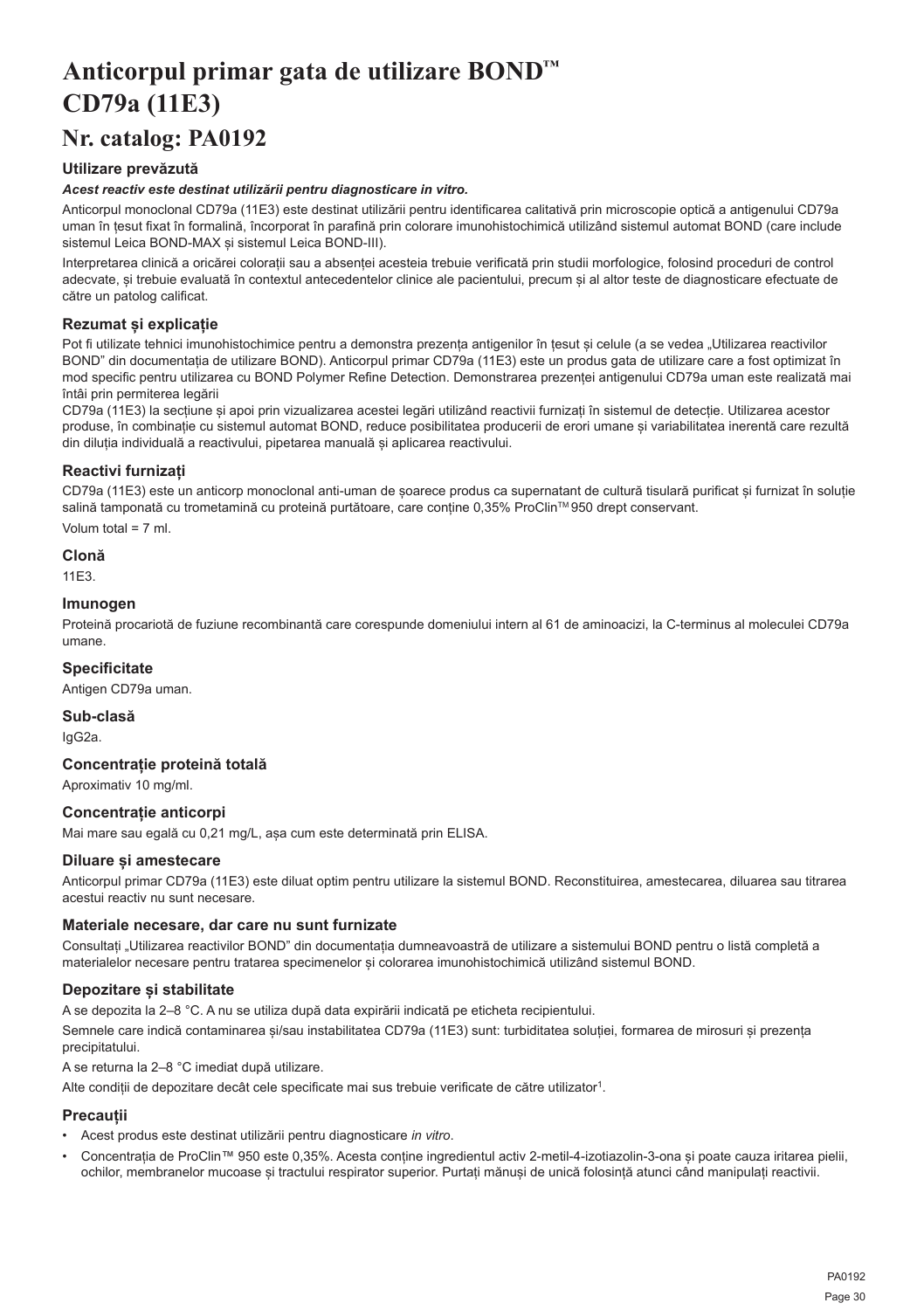## <span id="page-30-0"></span>**Anticorpul primar gata de utilizare BOND™ CD79a (11E3)**

## **Nr. catalog: PA0192**

## **Utilizare prevăzută**

## *Acest reactiv este destinat utilizării pentru diagnosticare in vitro.*

Anticorpul monoclonal CD79a (11E3) este destinat utilizării pentru identificarea calitativă prin microscopie optică a antigenului CD79a uman în țesut fixat în formalină, încorporat în parafină prin colorare imunohistochimică utilizând sistemul automat BOND (care include sistemul Leica BOND-MAX și sistemul Leica BOND-III).

Interpretarea clinică a oricărei colorații sau a absenței acesteia trebuie verificată prin studii morfologice, folosind proceduri de control adecvate, și trebuie evaluată în contextul antecedentelor clinice ale pacientului, precum și al altor teste de diagnosticare efectuate de către un patolog calificat.

## **Rezumat și explicație**

Pot fi utilizate tehnici imunohistochimice pentru a demonstra prezența antigenilor în țesut și celule (a se vedea "Utilizarea reactivilor BOND" din documentația de utilizare BOND). Anticorpul primar CD79a (11E3) este un produs gata de utilizare care a fost optimizat în mod specific pentru utilizarea cu BOND Polymer Refine Detection. Demonstrarea prezenței antigenului CD79a uman este realizată mai întâi prin permiterea legării

CD79a (11E3) la secțiune și apoi prin vizualizarea acestei legări utilizând reactivii furnizați în sistemul de detecție. Utilizarea acestor produse, în combinație cu sistemul automat BOND, reduce posibilitatea producerii de erori umane și variabilitatea inerentă care rezultă din diluția individuală a reactivului, pipetarea manuală și aplicarea reactivului.

## **Reactivi furnizați**

CD79a (11E3) este un anticorp monoclonal anti-uman de șoarece produs ca supernatant de cultură tisulară purificat și furnizat în soluție salină tamponată cu trometamină cu proteină purtătoare, care conține 0,35% ProClin™ 950 drept conservant. Volum total = 7 ml.

## **Clonă**

11E3.

## **Imunogen**

Proteină procariotă de fuziune recombinantă care corespunde domeniului intern al 61 de aminoacizi, la C-terminus al moleculei CD79a umane.

## **Specificitate**

Antigen CD79a uman.

## **Sub-clasă**

IgG2a.

## **Concentrație proteină totală**

Aproximativ 10 mg/ml.

## **Concentrație anticorpi**

Mai mare sau egală cu 0,21 mg/L, așa cum este determinată prin ELISA.

## **Diluare și amestecare**

Anticorpul primar CD79a (11E3) este diluat optim pentru utilizare la sistemul BOND. Reconstituirea, amestecarea, diluarea sau titrarea acestui reactiv nu sunt necesare.

## **Materiale necesare, dar care nu sunt furnizate**

Consultați "Utilizarea reactivilor BOND" din documentația dumneavoastră de utilizare a sistemului BOND pentru o listă completă a materialelor necesare pentru tratarea specimenelor și colorarea imunohistochimică utilizând sistemul BOND.

## **Depozitare și stabilitate**

A se depozita la 2–8 °C. A nu se utiliza după data expirării indicată pe eticheta recipientului.

Semnele care indică contaminarea și/sau instabilitatea CD79a (11E3) sunt: turbiditatea soluției, formarea de mirosuri și prezența precipitatului.

A se returna la 2–8 °C imediat după utilizare.

Alte condiții de depozitare decât cele specificate mai sus trebuie verificate de către utilizator<sup>1</sup>.

## **Precauții**

- Acest produs este destinat utilizării pentru diagnosticare *in vitro*.
- Concentrația de ProClin™ 950 este 0,35%. Acesta conține ingredientul activ 2-metil-4-izotiazolin-3-ona și poate cauza iritarea pielii, ochilor, membranelor mucoase și tractului respirator superior. Purtați mănuși de unică folosință atunci când manipulați reactivii.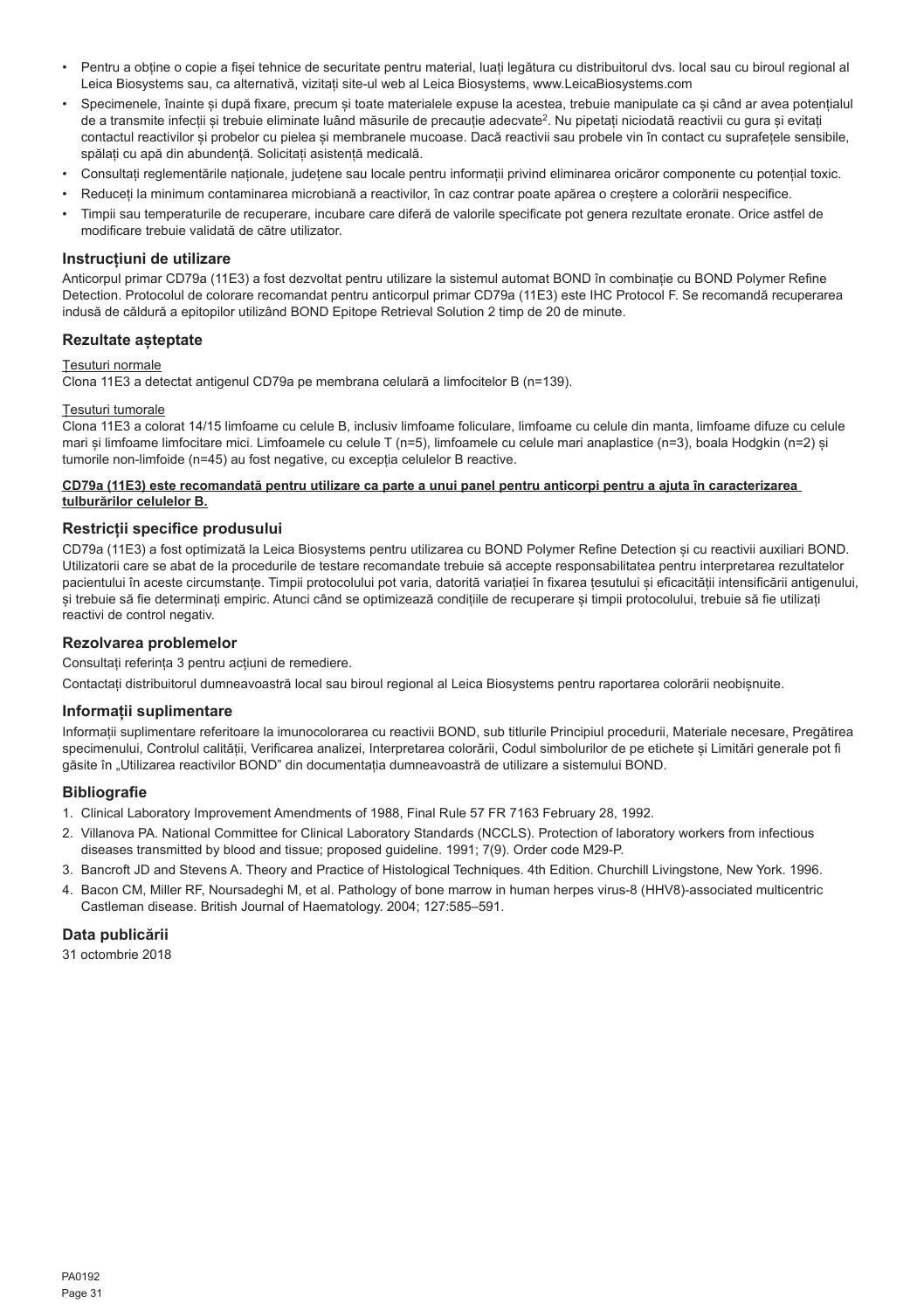- Pentru a obține o copie a fișei tehnice de securitate pentru material, luați legătura cu distribuitorul dvs. local sau cu biroul regional al Leica Biosystems sau, ca alternativă, vizitați site-ul web al Leica Biosystems, www.LeicaBiosystems.com
- Specimenele, înainte și după fixare, precum și toate materialele expuse la acestea, trebuie manipulate ca și când ar avea potențialul de a transmite infectii și trebuie eliminate luând măsurile de precautie adecvate<sup>2</sup>. Nu pipetați niciodată reactivii cu gura și evitați contactul reactivilor și probelor cu pielea și membranele mucoase. Dacă reactivii sau probele vin în contact cu suprafețele sensibile, spălați cu apă din abundență. Solicitați asistență medicală.
- Consultați reglementările naționale, județene sau locale pentru informații privind eliminarea oricăror componente cu potențial toxic.
- Reduceți la minimum contaminarea microbiană a reactivilor, în caz contrar poate apărea o creștere a colorării nespecifice.
- Timpii sau temperaturile de recuperare, incubare care diferă de valorile specificate pot genera rezultate eronate. Orice astfel de modificare trebuie validată de către utilizator.

## **Instrucțiuni de utilizare**

Anticorpul primar CD79a (11E3) a fost dezvoltat pentru utilizare la sistemul automat BOND în combinație cu BOND Polymer Refine Detection. Protocolul de colorare recomandat pentru anticorpul primar CD79a (11E3) este IHC Protocol F. Se recomandă recuperarea indusă de căldură a epitopilor utilizând BOND Epitope Retrieval Solution 2 timp de 20 de minute.

### **Rezultate așteptate**

#### Țesuturi normale

Clona 11E3 a detectat antigenul CD79a pe membrana celulară a limfocitelor B (n=139).

#### Țesuturi tumorale

Clona 11E3 a colorat 14/15 limfoame cu celule B, inclusiv limfoame foliculare, limfoame cu celule din manta, limfoame difuze cu celule mari și limfoame limfocitare mici. Limfoamele cu celule T (n=5), limfoamele cu celule mari anaplastice (n=3), boala Hodgkin (n=2) și tumorile non-limfoide (n=45) au fost negative, cu excepția celulelor B reactive.

### **CD79a (11E3) este recomandată pentru utilizare ca parte a unui panel pentru anticorpi pentru a ajuta în caracterizarea tulburărilor celulelor B.**

## **Restricții specifice produsului**

CD79a (11E3) a fost optimizată la Leica Biosystems pentru utilizarea cu BOND Polymer Refine Detection și cu reactivii auxiliari BOND. Utilizatorii care se abat de la procedurile de testare recomandate trebuie să accepte responsabilitatea pentru interpretarea rezultatelor pacientului în aceste circumstanțe. Timpii protocolului pot varia, datorită variației în fixarea țesutului și eficacității intensificării antigenului, și trebuie să fie determinați empiric. Atunci când se optimizează condițiile de recuperare și timpii protocolului, trebuie să fie utilizați reactivi de control negativ.

## **Rezolvarea problemelor**

Consultați referința 3 pentru acțiuni de remediere.

Contactați distribuitorul dumneavoastră local sau biroul regional al Leica Biosystems pentru raportarea colorării neobișnuite.

#### **Informații suplimentare**

Informații suplimentare referitoare la imunocolorarea cu reactivii BOND, sub titlurile Principiul procedurii, Materiale necesare, Pregătirea specimenului, Controlul calității, Verificarea analizei, Interpretarea colorării, Codul simbolurilor de pe etichete și Limitări generale pot fi găsite în "Utilizarea reactivilor BOND" din documentația dumneavoastră de utilizare a sistemului BOND.

#### **Bibliografie**

- 1. Clinical Laboratory Improvement Amendments of 1988, Final Rule 57 FR 7163 February 28, 1992.
- 2. Villanova PA. National Committee for Clinical Laboratory Standards (NCCLS). Protection of laboratory workers from infectious diseases transmitted by blood and tissue; proposed guideline. 1991; 7(9). Order code M29-P.
- 3. Bancroft JD and Stevens A. Theory and Practice of Histological Techniques. 4th Edition. Churchill Livingstone, New York. 1996.
- 4. Bacon CM, Miller RF, Noursadeghi M, et al. Pathology of bone marrow in human herpes virus-8 (HHV8)-associated multicentric Castleman disease. British Journal of Haematology. 2004; 127:585–591.

### **Data publicării**

31 octombrie 2018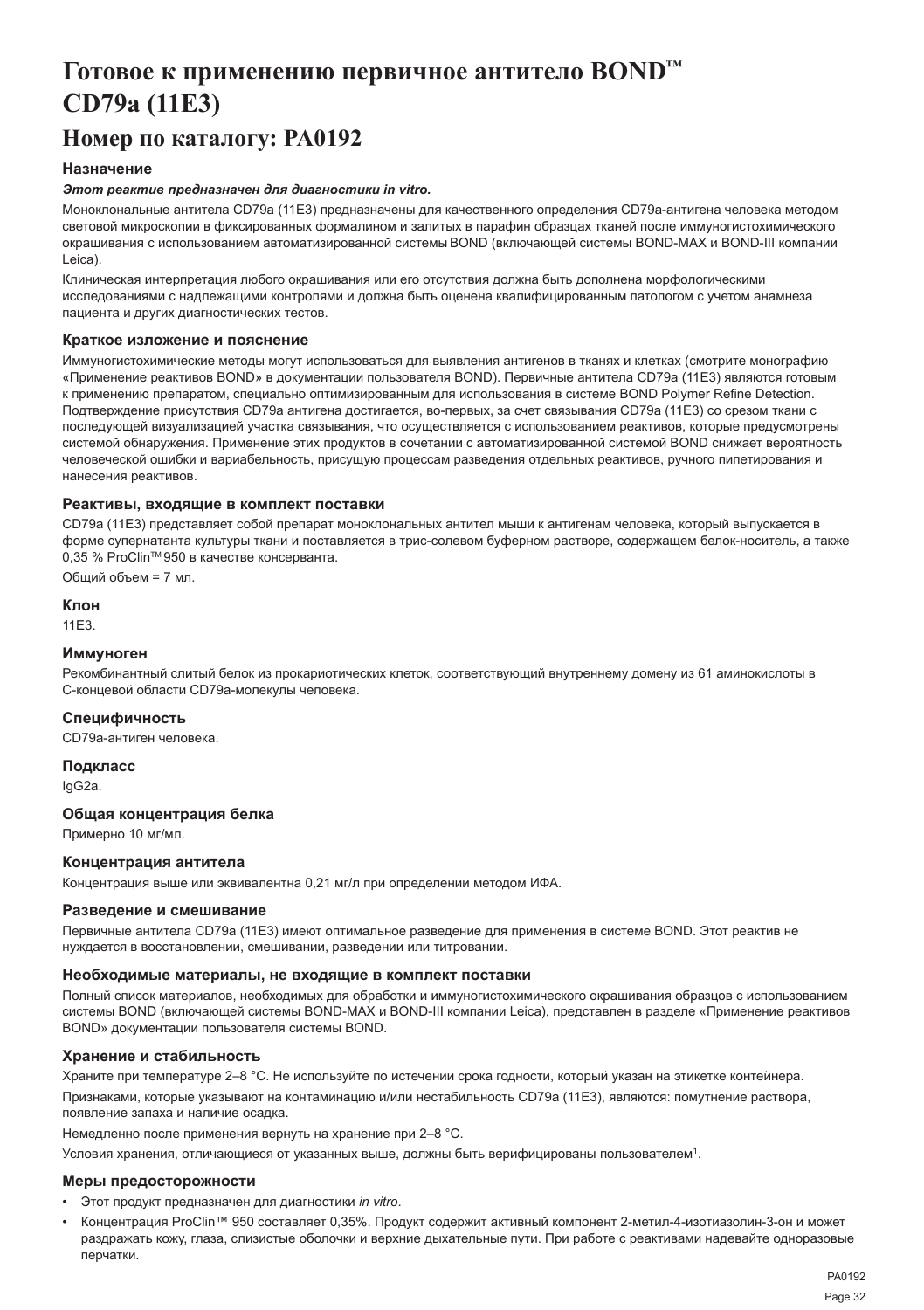## <span id="page-32-0"></span>**Готовое к применению первичное антитело BOND™ CD79a (11E3)**

## **Номер по каталогу: PA0192**

## **Назначение**

#### *Этот реактив предназначен для диагностики in vitro.*

Моноклональные антитела CD79a (11E3) предназначены для качественного определения CD79a-антигена человека методом световой микроскопии в фиксированных формалином и залитых в парафин образцах тканей после иммуногистохимического окрашивания с использованием автоматизированной системы BOND (включающей системы BOND-MAX и BOND-III компании Leica).

Клиническая интерпретация любого окрашивания или его отсутствия должна быть дополнена морфологическими исследованиями с надлежащими контролями и должна быть оценена квалифицированным патологом с учетом анамнеза пациента и других диагностических тестов.

## **Краткое изложение и пояснение**

Иммуногистохимические методы могут использоваться для выявления антигенов в тканях и клетках (смотрите монографию «Применение реактивов BOND» в документации пользователя BOND). Первичные антитела CD79a (11E3) являются готовым к применению препаратом, специально оптимизированным для использования в системе BOND Polymer Refine Detection. Подтверждение присутствия CD79a антигена достигается, во-первых, за счет связывания CD79a (11E3) со срезом ткани с последующей визуализацией участка связывания, что осуществляется с использованием реактивов, которые предусмотрены системой обнаружения. Применение этих продуктов в сочетании с автоматизированной системой BOND снижает вероятность человеческой ошибки и вариабельность, присущую процессам разведения отдельных реактивов, ручного пипетирования и нанесения реактивов.

#### **Реактивы, входящие в комплект поставки**

CD79a (11E3) представляет собой препарат моноклональных антител мыши к антигенам человека, который выпускается в форме супернатанта культуры ткани и поставляется в трис-солевом буферном растворе, содержащем белок-носитель, а также 0,35 % ProClinTM 950 в качестве консерванта.

Общий объем = 7 мл.

## **Клон**

11E3.

### **Иммуноген**

Рекомбинантный слитый белок из прокариотических клеток, соответствующий внутреннему домену из 61 аминокислоты в С-концевой области CD79a-молекулы человека.

## **Специфичность**

CD79a-антиген человека.

**Подкласс**

IgG2a.

### **Общая концентрация белка**

Примерно 10 мг/мл.

### **Концентрация антитела**

Концентрация выше или эквивалентна 0,21 мг/л при определении методом ИФА.

#### **Разведение и смешивание**

Первичные антитела CD79a (11E3) имеют оптимальное разведение для применения в системе BOND. Этот реактив не нуждается в восстановлении, смешивании, разведении или титровании.

#### **Необходимые материалы, не входящие в комплект поставки**

Полный список материалов, необходимых для обработки и иммуногистохимического окрашивания образцов с использованием системы BOND (включающей системы BOND-MAX и BOND-III компании Leica), представлен в разделе «Применение реактивов BOND» документации пользователя системы BOND.

#### **Хранение и стабильность**

Храните при температуре 2–8 °C. Не используйте по истечении срока годности, который указан на этикетке контейнера.

Признаками, которые указывают на контаминацию и/или нестабильность CD79a (11E3), являются: помутнение раствора, появление запаха и наличие осадка.

Немедленно после применения вернуть на хранение при 2–8 °C.

Условия хранения, отличающиеся от указанных выше, должны быть верифицированы пользователем<sup>1</sup>.

#### **Меры предосторожности**

- Этот продукт предназначен для диагностики *in vitro*.
- Концентрация ProClin™ 950 составляет 0,35%. Продукт содержит активный компонент 2-метил-4-изотиазолин-3-он и может раздражать кожу, глаза, слизистые оболочки и верхние дыхательные пути. При работе с реактивами надевайте одноразовые перчатки.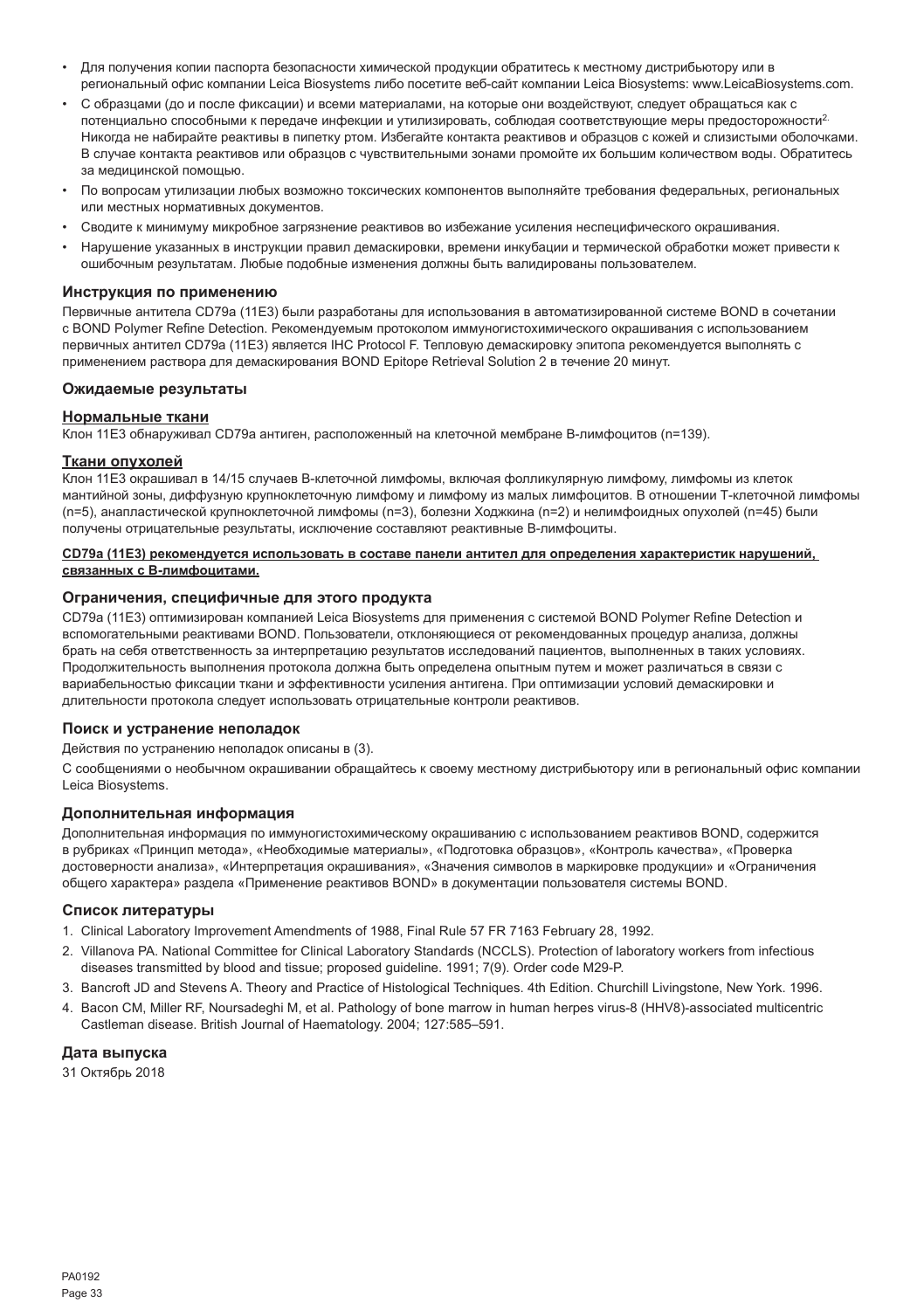- Для получения копии паспорта безопасности химической продукции обратитесь к местному дистрибьютору или в региональный офис компании Leica Biosystems либо посетите веб-сайт компании Leica Biosystems: www.LeicaBiosystems.com.
- С образцами (до и после фиксации) и всеми материалами, на которые они воздействуют, следует обращаться как с потенциально способными к передаче инфекции и утилизировать, соблюдая соответствующие меры предосторожности2. Никогда не набирайте реактивы в пипетку ртом. Избегайте контакта реактивов и образцов с кожей и слизистыми оболочками. В случае контакта реактивов или образцов с чувствительными зонами промойте их большим количеством воды. Обратитесь за медицинской помощью.
- По вопросам утилизации любых возможно токсических компонентов выполняйте требования федеральных, региональных или местных нормативных документов.
- Сводите к минимуму микробное загрязнение реактивов во избежание усиления неспецифического окрашивания.
- Нарушение указанных в инструкции правил демаскировки, времени инкубации и термической обработки может привести к ошибочным результатам. Любые подобные изменения должны быть валидированы пользователем.

#### **Инструкция по применению**

Первичные антитела CD79a (11E3) были разработаны для использования в автоматизированной системе BOND в сочетании с BOND Polymer Refine Detection. Рекомендуемым протоколом иммуногистохимического окрашивания с использованием первичных антител CD79a (11E3) является IHC Protocol F. Тепловую демаскировку эпитопа рекомендуется выполнять с применением раствора для демаскирования BOND Epitope Retrieval Solution 2 в течение 20 минут.

#### **Ожидаемые результаты**

#### **Нормальные ткани**

Клон 11E3 обнаруживал CD79a антиген, расположенный на клеточной мембране B-лимфоцитов (n=139).

#### **Ткани опухолей**

Клон 11E3 окрашивал в 14/15 случаев B-клеточной лимфомы, включая фолликулярную лимфому, лимфомы из клеток мантийной зоны, диффузную крупноклеточную лимфому и лимфому из малых лимфоцитов. В отношении Т-клеточной лимфомы (n=5), анапластической крупноклеточной лимфомы (n=3), болезни Ходжкина (n=2) и нелимфоидных опухолей (n=45) были получены отрицательные результаты, исключение составляют реактивные B-лимфоциты.

#### **CD79a (11E3) рекомендуется использовать в составе панели антител для определения характеристик нарушений, связанных с В-лимфоцитами.**

#### **Ограничения, специфичные для этого продукта**

CD79a (11E3) оптимизирован компанией Leica Biosystems для применения с системой BOND Polymer Refine Detection и вспомогательными реактивами BOND. Пользователи, отклоняющиеся от рекомендованных процедур анализа, должны брать на себя ответственность за интерпретацию результатов исследований пациентов, выполненных в таких условиях. Продолжительность выполнения протокола должна быть определена опытным путем и может различаться в связи с вариабельностью фиксации ткани и эффективности усиления антигена. При оптимизации условий демаскировки и длительности протокола следует использовать отрицательные контроли реактивов.

#### **Поиск и устранение неполадок**

Действия по устранению неполадок описаны в (3).

С сообщениями о необычном окрашивании обращайтесь к своему местному дистрибьютору или в региональный офис компании Leica Biosystems.

## **Дополнительная информация**

Дополнительная информация по иммуногистохимическому окрашиванию с использованием реактивов BOND, содержится в рубриках «Принцип метода», «Необходимые материалы», «Подготовка образцов», «Контроль качества», «Проверка достоверности анализа», «Интерпретация окрашивания», «Значения символов в маркировке продукции» и «Ограничения общего характера» раздела «Применение реактивов BOND» в документации пользователя системы BOND.

#### **Список литературы**

- 1. Clinical Laboratory Improvement Amendments of 1988, Final Rule 57 FR 7163 February 28, 1992.
- 2. Villanova PA. National Committee for Clinical Laboratory Standards (NCCLS). Protection of laboratory workers from infectious diseases transmitted by blood and tissue; proposed guideline. 1991; 7(9). Order code M29-P.
- 3. Bancroft JD and Stevens A. Theory and Practice of Histological Techniques. 4th Edition. Churchill Livingstone, New York. 1996.
- 4. Bacon CM, Miller RF, Noursadeghi M, et al. Pathology of bone marrow in human herpes virus-8 (HHV8)-associated multicentric Castleman disease. British Journal of Haematology. 2004; 127:585–591.

## **Дата выпуска**

31 Октябрь 2018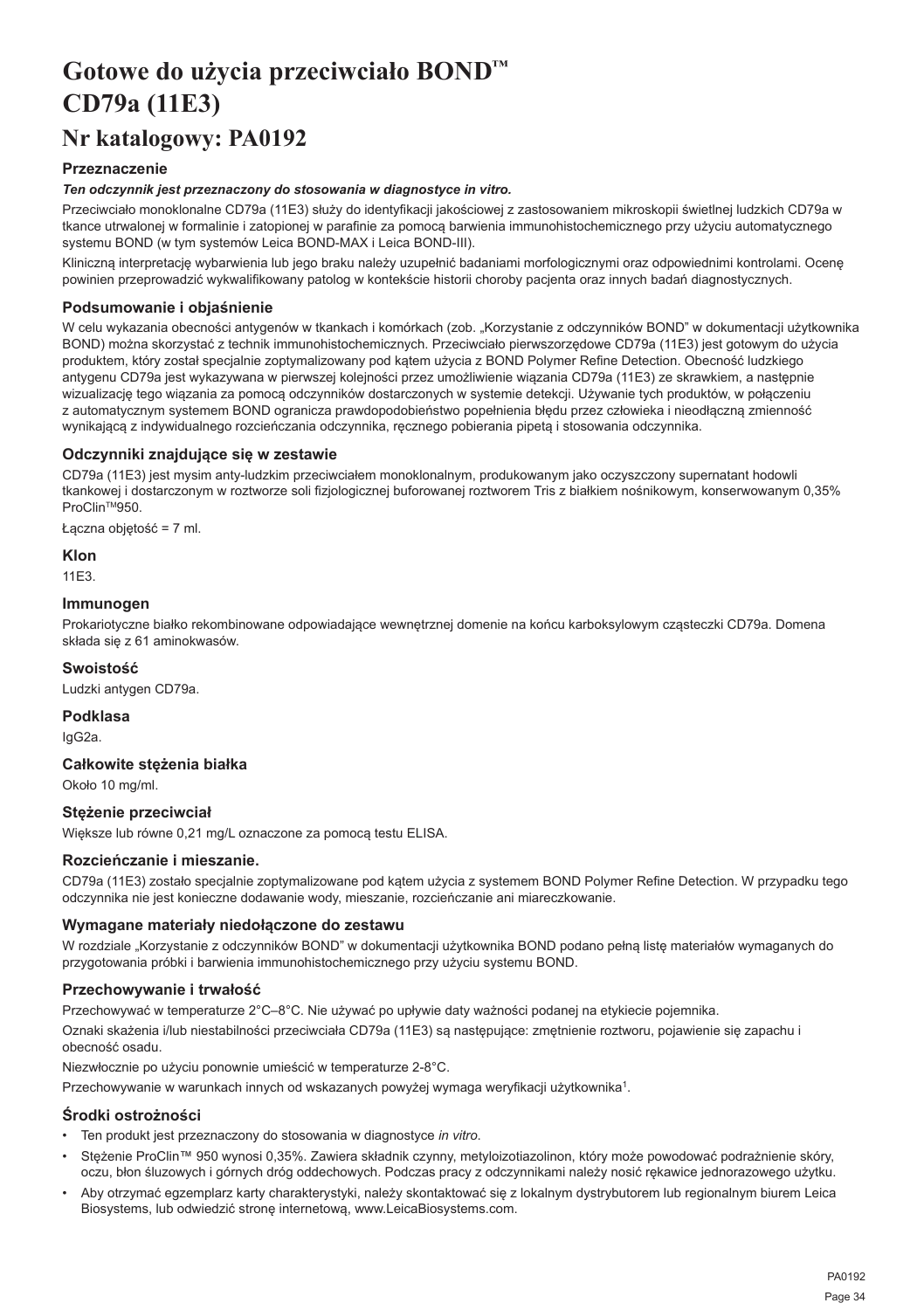## <span id="page-34-0"></span>**Gotowe do użycia przeciwciało BOND™ CD79a (11E3)**

## **Nr katalogowy: PA0192**

## **Przeznaczenie**

### *Ten odczynnik jest przeznaczony do stosowania w diagnostyce in vitro.*

Przeciwciało monoklonalne CD79a (11E3) służy do identyfikacji jakościowej z zastosowaniem mikroskopii świetlnej ludzkich CD79a w tkance utrwalonej w formalinie i zatopionej w parafinie za pomocą barwienia immunohistochemicznego przy użyciu automatycznego systemu BOND (w tym systemów Leica BOND-MAX i Leica BOND-III).

Kliniczną interpretację wybarwienia lub jego braku należy uzupełnić badaniami morfologicznymi oraz odpowiednimi kontrolami. Ocenę powinien przeprowadzić wykwalifikowany patolog w kontekście historii choroby pacjenta oraz innych badań diagnostycznych.

## **Podsumowanie i objaśnienie**

W celu wykazania obecności antygenów w tkankach i komórkach (zob. "Korzystanie z odczynników BOND" w dokumentacji użytkownika BOND) można skorzystać z technik immunohistochemicznych. Przeciwciało pierwszorzędowe CD79a (11E3) jest gotowym do użycia produktem, który został specjalnie zoptymalizowany pod kątem użycia z BOND Polymer Refine Detection. Obecność ludzkiego antygenu CD79a jest wykazywana w pierwszej kolejności przez umożliwienie wiązania CD79a (11E3) ze skrawkiem, a następnie wizualizację tego wiązania za pomocą odczynników dostarczonych w systemie detekcji. Używanie tych produktów, w połączeniu z automatycznym systemem BOND ogranicza prawdopodobieństwo popełnienia błędu przez człowieka i nieodłączną zmienność wynikającą z indywidualnego rozcieńczania odczynnika, ręcznego pobierania pipetą i stosowania odczynnika.

## **Odczynniki znajdujące się w zestawie**

CD79a (11E3) jest mysim anty-ludzkim przeciwciałem monoklonalnym, produkowanym jako oczyszczony supernatant hodowli tkankowej i dostarczonym w roztworze soli fizjologicznej buforowanej roztworem Tris z białkiem nośnikowym, konserwowanym 0,35% ProClin<sup>™950</sup>.

Łączna objętość = 7 ml.

## **Klon**

11E3.

## **Immunogen**

Prokariotyczne białko rekombinowane odpowiadające wewnętrznej domenie na końcu karboksylowym cząsteczki CD79a. Domena składa się z 61 aminokwasów.

## **Swoistość**

Ludzki antygen CD79a.

## **Podklasa**

IgG2a.

## **Całkowite stężenia białka**

Około 10 mg/ml.

## **Stężenie przeciwciał**

Większe lub równe 0,21 mg/L oznaczone za pomocą testu ELISA.

## **Rozcieńczanie i mieszanie.**

CD79a (11E3) zostało specjalnie zoptymalizowane pod kątem użycia z systemem BOND Polymer Refine Detection. W przypadku tego odczynnika nie jest konieczne dodawanie wody, mieszanie, rozcieńczanie ani miareczkowanie.

## **Wymagane materiały niedołączone do zestawu**

W rozdziale "Korzystanie z odczynników BOND" w dokumentacji użytkownika BOND podano pełną listę materiałów wymaganych do przygotowania próbki i barwienia immunohistochemicznego przy użyciu systemu BOND.

## **Przechowywanie i trwałość**

Przechowywać w temperaturze 2°C–8°C. Nie używać po upływie daty ważności podanej na etykiecie pojemnika.

Oznaki skażenia i/lub niestabilności przeciwciała CD79a (11E3) są następujące: zmętnienie roztworu, pojawienie się zapachu i obecność osadu.

Niezwłocznie po użyciu ponownie umieścić w temperaturze 2-8°C.

Przechowywanie w warunkach innych od wskazanych powyżej wymaga weryfikacji użytkownika<sup>1</sup>.

## **Środki ostrożności**

- Ten produkt jest przeznaczony do stosowania w diagnostyce *in vitro*.
- Stężenie ProClin™ 950 wynosi 0,35%. Zawiera składnik czynny, metyloizotiazolinon, który może powodować podrażnienie skóry, oczu, błon śluzowych i górnych dróg oddechowych. Podczas pracy z odczynnikami należy nosić rękawice jednorazowego użytku.
- Aby otrzymać egzemplarz karty charakterystyki, należy skontaktować się z lokalnym dystrybutorem lub regionalnym biurem Leica Biosystems, lub odwiedzić stronę internetową, www.LeicaBiosystems.com.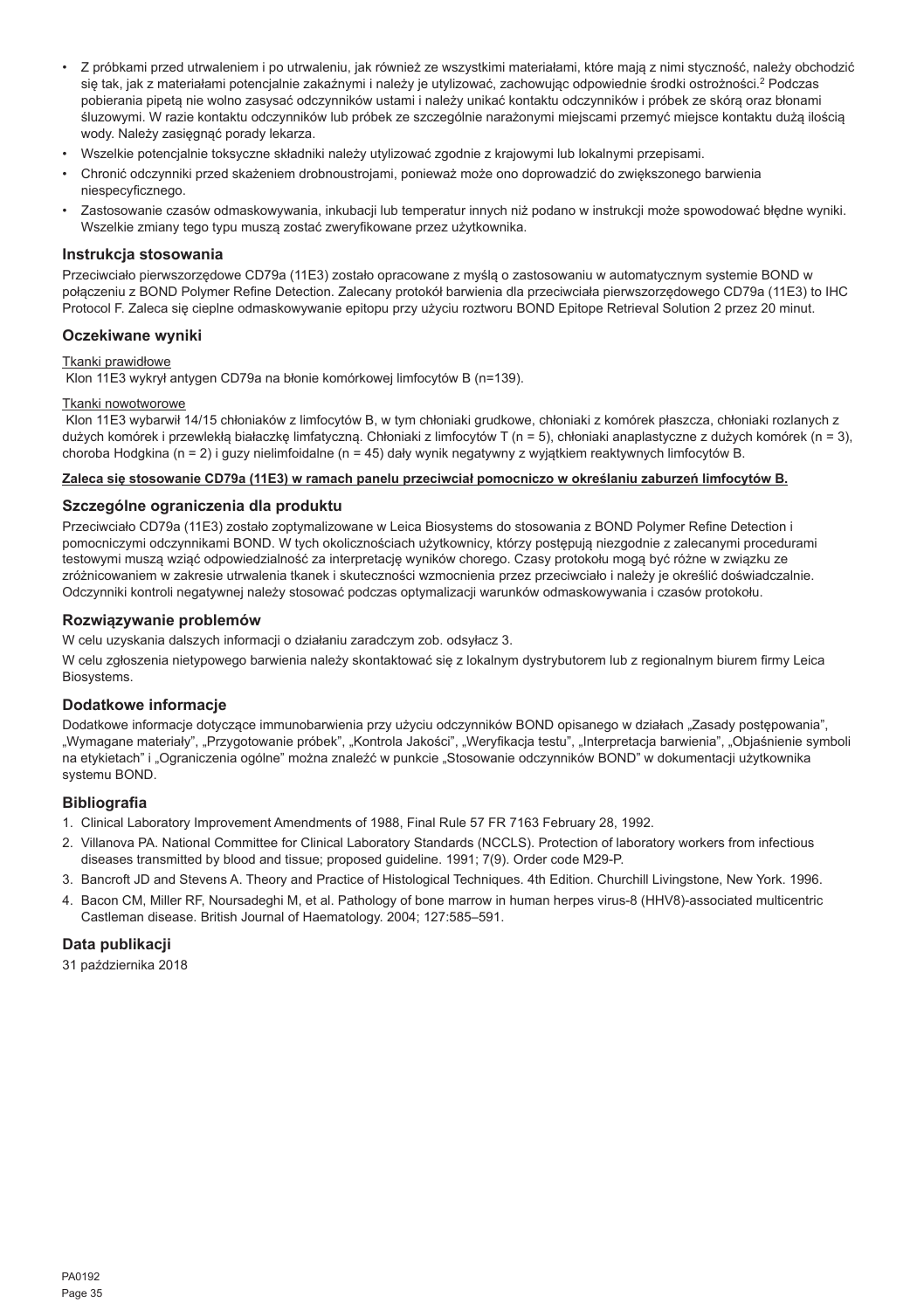- Z próbkami przed utrwaleniem i po utrwaleniu, jak również ze wszystkimi materiałami, które mają z nimi styczność, należy obchodzić się tak, jak z materiałami potencjalnie zakaźnymi i należy je utylizować, zachowując odpowiednie środki ostrożności.<sup>2</sup> Podczas pobierania pipetą nie wolno zasysać odczynników ustami i należy unikać kontaktu odczynników i próbek ze skórą oraz błonami śluzowymi. W razie kontaktu odczynników lub próbek ze szczególnie narażonymi miejscami przemyć miejsce kontaktu dużą ilością wody. Należy zasięgnąć porady lekarza.
- Wszelkie potencjalnie toksyczne składniki należy utylizować zgodnie z krajowymi lub lokalnymi przepisami.
- Chronić odczynniki przed skażeniem drobnoustrojami, ponieważ może ono doprowadzić do zwiększonego barwienia niespecyficznego.
- Zastosowanie czasów odmaskowywania, inkubacji lub temperatur innych niż podano w instrukcji może spowodować błędne wyniki. Wszelkie zmiany tego typu muszą zostać zweryfikowane przez użytkownika.

### **Instrukcja stosowania**

Przeciwciało pierwszorzędowe CD79a (11E3) zostało opracowane z myślą o zastosowaniu w automatycznym systemie BOND w połączeniu z BOND Polymer Refine Detection. Zalecany protokół barwienia dla przeciwciała pierwszorzędowego CD79a (11E3) to IHC Protocol F. Zaleca się cieplne odmaskowywanie epitopu przy użyciu roztworu BOND Epitope Retrieval Solution 2 przez 20 minut.

## **Oczekiwane wyniki**

#### Tkanki prawidłowe

Klon 11E3 wykrył antygen CD79a na błonie komórkowej limfocytów B (n=139).

## Tkanki nowotworowe

 Klon 11E3 wybarwił 14/15 chłoniaków z limfocytów B, w tym chłoniaki grudkowe, chłoniaki z komórek płaszcza, chłoniaki rozlanych z dużych komórek i przewlekłą białaczkę limfatyczną. Chłoniaki z limfocytów T (n = 5), chłoniaki anaplastyczne z dużych komórek (n = 3), choroba Hodgkina (n = 2) i guzy nielimfoidalne (n = 45) dały wynik negatywny z wyjątkiem reaktywnych limfocytów B.

#### **Zaleca się stosowanie CD79a (11E3) w ramach panelu przeciwciał pomocniczo w określaniu zaburzeń limfocytów B.**

#### **Szczególne ograniczenia dla produktu**

Przeciwciało CD79a (11E3) zostało zoptymalizowane w Leica Biosystems do stosowania z BOND Polymer Refine Detection i pomocniczymi odczynnikami BOND. W tych okolicznościach użytkownicy, którzy postępują niezgodnie z zalecanymi procedurami testowymi muszą wziąć odpowiedzialność za interpretację wyników chorego. Czasy protokołu mogą być różne w związku ze zróżnicowaniem w zakresie utrwalenia tkanek i skuteczności wzmocnienia przez przeciwciało i należy je określić doświadczalnie. Odczynniki kontroli negatywnej należy stosować podczas optymalizacji warunków odmaskowywania i czasów protokołu.

## **Rozwiązywanie problemów**

W celu uzyskania dalszych informacji o działaniu zaradczym zob. odsyłacz 3.

W celu zgłoszenia nietypowego barwienia należy skontaktować się z lokalnym dystrybutorem lub z regionalnym biurem firmy Leica Biosystems.

#### **Dodatkowe informacje**

Dodatkowe informacje dotyczące immunobarwienia przy użyciu odczynników BOND opisanego w działach "Zasady postępowania", "Wymagane materiały", "Przygotowanie próbek", "Kontrola Jakości", "Weryfikacja testu", "Interpretacja barwienia", "Objaśnienie symboli na etykietach" i "Ograniczenia ogólne" można znaleźć w punkcie "Stosowanie odczynników BOND" w dokumentacji użytkownika systemu BOND.

## **Bibliografia**

- 1. Clinical Laboratory Improvement Amendments of 1988, Final Rule 57 FR 7163 February 28, 1992.
- 2. Villanova PA. National Committee for Clinical Laboratory Standards (NCCLS). Protection of laboratory workers from infectious diseases transmitted by blood and tissue; proposed guideline. 1991; 7(9). Order code M29-P.
- 3. Bancroft JD and Stevens A. Theory and Practice of Histological Techniques. 4th Edition. Churchill Livingstone, New York. 1996.
- 4. Bacon CM, Miller RF, Noursadeghi M, et al. Pathology of bone marrow in human herpes virus-8 (HHV8)-associated multicentric Castleman disease. British Journal of Haematology. 2004; 127:585–591.

## **Data publikacji**

31 października 2018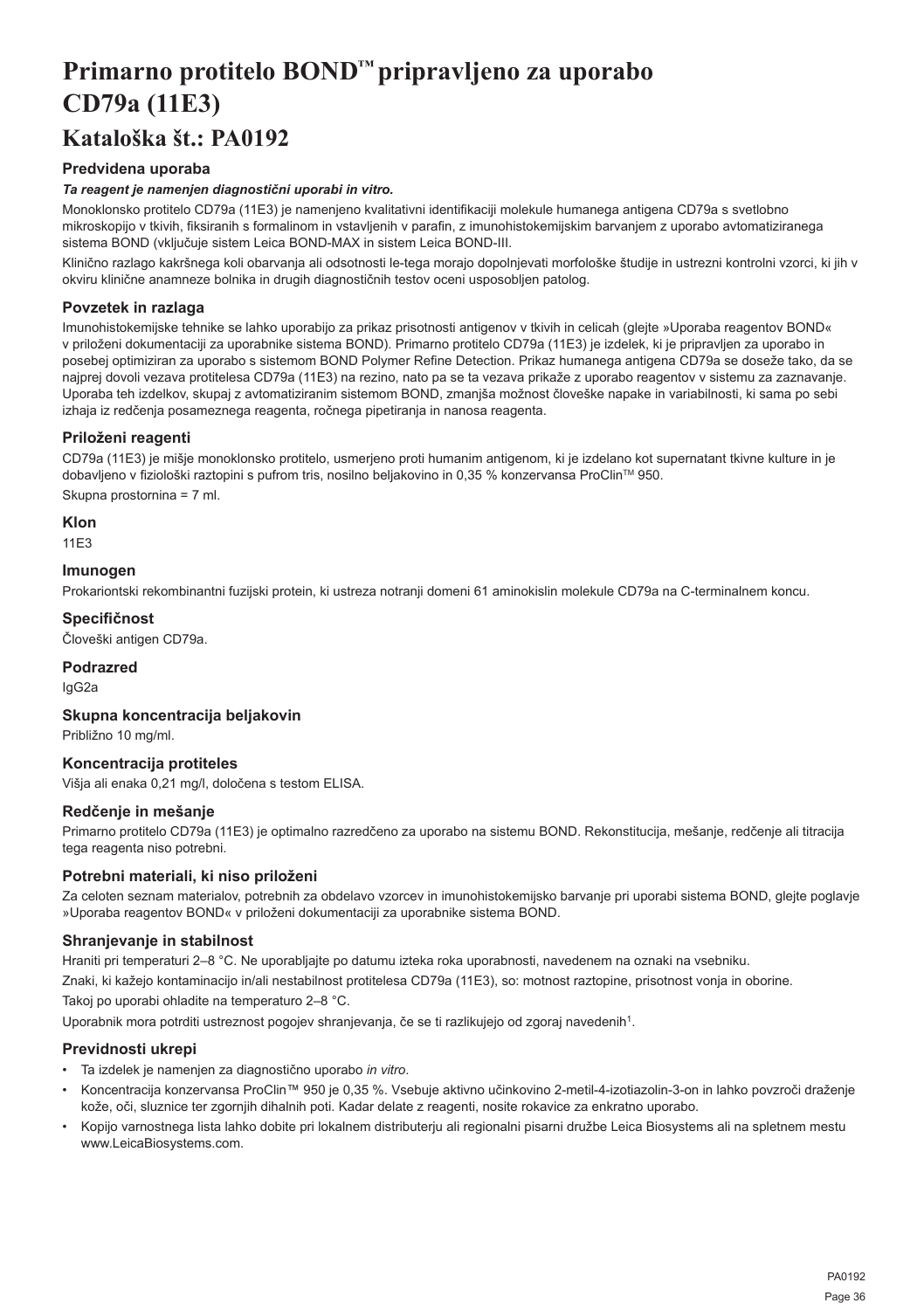## <span id="page-36-0"></span>**Primarno protitelo BOND™ pripravljeno za uporabo CD79a (11E3)**

## **Kataloška št.: PA0192**

## **Predvidena uporaba**

## *Ta reagent je namenjen diagnostični uporabi in vitro.*

Monoklonsko protitelo CD79a (11E3) je namenjeno kvalitativni identifikaciji molekule humanega antigena CD79a s svetlobno mikroskopijo v tkivih, fiksiranih s formalinom in vstavljenih v parafin, z imunohistokemijskim barvanjem z uporabo avtomatiziranega sistema BOND (vključuje sistem Leica BOND-MAX in sistem Leica BOND-III.

Klinično razlago kakršnega koli obarvanja ali odsotnosti le-tega morajo dopolnjevati morfološke študije in ustrezni kontrolni vzorci, ki jih v okviru klinične anamneze bolnika in drugih diagnostičnih testov oceni usposobljen patolog.

## **Povzetek in razlaga**

Imunohistokemijske tehnike se lahko uporabijo za prikaz prisotnosti antigenov v tkivih in celicah (glejte »Uporaba reagentov BOND« v priloženi dokumentaciji za uporabnike sistema BOND). Primarno protitelo CD79a (11E3) je izdelek, ki je pripravljen za uporabo in posebej optimiziran za uporabo s sistemom BOND Polymer Refine Detection. Prikaz humanega antigena CD79a se doseže tako, da se najprej dovoli vezava protitelesa CD79a (11E3) na rezino, nato pa se ta vezava prikaže z uporabo reagentov v sistemu za zaznavanje. Uporaba teh izdelkov, skupaj z avtomatiziranim sistemom BOND, zmanjša možnost človeške napake in variabilnosti, ki sama po sebi izhaja iz redčenja posameznega reagenta, ročnega pipetiranja in nanosa reagenta.

## **Priloženi reagenti**

CD79a (11E3) je mišje monoklonsko protitelo, usmerjeno proti humanim antigenom, ki je izdelano kot supernatant tkivne kulture in je dobavljeno v fiziološki raztopini s pufrom tris, nosilno beljakovino in 0,35 % konzervansa ProClin™ 950. Skupna prostornina = 7 ml.

**Klon**

11E3

## **Imunogen**

Prokariontski rekombinantni fuzijski protein, ki ustreza notranji domeni 61 aminokislin molekule CD79a na C-terminalnem koncu.

## **Specifičnost**

Človeški antigen CD79a.

## **Podrazred**

IgG2a

## **Skupna koncentracija beljakovin**

Približno 10 mg/ml.

### **Koncentracija protiteles**

Višja ali enaka 0,21 mg/l, določena s testom ELISA.

## **Redčenje in mešanje**

Primarno protitelo CD79a (11E3) je optimalno razredčeno za uporabo na sistemu BOND. Rekonstitucija, mešanje, redčenje ali titracija tega reagenta niso potrebni.

## **Potrebni materiali, ki niso priloženi**

Za celoten seznam materialov, potrebnih za obdelavo vzorcev in imunohistokemijsko barvanje pri uporabi sistema BOND, glejte poglavje »Uporaba reagentov BOND« v priloženi dokumentaciji za uporabnike sistema BOND.

## **Shranjevanje in stabilnost**

Hraniti pri temperaturi 2–8 °C. Ne uporabljajte po datumu izteka roka uporabnosti, navedenem na oznaki na vsebniku.

Znaki, ki kažejo kontaminacijo in/ali nestabilnost protitelesa CD79a (11E3), so: motnost raztopine, prisotnost vonja in oborine. Takoj po uporabi ohladite na temperaturo 2–8 °C.

Uporabnik mora potrditi ustreznost pogojev shranjevanja, če se ti razlikujejo od zgoraj navedenih<sup>1</sup>.

## **Previdnosti ukrepi**

- Ta izdelek je namenjen za diagnostično uporabo *in vitro*.
- Koncentracija konzervansa ProClin™ 950 je 0,35 %. Vsebuje aktivno učinkovino 2-metil-4-izotiazolin-3-on in lahko povzroči draženje kože, oči, sluznice ter zgornjih dihalnih poti. Kadar delate z reagenti, nosite rokavice za enkratno uporabo.
- Kopijo varnostnega lista lahko dobite pri lokalnem distributerju ali regionalni pisarni družbe Leica Biosystems ali na spletnem mestu www.LeicaBiosystems.com.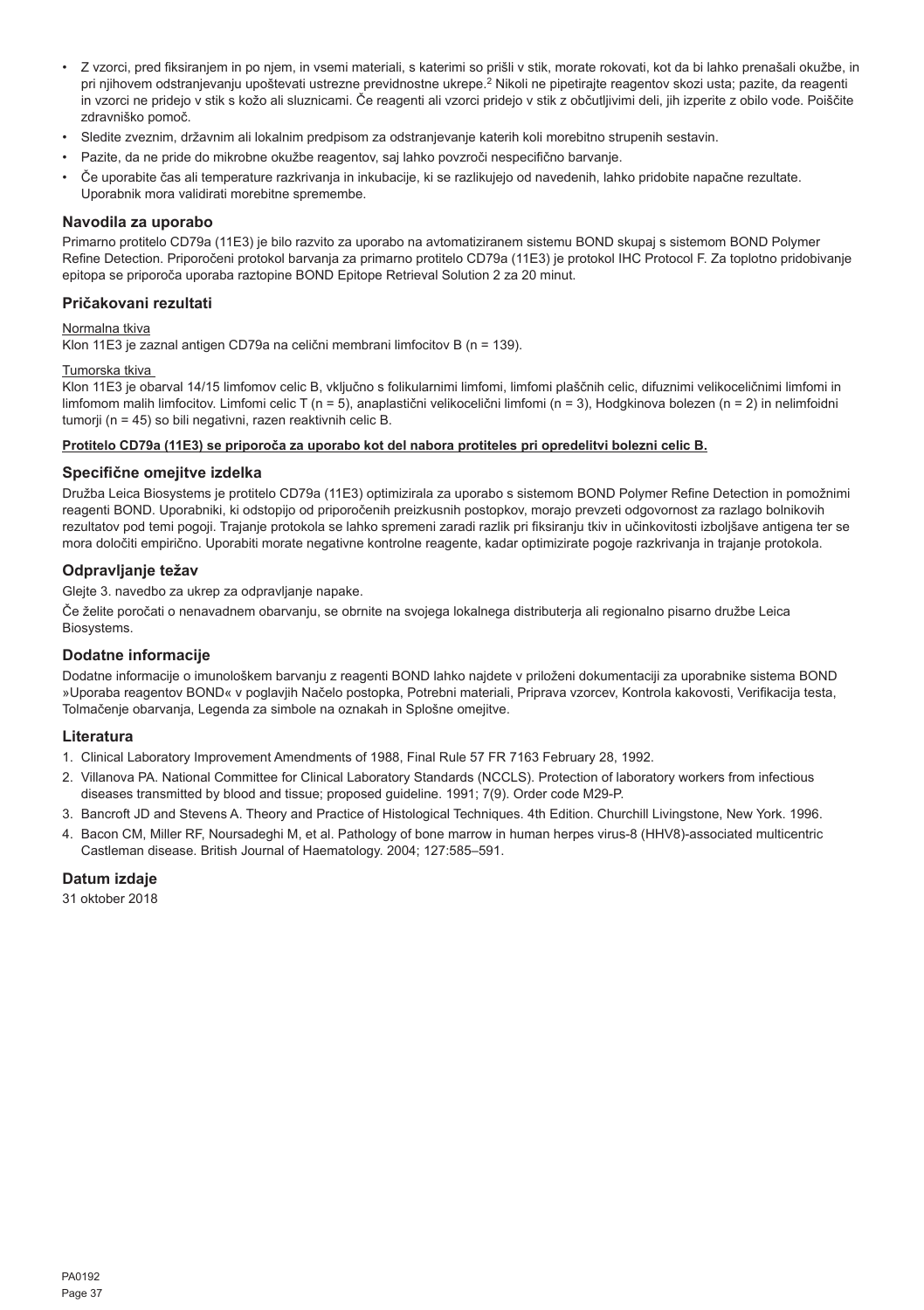- Z vzorci, pred fiksiranjem in po njem, in vsemi materiali, s katerimi so prišli v stik, morate rokovati, kot da bi lahko prenašali okužbe, in pri njihovem odstranjevanju upoštevati ustrezne previdnostne ukrepe.<sup>2</sup> Nikoli ne pipetirajte reagentov skozi usta; pazite, da reagenti in vzorci ne pridejo v stik s kožo ali sluznicami. Če reagenti ali vzorci pridejo v stik z občutljivimi deli, jih izperite z obilo vode. Poiščite zdravniško pomoč.
- Sledite zveznim, državnim ali lokalnim predpisom za odstranjevanje katerih koli morebitno strupenih sestavin.
- Pazite, da ne pride do mikrobne okužbe reagentov, saj lahko povzroči nespecifično barvanje.
- Če uporabite čas ali temperature razkrivanja in inkubacije, ki se razlikujejo od navedenih, lahko pridobite napačne rezultate. Uporabnik mora validirati morebitne spremembe.

#### **Navodila za uporabo**

Primarno protitelo CD79a (11E3) je bilo razvito za uporabo na avtomatiziranem sistemu BOND skupaj s sistemom BOND Polymer Refine Detection. Priporočeni protokol barvanja za primarno protitelo CD79a (11E3) je protokol IHC Protocol F. Za toplotno pridobivanje epitopa se priporoča uporaba raztopine BOND Epitope Retrieval Solution 2 za 20 minut.

## **Pričakovani rezultati**

## Normalna tkiva

Klon 11E3 je zaznal antigen CD79a na celični membrani limfocitov B (n = 139).

## Tumorska tkiva

Klon 11E3 je obarval 14/15 limfomov celic B, vključno s folikularnimi limfomi, limfomi plaščnih celic, difuznimi velikoceličnimi limfomi in limfomom malih limfocitov. Limfomi celic T (n = 5), anaplastični velikocelični limfomi (n = 3). Hodgkinova bolezen (n = 2) in nelimfoidni tumorii (n = 45) so bili negativni, razen reaktivnih celic B.

## **Protitelo CD79a (11E3) se priporoča za uporabo kot del nabora protiteles pri opredelitvi bolezni celic B.**

#### **Specifične omejitve izdelka**

Družba Leica Biosystems je protitelo CD79a (11E3) optimizirala za uporabo s sistemom BOND Polymer Refine Detection in pomožnimi reagenti BOND. Uporabniki, ki odstopijo od priporočenih preizkusnih postopkov, morajo prevzeti odgovornost za razlago bolnikovih rezultatov pod temi pogoji. Trajanje protokola se lahko spremeni zaradi razlik pri fiksiranju tkiv in učinkovitosti izboljšave antigena ter se mora določiti empirično. Uporabiti morate negativne kontrolne reagente, kadar optimizirate pogoje razkrivanja in trajanje protokola.

#### **Odpravljanje težav**

Glejte 3. navedbo za ukrep za odpravljanje napake.

Če želite poročati o nenavadnem obarvanju, se obrnite na svojega lokalnega distributerja ali regionalno pisarno družbe Leica Biosystems.

## **Dodatne informacije**

Dodatne informacije o imunološkem barvanju z reagenti BOND lahko najdete v priloženi dokumentaciji za uporabnike sistema BOND »Uporaba reagentov BOND« v poglavjih Načelo postopka, Potrebni materiali, Priprava vzorcev, Kontrola kakovosti, Verifikacija testa, Tolmačenje obarvanja, Legenda za simbole na oznakah in Splošne omejitve.

#### **Literatura**

- 1. Clinical Laboratory Improvement Amendments of 1988, Final Rule 57 FR 7163 February 28, 1992.
- 2. Villanova PA. National Committee for Clinical Laboratory Standards (NCCLS). Protection of laboratory workers from infectious diseases transmitted by blood and tissue; proposed guideline. 1991; 7(9). Order code M29-P.
- 3. Bancroft JD and Stevens A. Theory and Practice of Histological Techniques. 4th Edition. Churchill Livingstone, New York. 1996.
- 4. Bacon CM, Miller RF, Noursadeghi M, et al. Pathology of bone marrow in human herpes virus-8 (HHV8)-associated multicentric Castleman disease. British Journal of Haematology. 2004; 127:585–591.

## **Datum izdaje**

31 oktober 2018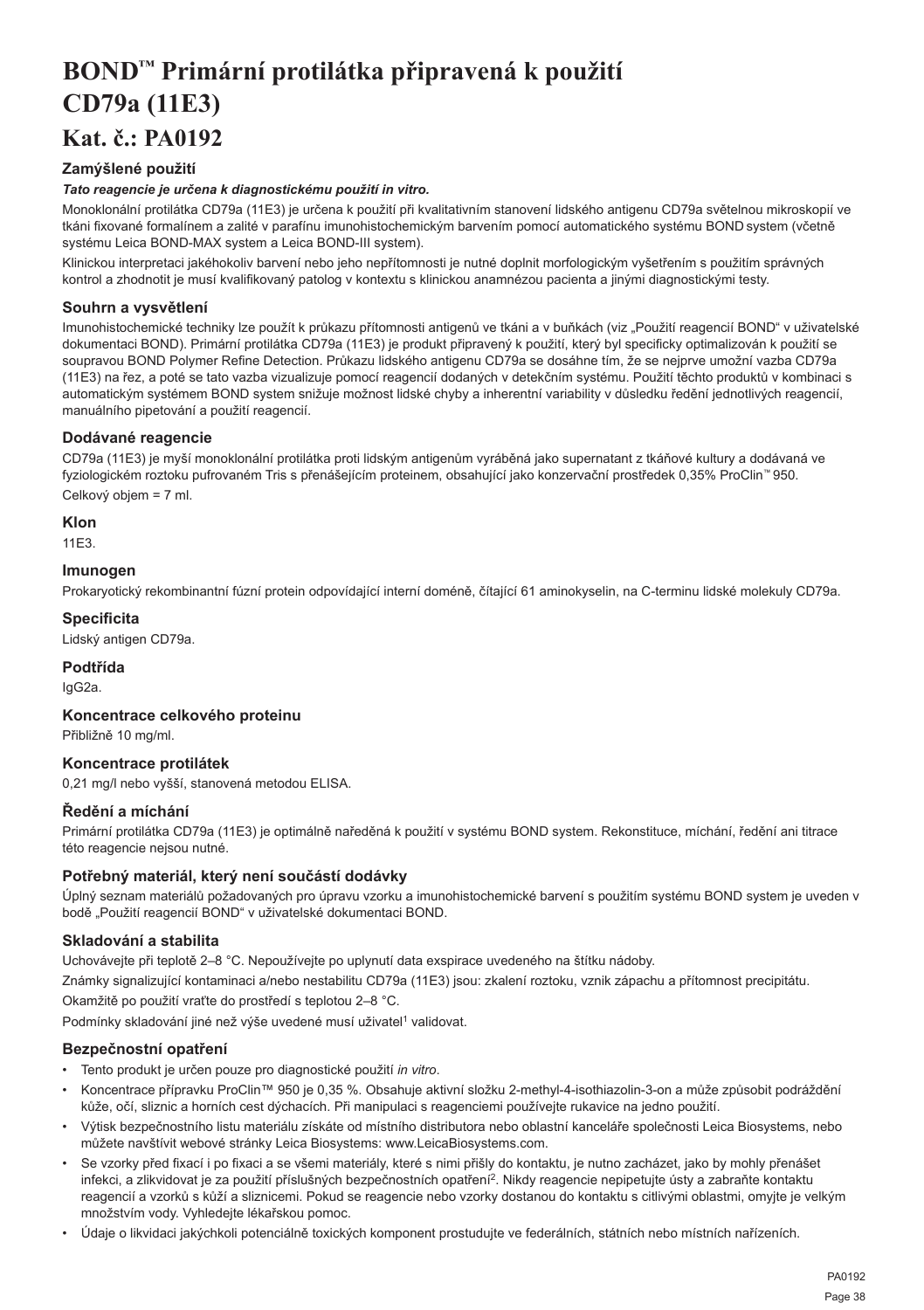## <span id="page-38-0"></span>**BOND™ Primární protilátka připravená k použití CD79a (11E3) Kat. č.: PA0192**

## **Zamýšlené použití**

## *Tato reagencie je určena k diagnostickému použití in vitro.*

Monoklonální protilátka CD79a (11E3) je určena k použití při kvalitativním stanovení lidského antigenu CD79a světelnou mikroskopií ve tkáni fixované formalínem a zalité v parafínu imunohistochemickým barvením pomocí automatického systému BOND system (včetně systému Leica BOND-MAX system a Leica BOND-III system).

Klinickou interpretaci jakéhokoliv barvení nebo jeho nepřítomnosti je nutné doplnit morfologickým vyšetřením s použitím správných kontrol a zhodnotit je musí kvalifikovaný patolog v kontextu s klinickou anamnézou pacienta a jinými diagnostickými testy.

## **Souhrn a vysvětlení**

Imunohistochemické techniky lze použít k průkazu přítomnosti antigenů ve tkáni a v buňkách (viz "Použití reagencií BOND" v uživatelské dokumentaci BOND). Primární protilátka CD79a (11E3) je produkt připravený k použití, který byl specificky optimalizován k použití se soupravou BOND Polymer Refine Detection. Průkazu lidského antigenu CD79a se dosáhne tím, že se nejprve umožní vazba CD79a (11E3) na řez, a poté se tato vazba vizualizuje pomocí reagencií dodaných v detekčním systému. Použití těchto produktů v kombinaci s automatickým systémem BOND system snižuje možnost lidské chyby a inherentní variability v důsledku ředění jednotlivých reagencií, manuálního pipetování a použití reagencií.

## **Dodávané reagencie**

CD79a (11E3) je myší monoklonální protilátka proti lidským antigenům vyráběná jako supernatant z tkáňové kultury a dodávaná ve fyziologickém roztoku pufrovaném Tris s přenášejícím proteinem, obsahující jako konzervační prostředek 0,35% ProClin™ 950. Celkový objem = 7 ml.

**Klon**

11E3.

## **Imunogen**

Prokaryotický rekombinantní fúzní protein odpovídající interní doméně, čítající 61 aminokyselin, na C-terminu lidské molekuly CD79a.

## **Specificita**

Lidský antigen CD79a.

## **Podtřída**

IgG2a.

## **Koncentrace celkového proteinu**

Přibližně 10 mg/ml.

## **Koncentrace protilátek**

0,21 mg/l nebo vyšší, stanovená metodou ELISA.

## **Ředění a míchání**

Primární protilátka CD79a (11E3) je optimálně naředěná k použití v systému BOND system. Rekonstituce, míchání, ředění ani titrace této reagencie nejsou nutné.

## **Potřebný materiál, který není součástí dodávky**

Úplný seznam materiálů požadovaných pro úpravu vzorku a imunohistochemické barvení s použitím systému BOND system je uveden v bodě "Použití reagencií BOND" v uživatelské dokumentaci BOND.

## **Skladování a stabilita**

Uchovávejte při teplotě 2–8 °C. Nepoužívejte po uplynutí data exspirace uvedeného na štítku nádoby.

Známky signalizující kontaminaci a/nebo nestabilitu CD79a (11E3) jsou: zkalení roztoku, vznik zápachu a přítomnost precipitátu.

Okamžitě po použití vraťte do prostředí s teplotou 2–8 °C.

Podmínky skladování jiné než výše uvedené musí uživatel<sup>1</sup> validovat.

## **Bezpečnostní opatření**

- Tento produkt je určen pouze pro diagnostické použití *in vitro*.
- Koncentrace přípravku ProClin™ 950 je 0,35 %. Obsahuje aktivní složku 2-methyl-4-isothiazolin-3-on a může způsobit podráždění kůže, očí, sliznic a horních cest dýchacích. Při manipulaci s reagenciemi používejte rukavice na jedno použití.
- Výtisk bezpečnostního listu materiálu získáte od místního distributora nebo oblastní kanceláře společnosti Leica Biosystems, nebo můžete navštívit webové stránky Leica Biosystems: www.LeicaBiosystems.com.
- Se vzorky před fixací i po fixaci a se všemi materiály, které s nimi přišly do kontaktu, je nutno zacházet, jako by mohly přenášet infekci, a zlikvidovat je za použití příslušných bezpečnostních opatření<sup>2</sup>. Nikdy reagencie nepipetujte ústy a zabraňte kontaktu reagencií a vzorků s kůží a sliznicemi. Pokud se reagencie nebo vzorky dostanou do kontaktu s citlivými oblastmi, omyjte je velkým množstvím vody. Vyhledejte lékařskou pomoc.
- Údaje o likvidaci jakýchkoli potenciálně toxických komponent prostudujte ve federálních, státních nebo místních nařízeních.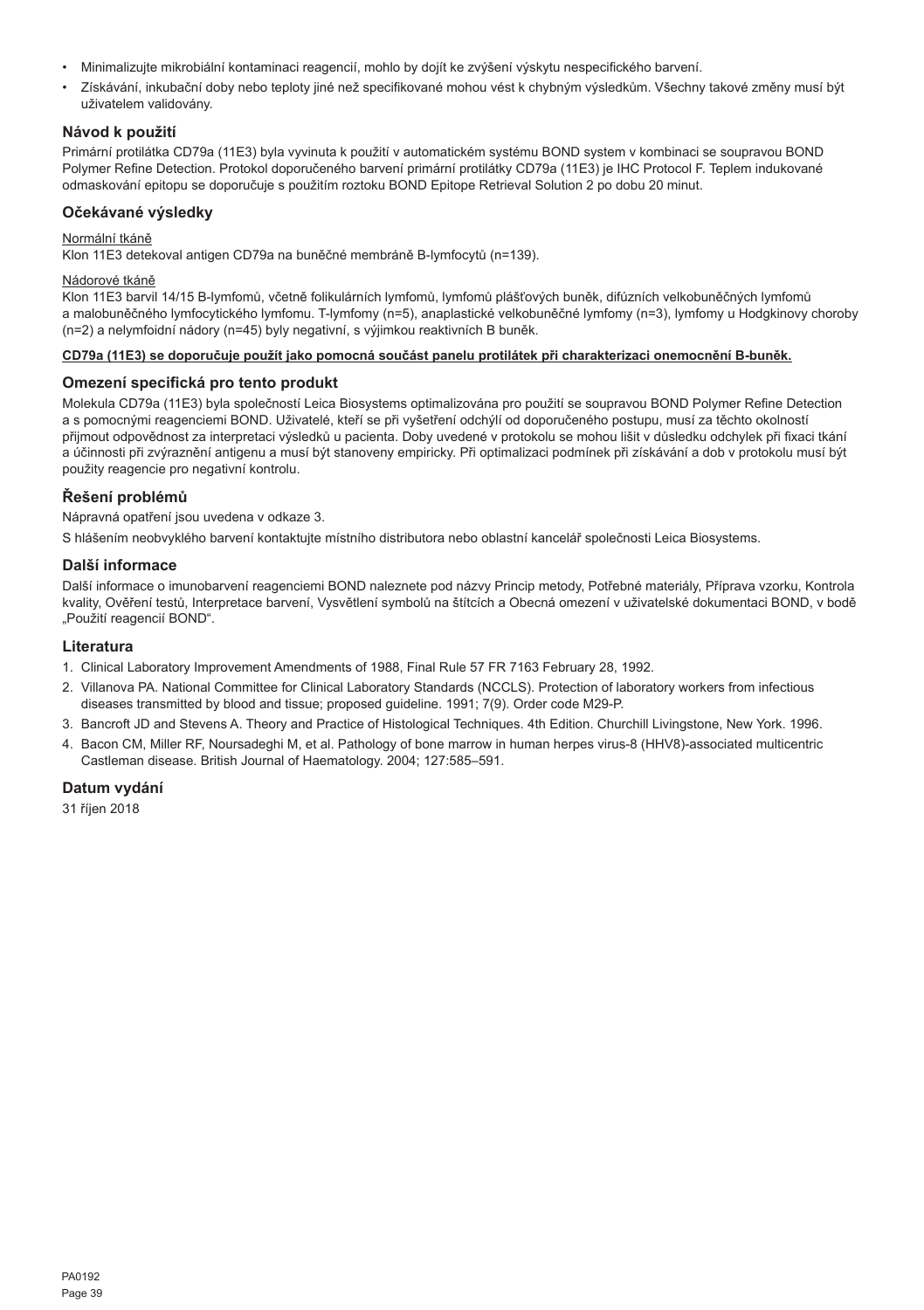- Minimalizujte mikrobiální kontaminaci reagencií, mohlo by dojít ke zvýšení výskytu nespecifického barvení.
- Získávání, inkubační doby nebo teploty jiné než specifikované mohou vést k chybným výsledkům. Všechny takové změny musí být uživatelem validovány.

## **Návod k použití**

Primární protilátka CD79a (11E3) byla vyvinuta k použití v automatickém systému BOND system v kombinaci se soupravou BOND Polymer Refine Detection. Protokol doporučeného barvení primární protilátky CD79a (11E3) je IHC Protocol F. Teplem indukované odmaskování epitopu se doporučuje s použitím roztoku BOND Epitope Retrieval Solution 2 po dobu 20 minut.

## **Očekávané výsledky**

### Normální tkáně

Klon 11E3 detekoval antigen CD79a na buněčné membráně B-lymfocytů (n=139).

## Nádorové tkáně

Klon 11E3 barvil 14/15 B-lymfomů, včetně folikulárních lymfomů, lymfomů plášťových buněk, difúzních velkobuněčných lymfomů a malobuněčného lymfocytického lymfomu. T-lymfomy (n=5), anaplastické velkobuněčné lymfomy (n=3), lymfomy u Hodgkinovy choroby (n=2) a nelymfoidní nádory (n=45) byly negativní, s výjimkou reaktivních B buněk.

#### **CD79a (11E3) se doporučuje použít jako pomocná součást panelu protilátek při charakterizaci onemocnění B-buněk.**

## **Omezení specifická pro tento produkt**

Molekula CD79a (11E3) byla společností Leica Biosystems optimalizována pro použití se soupravou BOND Polymer Refine Detection a s pomocnými reagenciemi BOND. Uživatelé, kteří se při vyšetření odchýlí od doporučeného postupu, musí za těchto okolností přijmout odpovědnost za interpretaci výsledků u pacienta. Doby uvedené v protokolu se mohou lišit v důsledku odchylek při fixaci tkání a účinnosti při zvýraznění antigenu a musí být stanoveny empiricky. Při optimalizaci podmínek při získávání a dob v protokolu musí být použity reagencie pro negativní kontrolu.

## **Řešení problémů**

Nápravná opatření jsou uvedena v odkaze 3.

S hlášením neobvyklého barvení kontaktujte místního distributora nebo oblastní kancelář společnosti Leica Biosystems.

## **Další informace**

Další informace o imunobarvení reagenciemi BOND naleznete pod názvy Princip metody, Potřebné materiály, Příprava vzorku, Kontrola kvality, Ověření testů, Interpretace barvení, Vysvětlení symbolů na štítcích a Obecná omezení v uživatelské dokumentaci BOND, v bodě "Použití reagencií BOND".

## **Literatura**

- 1. Clinical Laboratory Improvement Amendments of 1988, Final Rule 57 FR 7163 February 28, 1992.
- 2. Villanova PA. National Committee for Clinical Laboratory Standards (NCCLS). Protection of laboratory workers from infectious diseases transmitted by blood and tissue; proposed guideline. 1991; 7(9). Order code M29-P.
- 3. Bancroft JD and Stevens A. Theory and Practice of Histological Techniques. 4th Edition. Churchill Livingstone, New York. 1996.
- 4. Bacon CM, Miller RF, Noursadeghi M, et al. Pathology of bone marrow in human herpes virus-8 (HHV8)-associated multicentric Castleman disease. British Journal of Haematology. 2004; 127:585–591.

## **Datum vydání**

31 říjen 2018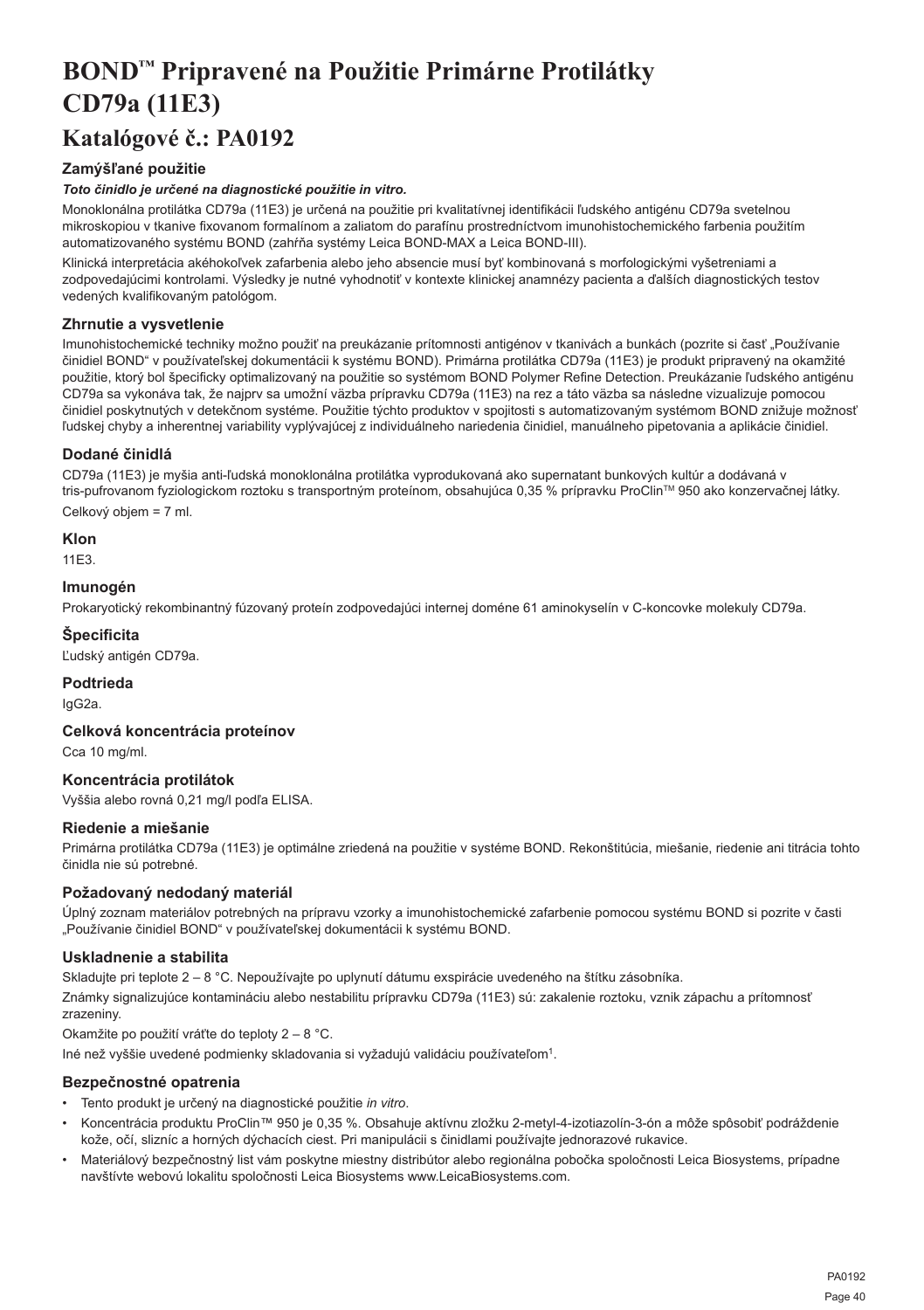## <span id="page-40-0"></span>**BOND™ Pripravené na Použitie Primárne Protilátky CD79a (11E3)**

## **Katalógové č.: PA0192**

## **Zamýšľané použitie**

## *Toto činidlo je určené na diagnostické použitie in vitro.*

Monoklonálna protilátka CD79a (11E3) je určená na použitie pri kvalitatívnej identifikácii ľudského antigénu CD79a svetelnou mikroskopiou v tkanive fixovanom formalínom a zaliatom do parafínu prostredníctvom imunohistochemického farbenia použitím automatizovaného systému BOND (zahŕňa systémy Leica BOND-MAX a Leica BOND-III).

Klinická interpretácia akéhokoľvek zafarbenia alebo jeho absencie musí byť kombinovaná s morfologickými vyšetreniami a zodpovedajúcimi kontrolami. Výsledky je nutné vyhodnotiť v kontexte klinickej anamnézy pacienta a ďalších diagnostických testov vedených kvalifikovaným patológom.

## **Zhrnutie a vysvetlenie**

Imunohistochemické techniky možno použiť na preukázanie prítomnosti antigénov v tkanivách a bunkách (pozrite si časť "Používanie činidiel BOND" v používateľskej dokumentácii k systému BOND). Primárna protilátka CD79a (11E3) je produkt pripravený na okamžité použitie, ktorý bol špecificky optimalizovaný na použitie so systémom BOND Polymer Refine Detection. Preukázanie ľudského antigénu CD79a sa vykonáva tak, že najprv sa umožní väzba prípravku CD79a (11E3) na rez a táto väzba sa následne vizualizuje pomocou činidiel poskytnutých v detekčnom systéme. Použitie týchto produktov v spojitosti s automatizovaným systémom BOND znižuje možnosť ľudskej chyby a inherentnej variability vyplývajúcej z individuálneho nariedenia činidiel, manuálneho pipetovania a aplikácie činidiel.

## **Dodané činidlá**

CD79a (11E3) je myšia anti-ľudská monoklonálna protilátka vyprodukovaná ako supernatant bunkových kultúr a dodávaná v tris-pufrovanom fyziologickom roztoku s transportným proteínom, obsahujúca 0,35 % prípravku ProClin™ 950 ako konzervačnej látky. Celkový objem = 7 ml.

## **Klon**

11E3.

## **Imunogén**

Prokaryotický rekombinantný fúzovaný proteín zodpovedajúci internej doméne 61 aminokyselín v C-koncovke molekuly CD79a.

## **Špecificita**

Ľudský antigén CD79a.

## **Podtrieda**

IgG2a.

## **Celková koncentrácia proteínov**

Cca 10 mg/ml.

## **Koncentrácia protilátok**

Vyššia alebo rovná 0,21 mg/l podľa ELISA.

## **Riedenie a miešanie**

Primárna protilátka CD79a (11E3) je optimálne zriedená na použitie v systéme BOND. Rekonštitúcia, miešanie, riedenie ani titrácia tohto činidla nie sú potrebné.

## **Požadovaný nedodaný materiál**

Úplný zoznam materiálov potrebných na prípravu vzorky a imunohistochemické zafarbenie pomocou systému BOND si pozrite v časti "Používanie činidiel BOND" v používateľskej dokumentácii k systému BOND.

## **Uskladnenie a stabilita**

Skladujte pri teplote 2 – 8 °C. Nepoužívajte po uplynutí dátumu exspirácie uvedeného na štítku zásobníka.

Známky signalizujúce kontamináciu alebo nestabilitu prípravku CD79a (11E3) sú: zakalenie roztoku, vznik zápachu a prítomnosť zrazeniny.

Okamžite po použití vráťte do teploty 2 – 8 °C.

Iné než vyššie uvedené podmienky skladovania si vyžadujú validáciu používateľom<sup>1</sup>.

## **Bezpečnostné opatrenia**

- Tento produkt je určený na diagnostické použitie *in vitro*.
- Koncentrácia produktu ProClin™ 950 je 0,35 %. Obsahuje aktívnu zložku 2-metyl-4-izotiazolín-3-ón a môže spôsobiť podráždenie kože, očí, slizníc a horných dýchacích ciest. Pri manipulácii s činidlami používajte jednorazové rukavice.
- Materiálový bezpečnostný list vám poskytne miestny distribútor alebo regionálna pobočka spoločnosti Leica Biosystems, prípadne navštívte webovú lokalitu spoločnosti Leica Biosystems www.LeicaBiosystems.com.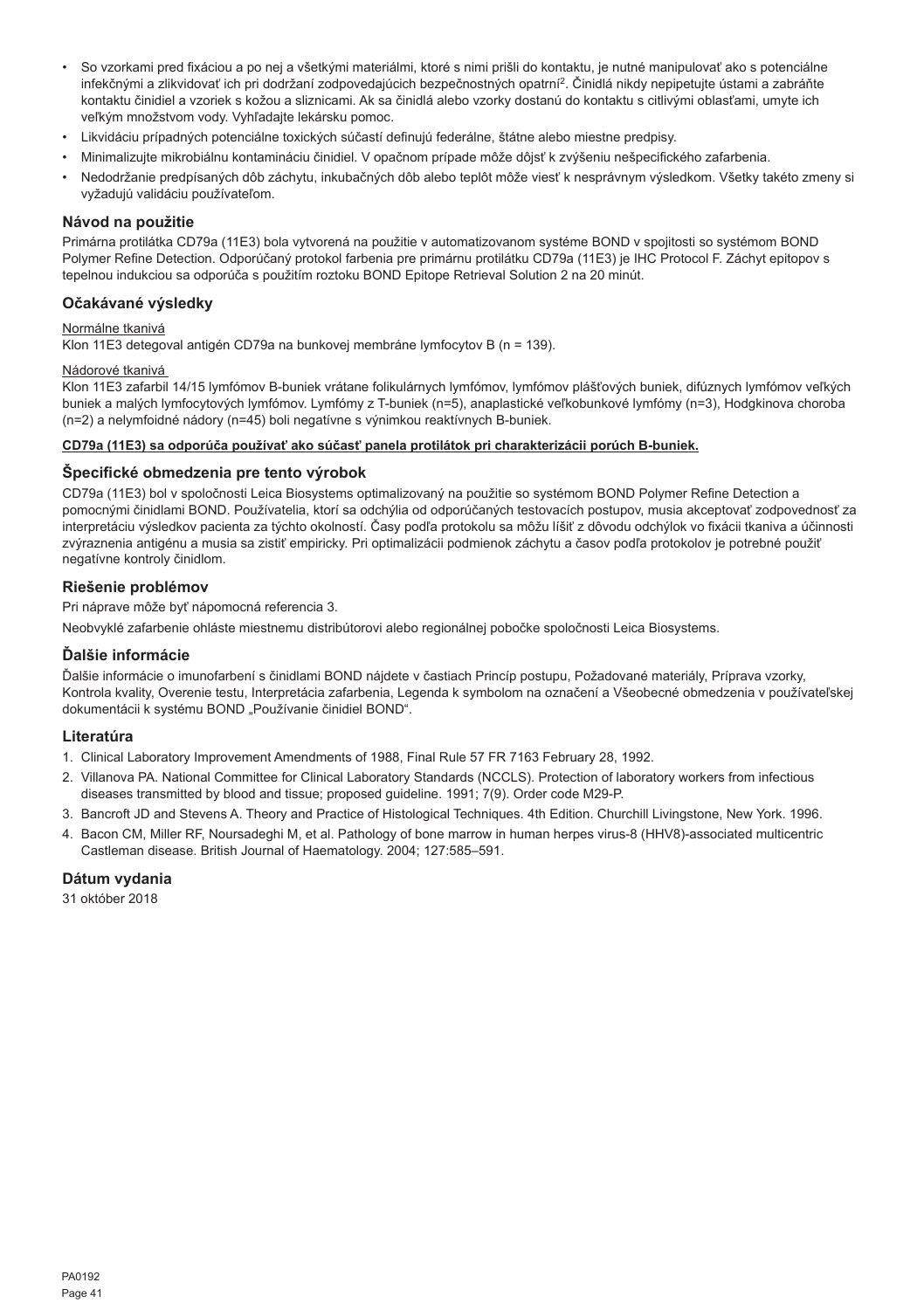- So vzorkami pred fixáciou a po nej a všetkými materiálmi, ktoré s nimi prišli do kontaktu, je nutné manipulovať ako s potenciálne infekčnými a zlikvidovať ich pri dodržaní zodpovedajúcich bezpečnostných opatrní<sup>2</sup>. Činidlá nikdy nepipetujte ústami a zabráňte kontaktu činidiel a vzoriek s kožou a sliznicami. Ak sa činidlá alebo vzorky dostanú do kontaktu s citlivými oblasťami, umyte ich veľkým množstvom vody. Vyhľadajte lekársku pomoc.
- Likvidáciu prípadných potenciálne toxických súčastí definujú federálne, štátne alebo miestne predpisy.
- Minimalizujte mikrobiálnu kontamináciu činidiel. V opačnom prípade môže dôjsť k zvýšeniu nešpecifického zafarbenia.
- Nedodržanie predpísaných dôb záchytu, inkubačných dôb alebo teplôt môže viesť k nesprávnym výsledkom. Všetky takéto zmeny si vyžadujú validáciu používateľom.

#### **Návod na použitie**

Primárna protilátka CD79a (11E3) bola vytvorená na použitie v automatizovanom systéme BOND v spojitosti so systémom BOND Polymer Refine Detection. Odporúčaný protokol farbenia pre primárnu protilátku CD79a (11E3) je IHC Protocol F. Záchyt epitopov s tepelnou indukciou sa odporúča s použitím roztoku BOND Epitope Retrieval Solution 2 na 20 minút.

## **Očakávané výsledky**

## Normálne tkanivá

Klon 11E3 detegoval antigén CD79a na bunkovej membráne lymfocytov B (n = 139).

## Nádorové tkanivá

Klon 11E3 zafarbil 14/15 lymfómov B-buniek vrátane folikulárnych lymfómov, lymfómov plášťových buniek, difúznych lymfómov veľkých buniek a malých lymfocytových lymfómov. Lymfómy z T-buniek (n=5), anaplastické veľkobunkové lymfómy (n=3), Hodgkinova choroba (n=2) a nelymfoidné nádory (n=45) boli negatívne s výnimkou reaktívnych B-buniek.

#### **CD79a (11E3) sa odporúča používať ako súčasť panela protilátok pri charakterizácii porúch B-buniek.**

#### **Špecifické obmedzenia pre tento výrobok**

CD79a (11E3) bol v spoločnosti Leica Biosystems optimalizovaný na použitie so systémom BOND Polymer Refine Detection a pomocnými činidlami BOND. Používatelia, ktorí sa odchýlia od odporúčaných testovacích postupov, musia akceptovať zodpovednosť za interpretáciu výsledkov pacienta za týchto okolností. Časy podľa protokolu sa môžu líšiť z dôvodu odchýlok vo fixácii tkaniva a účinnosti zvýraznenia antigénu a musia sa zistiť empiricky. Pri optimalizácii podmienok záchytu a časov podľa protokolov je potrebné použiť negatívne kontroly činidlom.

#### **Riešenie problémov**

Pri náprave môže byť nápomocná referencia 3.

Neobvyklé zafarbenie ohláste miestnemu distribútorovi alebo regionálnej pobočke spoločnosti Leica Biosystems.

#### **Ďalšie informácie**

Ďalšie informácie o imunofarbení s činidlami BOND nájdete v častiach Princíp postupu, Požadované materiály, Príprava vzorky, Kontrola kvality, Overenie testu, Interpretácia zafarbenia, Legenda k symbolom na označení a Všeobecné obmedzenia v používateľskej dokumentácii k systému BOND "Používanie činidiel BOND".

#### **Literatúra**

- 1. Clinical Laboratory Improvement Amendments of 1988, Final Rule 57 FR 7163 February 28, 1992.
- 2. Villanova PA. National Committee for Clinical Laboratory Standards (NCCLS). Protection of laboratory workers from infectious diseases transmitted by blood and tissue; proposed guideline. 1991; 7(9). Order code M29-P.
- 3. Bancroft JD and Stevens A. Theory and Practice of Histological Techniques. 4th Edition. Churchill Livingstone, New York. 1996.
- 4. Bacon CM, Miller RF, Noursadeghi M, et al. Pathology of bone marrow in human herpes virus-8 (HHV8)-associated multicentric Castleman disease. British Journal of Haematology. 2004; 127:585–591.

## **Dátum vydania**

31 október 2018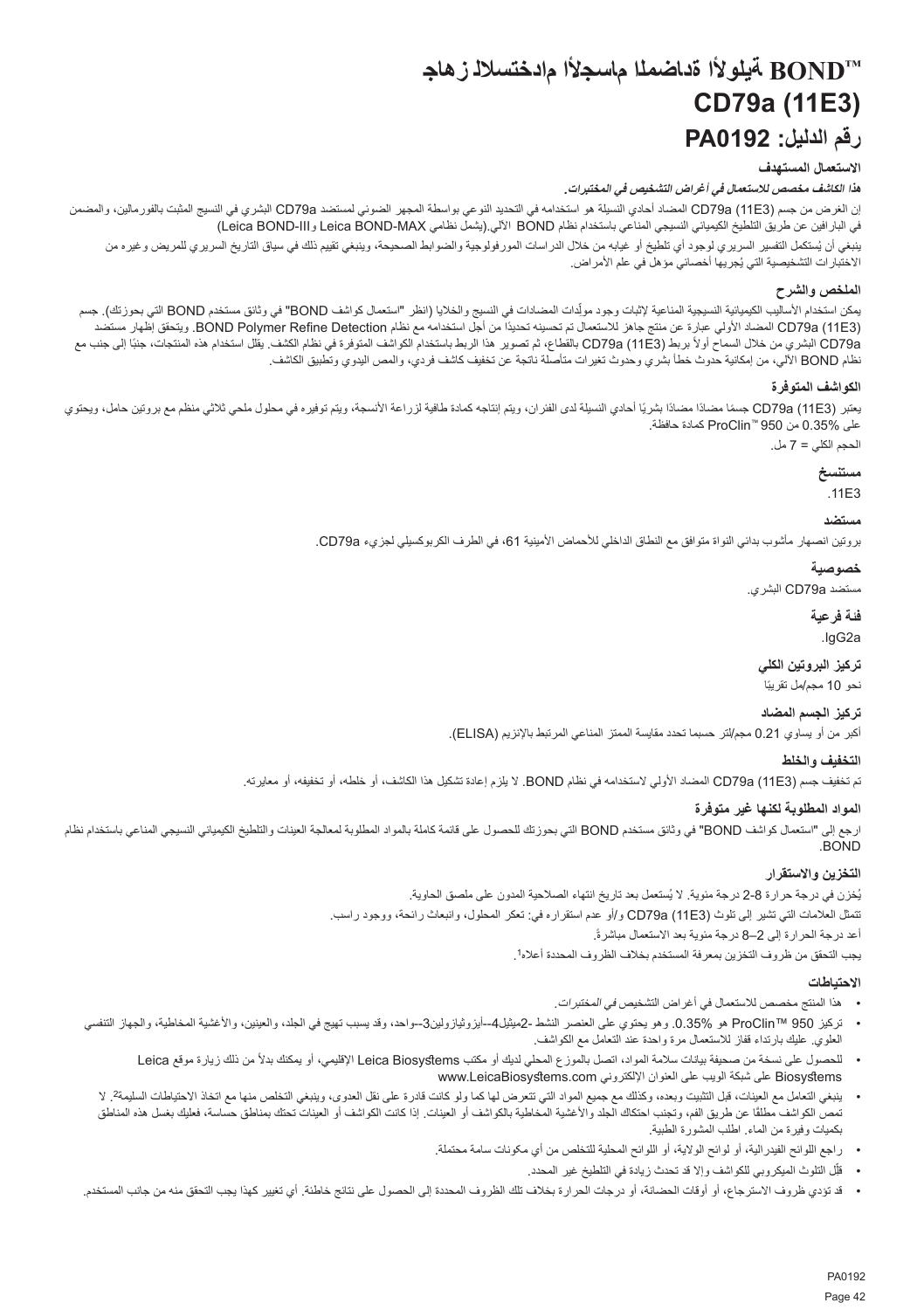## **TMBOND ةيلوألا ةداضملا ماسجألا مادختسالل زهاج CD79a (11E3) رقم الدليل: 0192PA**

## **االستعمال المستهدف**

**هذا الكاشف مخصص لالستعمال في أغراض التشخيص في المختبرات***.*

<span id="page-42-0"></span>إن الغرض من جسم (3E11 (a79CD المضاد أحادي النسيلة هو استخدامه في التحديد النوعي بواسطة المجهر الضوئي لمستضد a79CD البشري في النسيج المثبت بالفورمالين، والمضمن في البارافين عن طريق التلطيخ الكيميائي النسيجي المناعي باستخدام نظام BOND اآللي.)يشمل نظامي MAX-BOND Leica وIII-BOND Leica) بنغي ان يُستكمل التفسير السريري لوجود اي تلطيخ او غيابه من خلال الدراسات المورفولوجية والضوابط الصحيحة، وينبغي تقييم ذلك في سياق التاريخ السريري للمريض وغيره من الأختبار ات التشخيصية التي يُجريها اخصـائي مؤهل في علم الأمر اض.

## **الملخص والشرح**

بمكن استخدام الأساليب الكيميائية النسيجية المناعية لإثبات وجود مولِدات المضادات في النسيج والخلايا (انظر "استعمال كواشف BOND "في وثائق مستخدم BOND التي بحوزتك). جسم ّ (11E3) CD79a المضاد الأولى عبارة عن منتج جاهز للاستعمال تم تحسينه تحديدًا من أجل استخدامه مع نظام BOND Polymer Refine Detection. ويتحقق إظهار مستضد CD79a (11E3) الشري من خلال السماح أولاً بربط (CD79a (11E3) بالقطاع، ثم تصوير هذا الربط باستخدام الموقرة في نظام الكشف. يقلل استخدام هذه المنتجات، جنبًا إلى جنب مع نظام BOND اآللي، من إمكانية حدوث خطأ بشري وحدوث تغيرات متأصلة ناتجة عن تخفيف كاشف فردي، والمص اليدوي وتطبيق الكاشف.

## **الكواشف المتوفرة**

بعتبر (CD79a (11E3) جسمًا مضادًا مضادًا بشريًا لحادي النسيلة لدى الفئران، ويتم إنتاجه كمادة طافية لزراعة الانسجة، ويتم توفيره في محلول ملحي ثلاثي منظم مع بروتين حامل، ويحتوي على 0.35% من 950 TMProClin كمادة حافظة.

الحجم الكلي = 7 مل.

## **مستنسخ**

.11E3

#### **مستضد**

بروتين انصهار مأشوب بدائي النواة متوافق مع النطاق الداخلي لألحماض األمينية ،61 في الطرف الكربوكسيلي لجزيء a79CD.

## **خصوصية**

مستضد a79CD البشري.

## **فئة فرعية** .IgG2a

**تركيز البروتين الكلي**

نحو 10 مجم/مل تقريبًا

## **تركيز الجسم المضاد**

أكبر من أو يساوي 0.21 مجم/لتر حسبما تحدد مقايسة الممتز المناعي المرتبط باإلنزيم )ELISA).

## **التخفيف والخلط** تم تخفيف جسم (3E11 (a79CD المضاد األولي الستخدامه في نظام BOND. ال يلزم إعادة تشكيل هذا الكاشف، أو خلطه، أو تخفيفه، أو معايرته.

## **المواد المطلوبة لكنها غير متوفرة**

ارجع إلى "استعمال كواشف BOND" في وثائق مستخدم BOND التي بحوزتك للحصول على قائمة كاملة بالمواد المطابخة الوطنات والتلطيخ الكيميائي النسيجي المناعي باستخدام نظام .BOND

## **التخزين واالستقرار**

بُغزن في درجة حرارة 8-2 درجة مئوية. لا يُستعمل بعد تاريخ انتهاء الصلاحية المدون على ملصق الحاوية. تتمثل العالمات التي تشير إلى تلوث (3E11 (a79CD و/أو عدم استقراره في: تعكر المحلول، وانبعاث رائحة، ووجود راسب. أعد درجة الحرارة إلى 2–8 درجة مئوية بعد الاستعمال مباشرةً. أعد درجة الحرارة إلى 2–8 درجة مئوية بعد االستعمال مباشرة. يجب التحقق من ظروف التخزين بمعرفة المستخدم بخالف الظروف المحددة أعاله<sup>1</sup>

## **االحتياطات**

- •هذا المنتج مخصص لالستعمال في أغراض التشخيص في المختبرات.
- تركيز ProClin™ 950 هو .0.35% وهو يحتوي على العنصر النشط -2ميثيل4--أيزوثيازولين3--واحد، وقد يسبب تهيج في الجلد، والعينين، والأغشية المخاطية، والجهاز التنفسي  $\ddot{\phantom{0}}$ العلوي. عليك بارتداء قفاز لالستعمال مرة واحدة عند التعامل مع الكواشف.
	- للحصول على نسخة من صحيفة بيانات سلامة المواد، اتصل بالموزع المحلي لديك أو مكتب Leica Biosystems الإقليمي، أو يمكنك بدلاً من ذلك زيارة موقع Leica Biosystems على شبكة الويب على العنوان اإللكتروني com.LeicaBiosystems.www
	- ينبغي التعامل مع العينات، قبل التثبيت وبعده، وكذلك مع جميع المواد التي تتعرف العادر على مع الها المعدوى، وينبغي التخلص منها مع اتخاذ الاحتياطات السليمة2 إلا نمص الكواشف مطلقًا عن طريق الفم، وتجنب احتكاك الجلد والأغشية المخاسمة الم والعينات. إذا كانت الكواشف أو العينات تحتك بمناطق حساسة، فعليك بغسل هذه المناطق بكميات وفيرة من الماء. اطلب المشورة الطبية.
		- •راجع اللوائح الفیدرالیة، أو لوائح الوالية، أو اللوائح المحلیة للتخلص من أي مکونات سامة محتملة.
			- قلِّل التلوث الميكروبي للكواشف وإلا قد تحدث زيادة في التلطيخ غير المحدد.
- قد تؤدي ظروف الاسترجاع، أو أوقات الحضانة، أو درجات الحرارة بخلاف تلك الظروف المحددة إلى الحصول على نتائج خاطئة. أي تغيير كهذا يجب التحقق منه من جانب المستخدم.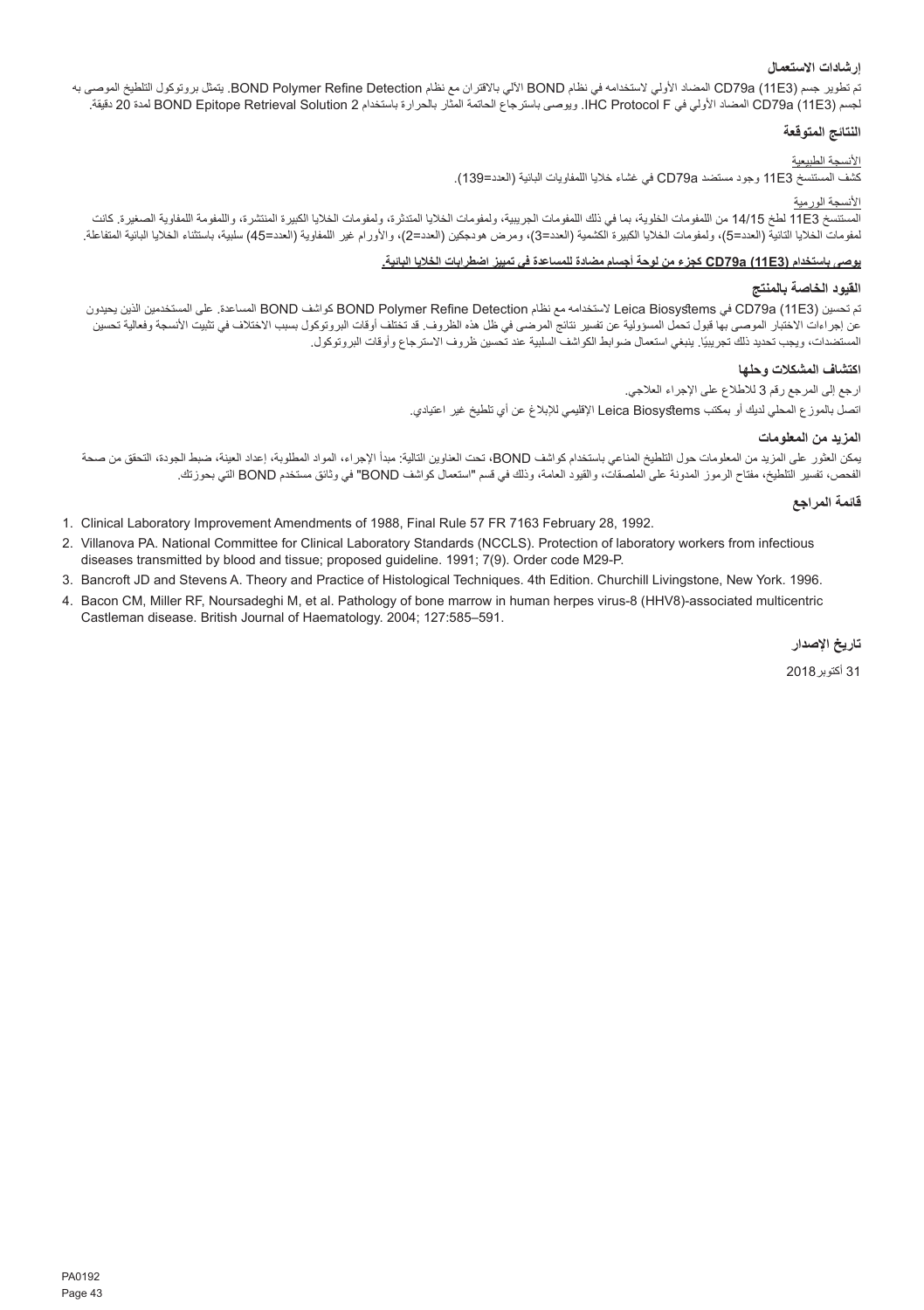## **إرشادات االستعمال**

تم تطوير جسم (3E11 (a79CD المضاد األولي الستخدامه في نظام BOND اآللي باالقتران مع نظام Detection Refine Polymer BOND. يتمثل بروتوكول التلطيخ الموصى به لجسم (11E3 (CD79a المضاد الأولي في HC Protocol F. ويوصى باسترجاع الحاتمة المثّار بالحرارة باستخدام BOND Epitope Retrieval Solution 2 لمدة 20 دقيقة.

#### **النتائج المتوقعة**

## األنسجة الطبيعية

كشف المستنسخ 3E11 وجود مستضد a79CD في غشاء خاليا اللمفاويات البائية )العدد=139(.

## األنسجة الورمية

المستنسخ 14/15 لطخ 14/15 من اللمفومات الخلوية، بما في ذلك اللمفومات الجزية، ولمفومات الخلال الكبيرة المنتشرة، واللمفومة اللمفاوية الصغيرة. كانت لمفومات الخائرا التائية (العدد=5)، ولمفومات الخاليا الكبيرة الكشمية (العدد=3)، ومرض هودجكين (العدد=2)، والأورام غير اللمفاوية (الحدد=45) سلبية، باستثناء الخلايا البائية المتفاعلة.<br>.

#### **يوصى باستخدام (3E11 (a79CD كجزء من لوحة أجسام مضادة للمساعدة في تمييز اضطرابات الخاليا البائية.**

## **القيود الخاصة بالمنتج**

تم تحسين (3E11 (a79CD في Biosystems Leica الستخدامه مع نظام Detection Refine Polymer BOND كواشف BOND المساعدة. على المستخدمين الذين يحيدون عن إجراءات الاختبار الموصى بها قبول تحمل المسؤولية عن تفسير نتائج المرضي في أطل هذه الفتات الفروتوكول بسبب الاختلاف في تثبيت الأنسجة وفعالية تحسين لمستضدات، ويجب تحديد ذلك تجريبيًا. ينبغي استعمال ضوابط الكواشف السلبية عند تحسين ظروف الاسترجاع واوقات البروتوكول.

#### **اكتشاف المشكالت وحلها**

ارجع إلى المرجع رقم 3 لالطالع على اإلجراء العالجي. اتصل بالموزع المحلي لديك أو بمكتب Biosystems Leica اإلقليمي لإلبالغ عن أي تلطيخ غير اعتيادي.

#### **المزيد من المعلومات**

يمكن العثور على المزيد من المعلومات حول التلطيخ المناعي باستخدام كواشف BOND، تحت العناوين التالية: مبدأ اإلجراء، المواد المطلوبة، إعداد العينة، ضبط الجودة، التحقق من صحة الفحص، تفسير التلطيخ، مفتاح الرموز المدونة على الملصقات، والقيود العامة، وذلك في قسم "استعمال كواشف BOND "في وثائق مستخدم BOND التي بحوزتك.

## **قائمة المراجع**

- 1. Clinical Laboratory Improvement Amendments of 1988, Final Rule 57 FR 7163 February 28, 1992.
- 2. Villanova PA. National Committee for Clinical Laboratory Standards (NCCLS). Protection of laboratory workers from infectious diseases transmitted by blood and tissue; proposed guideline. 1991; 7(9). Order code M29-P.
- 3. Bancroft JD and Stevens A. Theory and Practice of Histological Techniques. 4th Edition. Churchill Livingstone, New York. 1996.
- 4. Bacon CM, Miller RF, Noursadeghi M, et al. Pathology of bone marrow in human herpes virus-8 (HHV8)-associated multicentric Castleman disease. British Journal of Haematology. 2004; 127:585–591.

**تاريخ اإلصدار**

31 أكتوبر2018